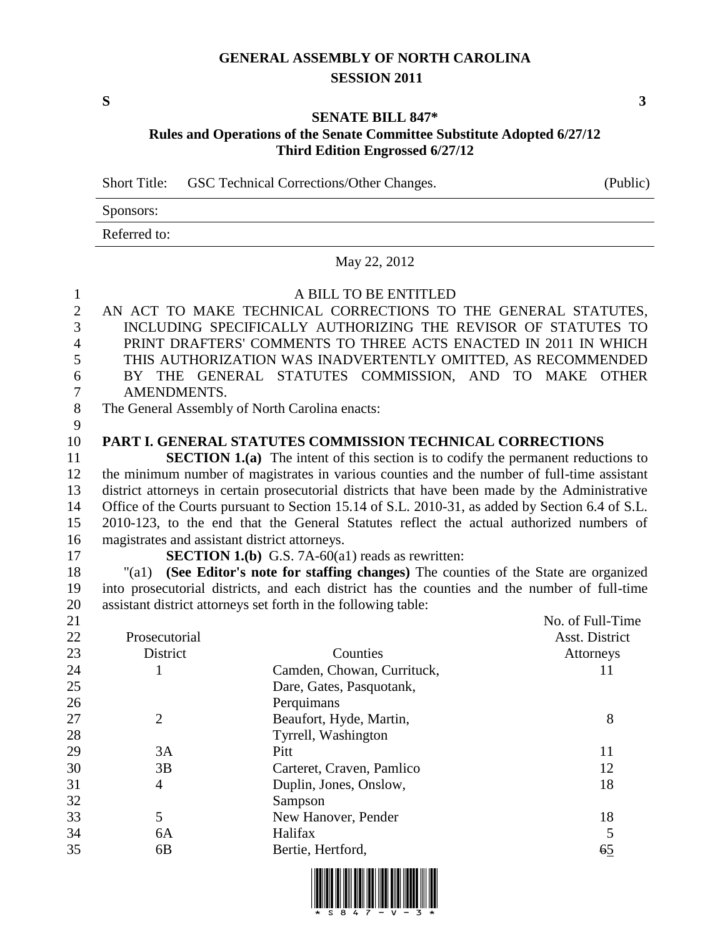#### **GENERAL ASSEMBLY OF NORTH CAROLINA SESSION 2011**

**S 3**

#### **SENATE BILL 847\* Rules and Operations of the Senate Committee Substitute Adopted 6/27/12 Third Edition Engrossed 6/27/12**

Short Title: GSC Technical Corrections/Other Changes. (Public)

| Sponsors:    |  |  |
|--------------|--|--|
| Referred to: |  |  |

May 22, 2012

#### A BILL TO BE ENTITLED

- AN ACT TO MAKE TECHNICAL CORRECTIONS TO THE GENERAL STATUTES, INCLUDING SPECIFICALLY AUTHORIZING THE REVISOR OF STATUTES TO PRINT DRAFTERS' COMMENTS TO THREE ACTS ENACTED IN 2011 IN WHICH THIS AUTHORIZATION WAS INADVERTENTLY OMITTED, AS RECOMMENDED BY THE GENERAL STATUTES COMMISSION, AND TO MAKE OTHER AMENDMENTS. The General Assembly of North Carolina enacts:
- 

#### **PART I. GENERAL STATUTES COMMISSION TECHNICAL CORRECTIONS**

**SECTION 1.(a)** The intent of this section is to codify the permanent reductions to the minimum number of magistrates in various counties and the number of full-time assistant district attorneys in certain prosecutorial districts that have been made by the Administrative Office of the Courts pursuant to Section 15.14 of S.L. 2010-31, as added by Section 6.4 of S.L. 2010-123, to the end that the General Statutes reflect the actual authorized numbers of magistrates and assistant district attorneys.

**SECTION 1.(b)** G.S. 7A-60(a1) reads as rewritten:

 "(a1) **(See Editor's note for staffing changes)** The counties of the State are organized into prosecutorial districts, and each district has the counties and the number of full-time assistant district attorneys set forth in the following table:

| 21 |                |                            | No. of Full-Time |
|----|----------------|----------------------------|------------------|
| 22 | Prosecutorial  |                            | Asst. District   |
| 23 | District       | Counties                   | Attorneys        |
| 24 |                | Camden, Chowan, Currituck, | 11               |
| 25 |                | Dare, Gates, Pasquotank,   |                  |
| 26 |                | Perquimans                 |                  |
| 27 | $\overline{2}$ | Beaufort, Hyde, Martin,    | 8                |
| 28 |                | Tyrrell, Washington        |                  |
| 29 | 3A             | Pitt                       | 11               |
| 30 | 3B             | Carteret, Craven, Pamlico  | 12               |
| 31 | 4              | Duplin, Jones, Onslow,     | 18               |
| 32 |                | Sampson                    |                  |
| 33 | 5              | New Hanover, Pender        | 18               |
| 34 | 6A             | Halifax                    | 5                |
| 35 | 6B             | Bertie, Hertford,          | $6\overline{5}$  |
|    |                |                            |                  |

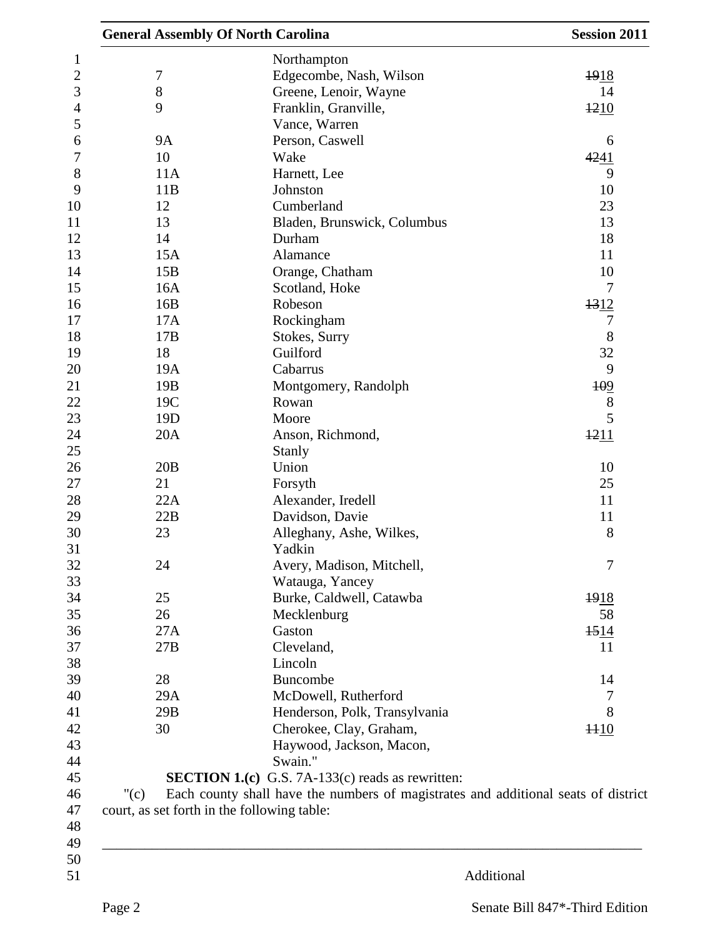|                  | <b>General Assembly Of North Carolina</b>                                          | <b>Session 2011</b> |
|------------------|------------------------------------------------------------------------------------|---------------------|
|                  | Northampton                                                                        |                     |
| $\boldsymbol{7}$ | Edgecombe, Nash, Wilson                                                            | 1918                |
| $8\,$            | Greene, Lenoir, Wayne                                                              | 14                  |
| 9                | Franklin, Granville,                                                               | 1210                |
|                  | Vance, Warren                                                                      |                     |
| <b>9A</b>        | Person, Caswell                                                                    | 6                   |
| 10               | Wake                                                                               |                     |
|                  |                                                                                    | 4241                |
| 11A              | Harnett, Lee                                                                       | 9                   |
| 11B              | Johnston                                                                           | 10                  |
| 12               | Cumberland                                                                         | 23                  |
| 13               | Bladen, Brunswick, Columbus                                                        | 13                  |
| 14               | Durham                                                                             | 18                  |
| 15A              | Alamance                                                                           | 11                  |
| 15B              | Orange, Chatham                                                                    | 10                  |
| 16A              | Scotland, Hoke                                                                     | 7                   |
| 16B              | Robeson                                                                            | 1312                |
| 17A              | Rockingham                                                                         | 7                   |
| 17B              | Stokes, Surry                                                                      | 8                   |
| 18               | Guilford                                                                           | 32                  |
| 19A              | Cabarrus                                                                           | 9                   |
| 19B              | Montgomery, Randolph                                                               | 109                 |
| 19C              | Rowan                                                                              | $8\,$               |
| 19 <sub>D</sub>  | Moore                                                                              | 5                   |
| 20A              | Anson, Richmond,                                                                   | 1211                |
|                  | Stanly                                                                             |                     |
| 20B              | Union                                                                              | 10                  |
|                  |                                                                                    |                     |
| 21               | Forsyth                                                                            | 25                  |
| 22A              | Alexander, Iredell                                                                 | 11                  |
| 22B              | Davidson, Davie                                                                    | 11                  |
| 23               | Alleghany, Ashe, Wilkes,                                                           | $8\,$               |
|                  | Yadkin                                                                             |                     |
| 24               | Avery, Madison, Mitchell,                                                          | $\tau$              |
|                  | Watauga, Yancey                                                                    |                     |
| 25               | Burke, Caldwell, Catawba                                                           | 1918                |
| 26               | Mecklenburg                                                                        | 58                  |
| 27A              | Gaston                                                                             | 1514                |
| 27B              | Cleveland,                                                                         | 11                  |
|                  | Lincoln                                                                            |                     |
| 28               | Buncombe                                                                           | 14                  |
| 29A              | McDowell, Rutherford                                                               | 7                   |
| 29B              | Henderson, Polk, Transylvania                                                      | 8                   |
| 30               | Cherokee, Clay, Graham,                                                            | 1110                |
|                  | Haywood, Jackson, Macon,                                                           |                     |
|                  | Swain."                                                                            |                     |
|                  | <b>SECTION 1.(c)</b> G.S. 7A-133(c) reads as rewritten:                            |                     |
|                  |                                                                                    |                     |
| " $(c)$          | Each county shall have the numbers of magistrates and additional seats of district |                     |
|                  | court, as set forth in the following table:                                        |                     |
|                  |                                                                                    |                     |
|                  |                                                                                    |                     |
|                  |                                                                                    |                     |
|                  | Additional                                                                         |                     |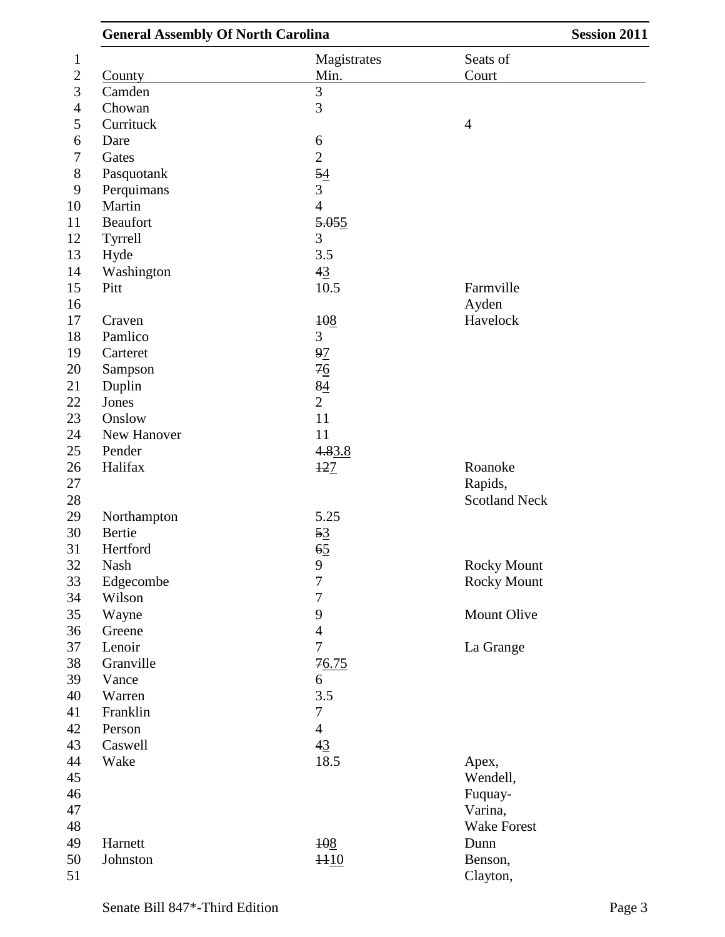| <b>General Assembly Of North Carolina</b> |                  | <b>Session 2011</b>  |  |
|-------------------------------------------|------------------|----------------------|--|
|                                           | Magistrates      | Seats of             |  |
| County                                    | Min.             | Court                |  |
| Camden                                    | 3                |                      |  |
| Chowan                                    | $\overline{3}$   |                      |  |
| Currituck                                 |                  | $\overline{4}$       |  |
| Dare                                      | $\boldsymbol{6}$ |                      |  |
| Gates                                     | $\overline{2}$   |                      |  |
| Pasquotank                                | $\frac{54}{5}$   |                      |  |
| Perquimans                                | 3                |                      |  |
| Martin                                    | $\overline{4}$   |                      |  |
| Beaufort                                  | 5.055            |                      |  |
| Tyrrell                                   | 3                |                      |  |
| Hyde                                      | 3.5              |                      |  |
| Washington                                | 43               |                      |  |
| Pitt                                      | 10.5             | Farmville            |  |
|                                           |                  | Ayden                |  |
| Craven                                    | 108              | Havelock             |  |
| Pamlico                                   | 3                |                      |  |
| Carteret                                  | 97               |                      |  |
| Sampson                                   |                  |                      |  |
| Duplin                                    | $rac{76}{84}$    |                      |  |
| Jones                                     | $\overline{2}$   |                      |  |
| Onslow                                    | 11               |                      |  |
| New Hanover                               | 11               |                      |  |
| Pender                                    | 4.83.8           |                      |  |
| Halifax                                   | 127              | Roanoke              |  |
|                                           |                  | Rapids,              |  |
|                                           |                  | <b>Scotland Neck</b> |  |
| Northampton                               | 5.25             |                      |  |
| Bertie                                    | 53               |                      |  |
| Hertford                                  | 65               |                      |  |
| Nash                                      | 9                | Rocky Mount          |  |
| Edgecombe                                 | $\overline{7}$   | <b>Rocky Mount</b>   |  |
| Wilson                                    | $\boldsymbol{7}$ |                      |  |
| Wayne                                     | 9                | Mount Olive          |  |
| Greene                                    | $\overline{4}$   |                      |  |
| Lenoir                                    | $\overline{7}$   | La Grange            |  |
| Granville                                 |                  |                      |  |
| Vance                                     | 76.75            |                      |  |
| Warren                                    | 6<br>3.5         |                      |  |
|                                           |                  |                      |  |
| Franklin                                  | $\tau$           |                      |  |
| Person                                    | $\overline{4}$   |                      |  |
| Caswell                                   | 43               |                      |  |
| Wake                                      | 18.5             | Apex,                |  |
|                                           |                  | Wendell,             |  |
|                                           |                  | Fuquay-              |  |
|                                           |                  | Varina,              |  |
|                                           |                  | <b>Wake Forest</b>   |  |
| Harnett                                   | 108              | Dunn                 |  |
| Johnston                                  | 1110             | Benson,              |  |
|                                           |                  | Clayton,             |  |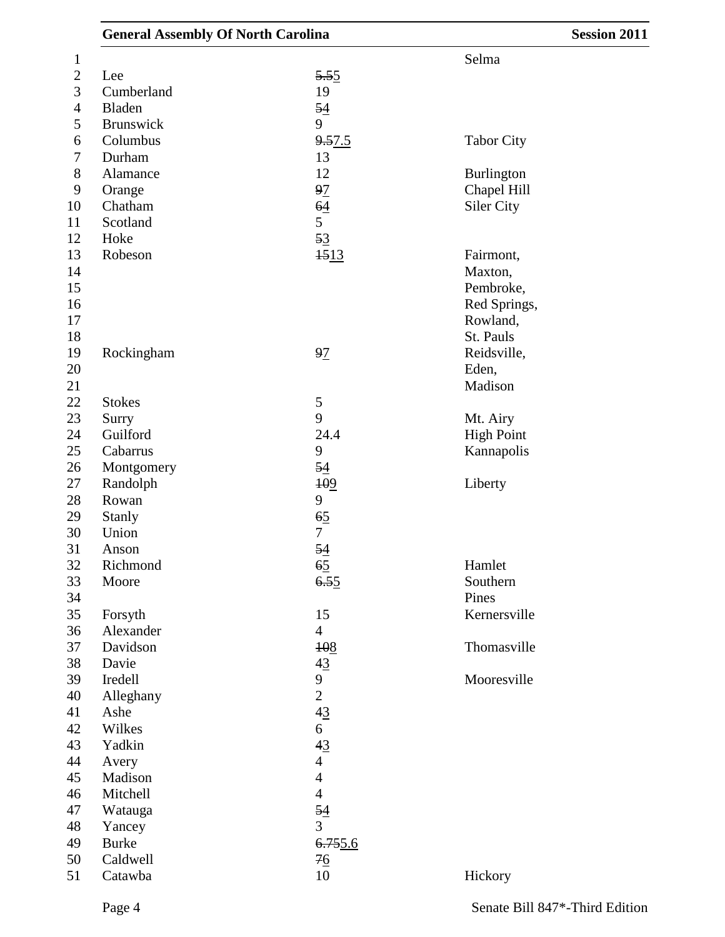|                  | <b>General Assembly Of North Carolina</b> |                | <b>Session 2011</b> |  |
|------------------|-------------------------------------------|----------------|---------------------|--|
| $\mathbf 1$      |                                           |                | Selma               |  |
| $\boldsymbol{2}$ | Lee                                       | 5.55           |                     |  |
| 3                | Cumberland                                | 19             |                     |  |
| $\overline{4}$   | Bladen                                    | 54             |                     |  |
| 5                | <b>Brunswick</b>                          | 9              |                     |  |
| 6                | Columbus                                  | 9.57.5         | <b>Tabor City</b>   |  |
| 7                | Durham                                    | 13             |                     |  |
| 8                | Alamance                                  | 12             | Burlington          |  |
| 9                | Orange                                    | 97             | Chapel Hill         |  |
| 10               | Chatham                                   | 64             | Siler City          |  |
| 11               | Scotland                                  | 5              |                     |  |
| 12               | Hoke                                      | 53             |                     |  |
| 13               | Robeson                                   | 1513           | Fairmont,           |  |
| 14               |                                           |                | Maxton,             |  |
| 15               |                                           |                | Pembroke,           |  |
| 16               |                                           |                | Red Springs,        |  |
| 17               |                                           |                | Rowland,            |  |
| 18               |                                           |                | St. Pauls           |  |
| 19               | Rockingham                                | 97             | Reidsville,         |  |
| 20               |                                           |                | Eden,               |  |
| 21               |                                           |                | Madison             |  |
| 22               | <b>Stokes</b>                             | $\mathfrak{S}$ |                     |  |
| 23               | Surry                                     | 9              | Mt. Airy            |  |
| 24               | Guilford                                  | 24.4           | <b>High Point</b>   |  |
| 25               | Cabarrus                                  | 9              | Kannapolis          |  |
| 26               | Montgomery                                | 54             |                     |  |
| 27               | Randolph                                  | 109            | Liberty             |  |
| 28               | Rowan                                     | 9              |                     |  |
| 29               | <b>Stanly</b>                             | 65             |                     |  |
| 30               | Union                                     | $\tau$         |                     |  |
| 31               | Anson                                     | 54             |                     |  |
| 32               | Richmond                                  | 65             | Hamlet              |  |
| 33               | Moore                                     | 6.55           | Southern            |  |
| 34               |                                           |                | Pines               |  |
| 35               | Forsyth                                   | 15             | Kernersville        |  |
| 36               | Alexander                                 | $\overline{4}$ |                     |  |
| 37               | Davidson                                  | 108            | Thomasville         |  |
| 38               | Davie                                     | 43             |                     |  |
| 39               | Iredell                                   | 9              | Mooresville         |  |
| 40               | Alleghany                                 | $\overline{2}$ |                     |  |
| 41               | Ashe                                      | 43             |                     |  |
| 42               | Wilkes                                    | 6              |                     |  |
| 43               | Yadkin                                    | 43             |                     |  |
| 44               | Avery                                     | $\overline{4}$ |                     |  |
| 45               | Madison                                   | $\overline{4}$ |                     |  |
| 46               | Mitchell                                  | $\overline{4}$ |                     |  |
| 47               | Watauga                                   | 54             |                     |  |
| 48               | Yancey                                    | $\mathfrak{Z}$ |                     |  |
| 49               | <b>Burke</b>                              | 6.755.6        |                     |  |
| 50               | Caldwell                                  | $\frac{76}{9}$ |                     |  |
| 51               | Catawba                                   | $10\,$         | Hickory             |  |
|                  |                                           |                |                     |  |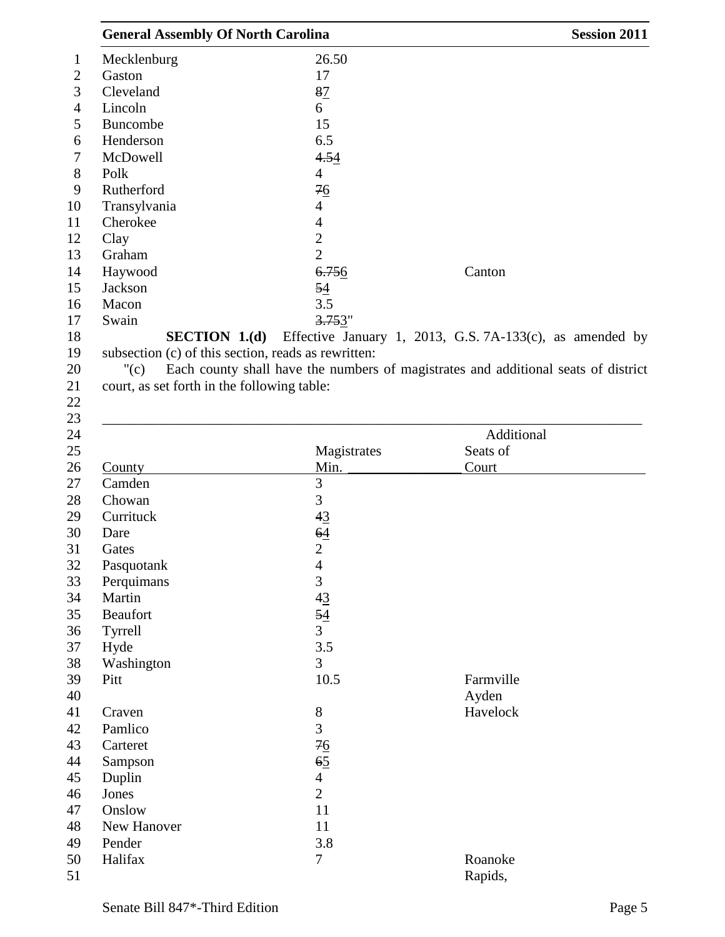| <b>General Assembly Of North Carolina</b>                            |                        | <b>Session 2011</b>                                                                |
|----------------------------------------------------------------------|------------------------|------------------------------------------------------------------------------------|
| Mecklenburg                                                          | 26.50                  |                                                                                    |
| Gaston                                                               | 17                     |                                                                                    |
| Cleveland                                                            | 87                     |                                                                                    |
| Lincoln                                                              | 6                      |                                                                                    |
| Buncombe                                                             | 15                     |                                                                                    |
| Henderson                                                            | 6.5                    |                                                                                    |
| McDowell                                                             | 4.54                   |                                                                                    |
| Polk                                                                 | 4                      |                                                                                    |
| Rutherford                                                           | 76                     |                                                                                    |
| Transylvania                                                         | 4                      |                                                                                    |
| Cherokee                                                             | 4                      |                                                                                    |
| Clay                                                                 | $\overline{c}$         |                                                                                    |
| Graham                                                               | $\overline{2}$         |                                                                                    |
| Haywood                                                              | 6.756                  | Canton                                                                             |
| Jackson                                                              | 54                     |                                                                                    |
| Macon                                                                | 3.5                    |                                                                                    |
| Swain                                                                | 3.753"                 |                                                                                    |
| SECTION 1.(d)<br>subsection (c) of this section, reads as rewritten: |                        | Effective January 1, 2013, G.S. 7A-133(c), as amended by                           |
| "(c)                                                                 |                        | Each county shall have the numbers of magistrates and additional seats of district |
| court, as set forth in the following table:                          |                        |                                                                                    |
|                                                                      |                        |                                                                                    |
|                                                                      |                        |                                                                                    |
|                                                                      |                        | Additional                                                                         |
|                                                                      | Magistrates            | Seats of                                                                           |
| County                                                               | Min.                   | Court                                                                              |
| Camden                                                               | 3                      |                                                                                    |
| Chowan                                                               | 3                      |                                                                                    |
| Currituck                                                            | 43                     |                                                                                    |
| Dare                                                                 | 64                     |                                                                                    |
| Gates                                                                | $\overline{2}$         |                                                                                    |
| Pasquotank                                                           | 4                      |                                                                                    |
| Perquimans                                                           | 3                      |                                                                                    |
| Martin                                                               | 43                     |                                                                                    |
| Beaufort                                                             | 54                     |                                                                                    |
| Tyrrell                                                              | $\overline{3}$         |                                                                                    |
| Hyde                                                                 | 3.5                    |                                                                                    |
| Washington                                                           | 3                      |                                                                                    |
| Pitt                                                                 | 10.5                   | Farmville                                                                          |
|                                                                      |                        | Ayden                                                                              |
| Craven                                                               | $8\,$                  | Havelock                                                                           |
| Pamlico                                                              | $\overline{3}$         |                                                                                    |
| Carteret                                                             |                        |                                                                                    |
| Sampson                                                              | 76<br>$6\underline{5}$ |                                                                                    |
|                                                                      | $\overline{4}$         |                                                                                    |
| Duplin                                                               | $\overline{2}$         |                                                                                    |
| Jones<br>Onslow                                                      | 11                     |                                                                                    |
|                                                                      |                        |                                                                                    |
| New Hanover                                                          | 11                     |                                                                                    |
| Pender<br>Halifax                                                    | 3.8<br>7               | Roanoke                                                                            |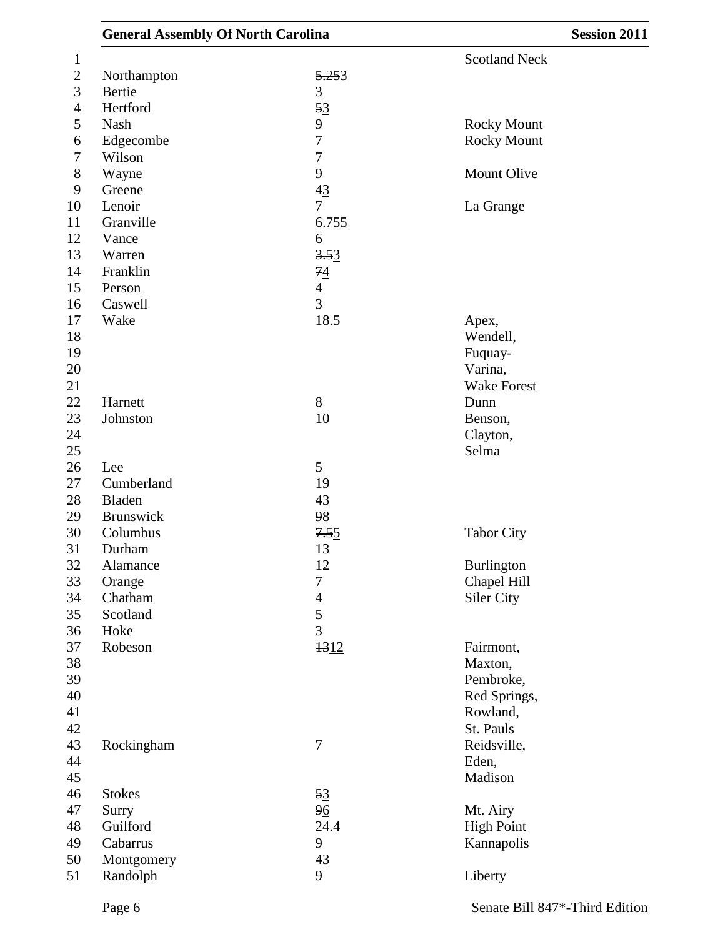| <b>General Assembly Of North Carolina</b> |                  | <b>Session 2011</b>  |  |
|-------------------------------------------|------------------|----------------------|--|
|                                           |                  | <b>Scotland Neck</b> |  |
| Northampton                               | 5.253            |                      |  |
| Bertie                                    | 3                |                      |  |
| Hertford                                  | 53               |                      |  |
| Nash                                      | 9                | <b>Rocky Mount</b>   |  |
| Edgecombe                                 | 7                | <b>Rocky Mount</b>   |  |
| Wilson                                    | $\boldsymbol{7}$ |                      |  |
| Wayne                                     | 9                | Mount Olive          |  |
| Greene                                    | 43               |                      |  |
| Lenoir                                    | 7                | La Grange            |  |
| Granville                                 | 6.755            |                      |  |
| Vance                                     | 6                |                      |  |
| Warren                                    | 3.53             |                      |  |
| Franklin                                  | 74               |                      |  |
| Person                                    | $\overline{4}$   |                      |  |
| Caswell                                   | 3                |                      |  |
| Wake                                      | 18.5             | Apex,                |  |
|                                           |                  | Wendell,             |  |
|                                           |                  | Fuquay-              |  |
|                                           |                  | Varina,              |  |
|                                           |                  | <b>Wake Forest</b>   |  |
| Harnett                                   | 8                | Dunn                 |  |
| Johnston                                  | 10               | Benson,              |  |
|                                           |                  | Clayton,             |  |
|                                           |                  | Selma                |  |
| Lee                                       | 5                |                      |  |
| Cumberland                                | 19               |                      |  |
| Bladen                                    | 43               |                      |  |
| Brunswick                                 | 98               |                      |  |
| Columbus                                  | 7.55             | <b>Tabor City</b>    |  |
| Durham                                    | 13               |                      |  |
| Alamance                                  | 12               | Burlington           |  |
| Orange                                    | $\overline{7}$   | Chapel Hill          |  |
| Chatham                                   | $\overline{4}$   | Siler City           |  |
| Scotland                                  | 5                |                      |  |
| Hoke                                      | $\overline{3}$   |                      |  |
| Robeson                                   | 1312             | Fairmont,            |  |
|                                           |                  | Maxton,              |  |
|                                           |                  | Pembroke,            |  |
|                                           |                  | Red Springs,         |  |
|                                           |                  | Rowland,             |  |
|                                           |                  | St. Pauls            |  |
| Rockingham                                | $\overline{7}$   | Reidsville,          |  |
|                                           |                  | Eden,                |  |
|                                           |                  | Madison              |  |
|                                           |                  |                      |  |
| <b>Stokes</b>                             | 53               |                      |  |
| Surry                                     | 96               | Mt. Airy             |  |
| Guilford                                  | 24.4             | <b>High Point</b>    |  |
| Cabarrus                                  | 9                | Kannapolis           |  |
| Montgomery                                | 43               |                      |  |
| Randolph                                  | 9                | Liberty              |  |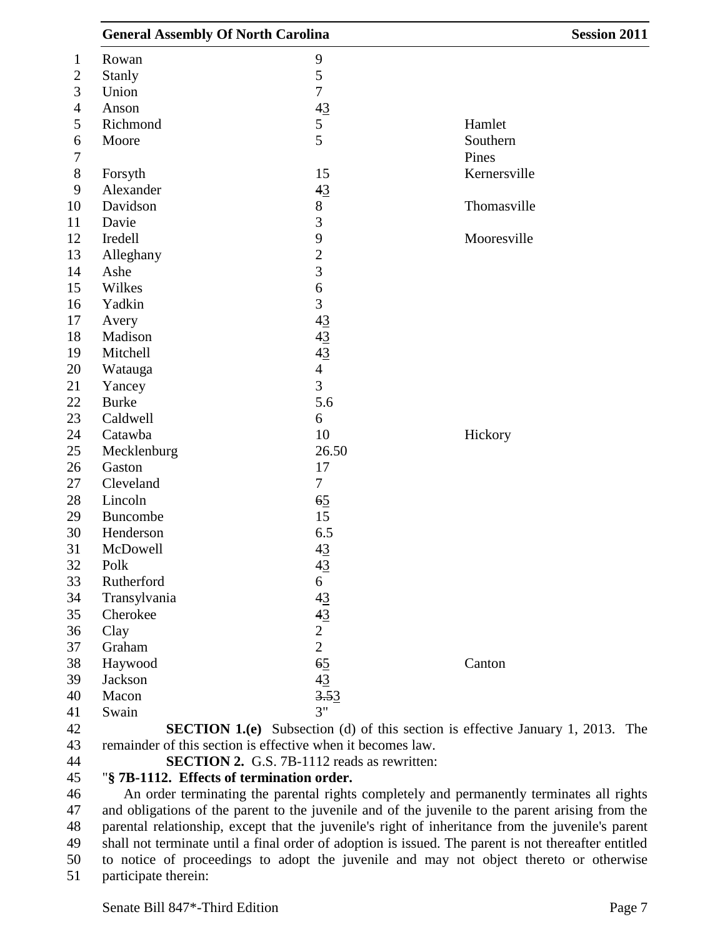| <b>General Assembly Of North Carolina</b>                                                            |                           | <b>Session 2011</b>                                                                       |
|------------------------------------------------------------------------------------------------------|---------------------------|-------------------------------------------------------------------------------------------|
| Rowan                                                                                                | 9                         |                                                                                           |
| <b>Stanly</b>                                                                                        | 5                         |                                                                                           |
| Union                                                                                                | $\boldsymbol{7}$          |                                                                                           |
| Anson                                                                                                | 43                        |                                                                                           |
| Richmond                                                                                             |                           | Hamlet                                                                                    |
| Moore                                                                                                | $rac{5}{5}$               | Southern                                                                                  |
|                                                                                                      |                           | Pines                                                                                     |
| Forsyth                                                                                              | 15                        | Kernersville                                                                              |
| Alexander                                                                                            | 43                        |                                                                                           |
| Davidson                                                                                             | $8\,$                     | Thomasville                                                                               |
| Davie                                                                                                | 3                         |                                                                                           |
| Iredell                                                                                              | 9                         | Mooresville                                                                               |
| Alleghany                                                                                            | $\overline{c}$            |                                                                                           |
| Ashe                                                                                                 | 3                         |                                                                                           |
| Wilkes                                                                                               | 6                         |                                                                                           |
| Yadkin                                                                                               | 3                         |                                                                                           |
| Avery                                                                                                | 43                        |                                                                                           |
| Madison                                                                                              | 43                        |                                                                                           |
| Mitchell                                                                                             | 43                        |                                                                                           |
| Watauga                                                                                              | $\overline{4}$            |                                                                                           |
| Yancey                                                                                               | 3                         |                                                                                           |
| <b>Burke</b>                                                                                         | 5.6                       |                                                                                           |
| Caldwell                                                                                             | 6                         |                                                                                           |
| Catawba                                                                                              | 10                        | Hickory                                                                                   |
| Mecklenburg                                                                                          | 26.50                     |                                                                                           |
| Gaston                                                                                               | 17                        |                                                                                           |
| Cleveland                                                                                            | $\overline{7}$            |                                                                                           |
| Lincoln                                                                                              | 65                        |                                                                                           |
| Buncombe                                                                                             | 15                        |                                                                                           |
| Henderson                                                                                            | 6.5                       |                                                                                           |
| McDowell                                                                                             | 43                        |                                                                                           |
| Polk                                                                                                 | 43                        |                                                                                           |
| Rutherford                                                                                           | 6                         |                                                                                           |
| Transylvania                                                                                         |                           |                                                                                           |
| Cherokee                                                                                             |                           |                                                                                           |
| Clay                                                                                                 | $\frac{43}{43}$<br>2<br>2 |                                                                                           |
| Graham                                                                                               |                           |                                                                                           |
| Haywood                                                                                              | $6\overline{5}$           | Canton                                                                                    |
| Jackson                                                                                              |                           |                                                                                           |
| Macon                                                                                                | $\frac{43}{3.53}$         |                                                                                           |
| Swain                                                                                                | 3"                        |                                                                                           |
|                                                                                                      |                           | <b>SECTION 1.(e)</b> Subsection (d) of this section is effective January 1, 2013. The     |
| remainder of this section is effective when it becomes law.                                          |                           |                                                                                           |
| <b>SECTION 2.</b> G.S. 7B-1112 reads as rewritten:                                                   |                           |                                                                                           |
| "§ 7B-1112. Effects of termination order.                                                            |                           |                                                                                           |
|                                                                                                      |                           | An order terminating the parental rights completely and permanently terminates all rights |
| and obligations of the parent to the juvenile and of the juvenile to the parent arising from the     |                           |                                                                                           |
| parental relationship, except that the juvenile's right of inheritance from the juvenile's parent    |                           |                                                                                           |
| shall not terminate until a final order of adoption is issued. The parent is not thereafter entitled |                           |                                                                                           |
| to notice of proceedings to adopt the juvenile and may not object thereto or otherwise               |                           |                                                                                           |
| participate therein:                                                                                 |                           |                                                                                           |
|                                                                                                      |                           |                                                                                           |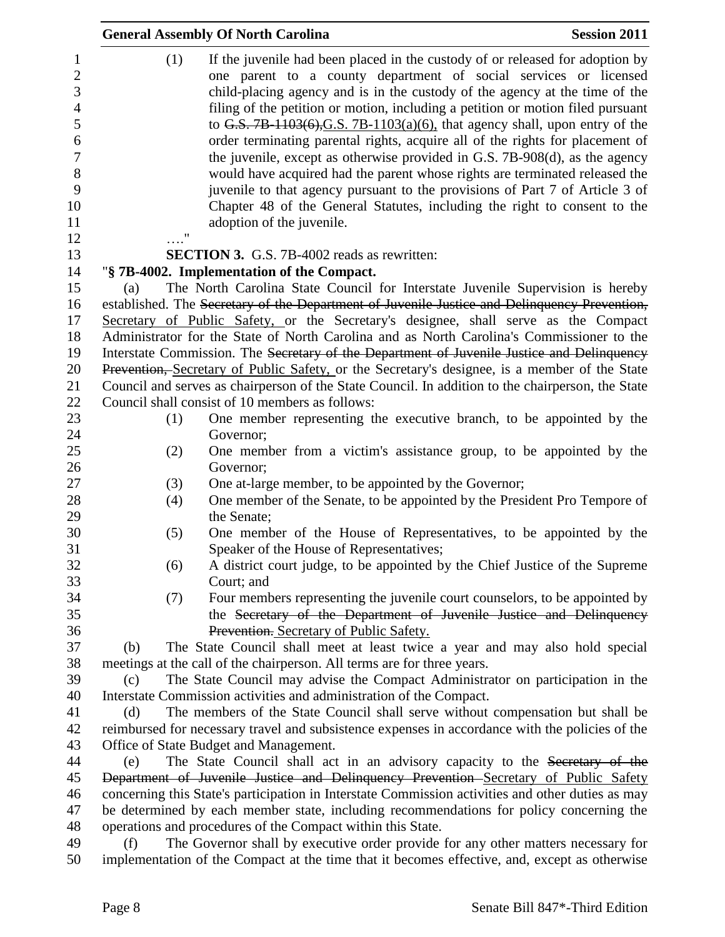|                                                                                      | <b>General Assembly Of North Carolina</b>                                                                                                                                                                                                                                                                                                                                                                                                                                                                                                                                                                                                                         | <b>Session 2011</b> |
|--------------------------------------------------------------------------------------|-------------------------------------------------------------------------------------------------------------------------------------------------------------------------------------------------------------------------------------------------------------------------------------------------------------------------------------------------------------------------------------------------------------------------------------------------------------------------------------------------------------------------------------------------------------------------------------------------------------------------------------------------------------------|---------------------|
| 1<br>$\overline{c}$<br>3<br>$\overline{4}$<br>5<br>$\sqrt{6}$<br>$\overline{7}$<br>8 | (1)<br>If the juvenile had been placed in the custody of or released for adoption by<br>one parent to a county department of social services or licensed<br>child-placing agency and is in the custody of the agency at the time of the<br>filing of the petition or motion, including a petition or motion filed pursuant<br>to G.S. 7B-1103 $(6)$ , G.S. 7B-1103 $(a)(6)$ , that agency shall, upon entry of the<br>order terminating parental rights, acquire all of the rights for placement of<br>the juvenile, except as otherwise provided in G.S. 7B-908(d), as the agency<br>would have acquired had the parent whose rights are terminated released the |                     |
| 9<br>10<br>11<br>12                                                                  | juvenile to that agency pursuant to the provisions of Part 7 of Article 3 of<br>Chapter 48 of the General Statutes, including the right to consent to the<br>adoption of the juvenile.                                                                                                                                                                                                                                                                                                                                                                                                                                                                            |                     |
| 13                                                                                   | <b>SECTION 3.</b> G.S. 7B-4002 reads as rewritten:                                                                                                                                                                                                                                                                                                                                                                                                                                                                                                                                                                                                                |                     |
| 14                                                                                   | "§ 7B-4002. Implementation of the Compact.                                                                                                                                                                                                                                                                                                                                                                                                                                                                                                                                                                                                                        |                     |
| 15                                                                                   | The North Carolina State Council for Interstate Juvenile Supervision is hereby<br>(a)                                                                                                                                                                                                                                                                                                                                                                                                                                                                                                                                                                             |                     |
| 16                                                                                   | established. The Secretary of the Department of Juvenile Justice and Delinquency Prevention,                                                                                                                                                                                                                                                                                                                                                                                                                                                                                                                                                                      |                     |
| 17                                                                                   | Secretary of Public Safety, or the Secretary's designee, shall serve as the Compact                                                                                                                                                                                                                                                                                                                                                                                                                                                                                                                                                                               |                     |
| 18                                                                                   | Administrator for the State of North Carolina and as North Carolina's Commissioner to the                                                                                                                                                                                                                                                                                                                                                                                                                                                                                                                                                                         |                     |
| 19                                                                                   | Interstate Commission. The Secretary of the Department of Juvenile Justice and Delinquency                                                                                                                                                                                                                                                                                                                                                                                                                                                                                                                                                                        |                     |
| 20                                                                                   | Prevention, Secretary of Public Safety, or the Secretary's designee, is a member of the State                                                                                                                                                                                                                                                                                                                                                                                                                                                                                                                                                                     |                     |
| 21                                                                                   | Council and serves as chairperson of the State Council. In addition to the chairperson, the State                                                                                                                                                                                                                                                                                                                                                                                                                                                                                                                                                                 |                     |
| 22                                                                                   | Council shall consist of 10 members as follows:                                                                                                                                                                                                                                                                                                                                                                                                                                                                                                                                                                                                                   |                     |
| 23<br>24                                                                             | One member representing the executive branch, to be appointed by the<br>(1)<br>Governor;                                                                                                                                                                                                                                                                                                                                                                                                                                                                                                                                                                          |                     |
| 25                                                                                   | One member from a victim's assistance group, to be appointed by the<br>(2)                                                                                                                                                                                                                                                                                                                                                                                                                                                                                                                                                                                        |                     |
| 26                                                                                   | Governor;                                                                                                                                                                                                                                                                                                                                                                                                                                                                                                                                                                                                                                                         |                     |
| 27                                                                                   | (3)<br>One at-large member, to be appointed by the Governor;                                                                                                                                                                                                                                                                                                                                                                                                                                                                                                                                                                                                      |                     |
| 28                                                                                   | One member of the Senate, to be appointed by the President Pro Tempore of<br>(4)                                                                                                                                                                                                                                                                                                                                                                                                                                                                                                                                                                                  |                     |
| 29                                                                                   | the Senate;                                                                                                                                                                                                                                                                                                                                                                                                                                                                                                                                                                                                                                                       |                     |
| 30                                                                                   | One member of the House of Representatives, to be appointed by the<br>(5)                                                                                                                                                                                                                                                                                                                                                                                                                                                                                                                                                                                         |                     |
| 31                                                                                   | Speaker of the House of Representatives;                                                                                                                                                                                                                                                                                                                                                                                                                                                                                                                                                                                                                          |                     |
| 32                                                                                   | A district court judge, to be appointed by the Chief Justice of the Supreme<br>(6)                                                                                                                                                                                                                                                                                                                                                                                                                                                                                                                                                                                |                     |
| 33                                                                                   | Court; and                                                                                                                                                                                                                                                                                                                                                                                                                                                                                                                                                                                                                                                        |                     |
| 34                                                                                   | Four members representing the juvenile court counselors, to be appointed by<br>(7)                                                                                                                                                                                                                                                                                                                                                                                                                                                                                                                                                                                |                     |
| 35<br>36                                                                             | the Secretary of the Department of Juvenile Justice and Delinquency                                                                                                                                                                                                                                                                                                                                                                                                                                                                                                                                                                                               |                     |
| 37                                                                                   | Prevention. Secretary of Public Safety.<br>The State Council shall meet at least twice a year and may also hold special<br>(b)                                                                                                                                                                                                                                                                                                                                                                                                                                                                                                                                    |                     |
| 38                                                                                   | meetings at the call of the chairperson. All terms are for three years.                                                                                                                                                                                                                                                                                                                                                                                                                                                                                                                                                                                           |                     |
| 39                                                                                   | The State Council may advise the Compact Administrator on participation in the<br>(c)                                                                                                                                                                                                                                                                                                                                                                                                                                                                                                                                                                             |                     |
| 40                                                                                   | Interstate Commission activities and administration of the Compact.                                                                                                                                                                                                                                                                                                                                                                                                                                                                                                                                                                                               |                     |
| 41                                                                                   | The members of the State Council shall serve without compensation but shall be<br>(d)                                                                                                                                                                                                                                                                                                                                                                                                                                                                                                                                                                             |                     |
| 42                                                                                   | reimbursed for necessary travel and subsistence expenses in accordance with the policies of the                                                                                                                                                                                                                                                                                                                                                                                                                                                                                                                                                                   |                     |
| 43                                                                                   | Office of State Budget and Management.                                                                                                                                                                                                                                                                                                                                                                                                                                                                                                                                                                                                                            |                     |
| 44                                                                                   | The State Council shall act in an advisory capacity to the Secretary of the<br>(e)                                                                                                                                                                                                                                                                                                                                                                                                                                                                                                                                                                                |                     |
| 45                                                                                   | Department of Juvenile Justice and Delinquency Prevention Secretary of Public Safety                                                                                                                                                                                                                                                                                                                                                                                                                                                                                                                                                                              |                     |
| 46                                                                                   | concerning this State's participation in Interstate Commission activities and other duties as may                                                                                                                                                                                                                                                                                                                                                                                                                                                                                                                                                                 |                     |
| 47                                                                                   | be determined by each member state, including recommendations for policy concerning the                                                                                                                                                                                                                                                                                                                                                                                                                                                                                                                                                                           |                     |
| 48                                                                                   | operations and procedures of the Compact within this State.                                                                                                                                                                                                                                                                                                                                                                                                                                                                                                                                                                                                       |                     |
| 49                                                                                   | The Governor shall by executive order provide for any other matters necessary for<br>(f)                                                                                                                                                                                                                                                                                                                                                                                                                                                                                                                                                                          |                     |
| 50                                                                                   | implementation of the Compact at the time that it becomes effective, and, except as otherwise                                                                                                                                                                                                                                                                                                                                                                                                                                                                                                                                                                     |                     |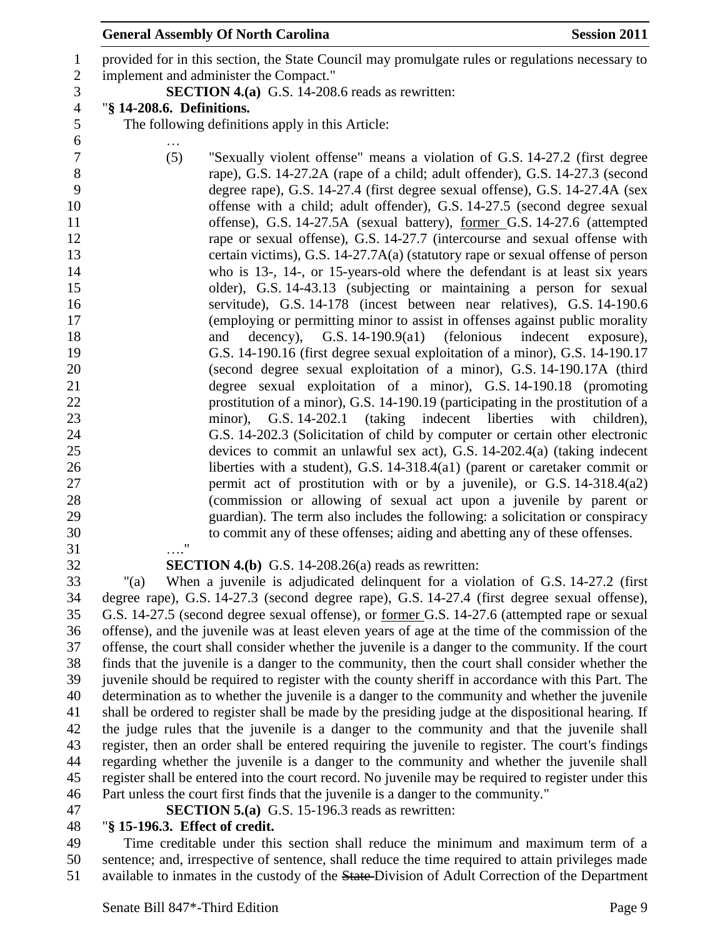provided for in this section, the State Council may promulgate rules or regulations necessary to implement and administer the Compact." **SECTION 4.(a)** G.S. 14-208.6 reads as rewritten: "**§ 14-208.6. Definitions.** The following definitions apply in this Article: … (5) "Sexually violent offense" means a violation of G.S. 14-27.2 (first degree rape), G.S. 14-27.2A (rape of a child; adult offender), G.S. 14-27.3 (second degree rape), G.S. 14-27.4 (first degree sexual offense), G.S. 14-27.4A (sex offense with a child; adult offender), G.S. 14-27.5 (second degree sexual offense), G.S. 14-27.5A (sexual battery), former G.S. 14-27.6 (attempted rape or sexual offense), G.S. 14-27.7 (intercourse and sexual offense with certain victims), G.S. 14-27.7A(a) (statutory rape or sexual offense of person who is 13-, 14-, or 15-years-old where the defendant is at least six years older), G.S. 14-43.13 (subjecting or maintaining a person for sexual servitude), G.S. 14-178 (incest between near relatives), G.S. 14-190.6 (employing or permitting minor to assist in offenses against public morality 18 and decency), G.S. 14-190.9(a1) (felonious indecent exposure), G.S. 14-190.16 (first degree sexual exploitation of a minor), G.S. 14-190.17 (second degree sexual exploitation of a minor), G.S. 14-190.17A (third degree sexual exploitation of a minor), G.S. 14-190.18 (promoting prostitution of a minor), G.S. 14-190.19 (participating in the prostitution of a minor), G.S. 14-202.1 (taking indecent liberties with children), G.S. 14-202.3 (Solicitation of child by computer or certain other electronic devices to commit an unlawful sex act), G.S. 14-202.4(a) (taking indecent liberties with a student), G.S. 14-318.4(a1) (parent or caretaker commit or permit act of prostitution with or by a juvenile), or G.S. 14-318.4(a2) (commission or allowing of sexual act upon a juvenile by parent or guardian). The term also includes the following: a solicitation or conspiracy to commit any of these offenses; aiding and abetting any of these offenses. …." **SECTION 4.(b)** G.S. 14-208.26(a) reads as rewritten: "(a) When a juvenile is adjudicated delinquent for a violation of G.S. 14-27.2 (first degree rape), G.S. 14-27.3 (second degree rape), G.S. 14-27.4 (first degree sexual offense), G.S. 14-27.5 (second degree sexual offense), or former G.S. 14-27.6 (attempted rape or sexual offense), and the juvenile was at least eleven years of age at the time of the commission of the offense, the court shall consider whether the juvenile is a danger to the community. If the court finds that the juvenile is a danger to the community, then the court shall consider whether the juvenile should be required to register with the county sheriff in accordance with this Part. The

 determination as to whether the juvenile is a danger to the community and whether the juvenile shall be ordered to register shall be made by the presiding judge at the dispositional hearing. If the judge rules that the juvenile is a danger to the community and that the juvenile shall register, then an order shall be entered requiring the juvenile to register. The court's findings regarding whether the juvenile is a danger to the community and whether the juvenile shall register shall be entered into the court record. No juvenile may be required to register under this Part unless the court first finds that the juvenile is a danger to the community."

**SECTION 5.(a)** G.S. 15-196.3 reads as rewritten:

## "**§ 15-196.3. Effect of credit.**

 Time creditable under this section shall reduce the minimum and maximum term of a sentence; and, irrespective of sentence, shall reduce the time required to attain privileges made 51 available to inmates in the custody of the State-Division of Adult Correction of the Department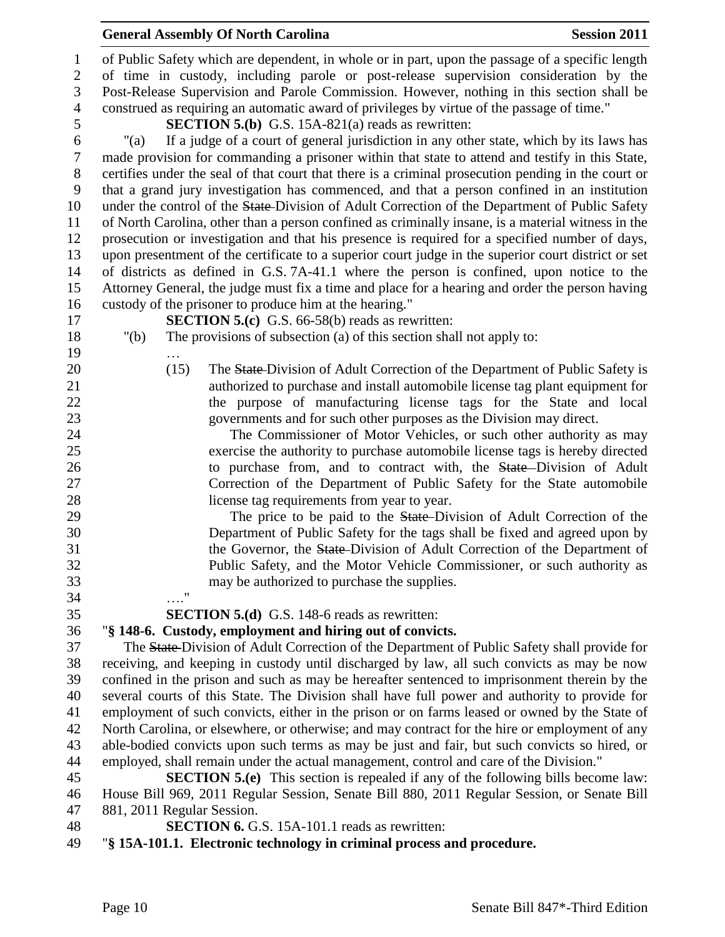| $\mathbf{1}$     |                                                                                            |      | of Public Safety which are dependent, in whole or in part, upon the passage of a specific length                               |  |  |
|------------------|--------------------------------------------------------------------------------------------|------|--------------------------------------------------------------------------------------------------------------------------------|--|--|
| $\overline{2}$   |                                                                                            |      | of time in custody, including parole or post-release supervision consideration by the                                          |  |  |
| 3                |                                                                                            |      | Post-Release Supervision and Parole Commission. However, nothing in this section shall be                                      |  |  |
| $\overline{4}$   | construed as requiring an automatic award of privileges by virtue of the passage of time." |      |                                                                                                                                |  |  |
| 5                | <b>SECTION 5.(b)</b> G.S. 15A-821(a) reads as rewritten:                                   |      |                                                                                                                                |  |  |
| 6                | " $(a)$                                                                                    |      | If a judge of a court of general jurisdiction in any other state, which by its laws has                                        |  |  |
| $\tau$           |                                                                                            |      | made provision for commanding a prisoner within that state to attend and testify in this State,                                |  |  |
| $8\,$            |                                                                                            |      | certifies under the seal of that court that there is a criminal prosecution pending in the court or                            |  |  |
| $\boldsymbol{9}$ |                                                                                            |      | that a grand jury investigation has commenced, and that a person confined in an institution                                    |  |  |
| 10               |                                                                                            |      | under the control of the State-Division of Adult Correction of the Department of Public Safety                                 |  |  |
| 11               |                                                                                            |      | of North Carolina, other than a person confined as criminally insane, is a material witness in the                             |  |  |
| 12               |                                                                                            |      | prosecution or investigation and that his presence is required for a specified number of days,                                 |  |  |
| 13               |                                                                                            |      | upon presentment of the certificate to a superior court judge in the superior court district or set                            |  |  |
| 14               |                                                                                            |      | of districts as defined in G.S. 7A-41.1 where the person is confined, upon notice to the                                       |  |  |
| 15               |                                                                                            |      | Attorney General, the judge must fix a time and place for a hearing and order the person having                                |  |  |
| 16<br>17         |                                                                                            |      | custody of the prisoner to produce him at the hearing."                                                                        |  |  |
| 18               | " $(b)$                                                                                    |      | <b>SECTION 5.(c)</b> G.S. 66-58(b) reads as rewritten:<br>The provisions of subsection (a) of this section shall not apply to: |  |  |
| 19               |                                                                                            |      |                                                                                                                                |  |  |
| 20               |                                                                                            | (15) | The State-Division of Adult Correction of the Department of Public Safety is                                                   |  |  |
| 21               |                                                                                            |      | authorized to purchase and install automobile license tag plant equipment for                                                  |  |  |
| 22               |                                                                                            |      | the purpose of manufacturing license tags for the State and local                                                              |  |  |
| 23               |                                                                                            |      | governments and for such other purposes as the Division may direct.                                                            |  |  |
| 24               |                                                                                            |      | The Commissioner of Motor Vehicles, or such other authority as may                                                             |  |  |
| 25               |                                                                                            |      | exercise the authority to purchase automobile license tags is hereby directed                                                  |  |  |
| 26               |                                                                                            |      | to purchase from, and to contract with, the State-Division of Adult                                                            |  |  |
| 27               |                                                                                            |      | Correction of the Department of Public Safety for the State automobile                                                         |  |  |
| 28               |                                                                                            |      | license tag requirements from year to year.                                                                                    |  |  |
| 29               |                                                                                            |      | The price to be paid to the <b>State-Division</b> of Adult Correction of the                                                   |  |  |
| 30               |                                                                                            |      | Department of Public Safety for the tags shall be fixed and agreed upon by                                                     |  |  |
| 31               |                                                                                            |      | the Governor, the State-Division of Adult Correction of the Department of                                                      |  |  |
| 32               |                                                                                            |      | Public Safety, and the Motor Vehicle Commissioner, or such authority as                                                        |  |  |
| 33               |                                                                                            |      | may be authorized to purchase the supplies.                                                                                    |  |  |
| 34               |                                                                                            | 11   |                                                                                                                                |  |  |
| 35               |                                                                                            |      | <b>SECTION 5.(d)</b> G.S. 148-6 reads as rewritten:                                                                            |  |  |
| 36               |                                                                                            |      | "§ 148-6. Custody, employment and hiring out of convicts.                                                                      |  |  |
| 37               |                                                                                            |      | The State-Division of Adult Correction of the Department of Public Safety shall provide for                                    |  |  |
| 38               |                                                                                            |      | receiving, and keeping in custody until discharged by law, all such convicts as may be now                                     |  |  |
| 39               |                                                                                            |      | confined in the prison and such as may be hereafter sentenced to imprisonment therein by the                                   |  |  |
| 40               |                                                                                            |      | several courts of this State. The Division shall have full power and authority to provide for                                  |  |  |
| 41               |                                                                                            |      | employment of such convicts, either in the prison or on farms leased or owned by the State of                                  |  |  |
| 42               |                                                                                            |      | North Carolina, or elsewhere, or otherwise; and may contract for the hire or employment of any                                 |  |  |
| 43               |                                                                                            |      | able-bodied convicts upon such terms as may be just and fair, but such convicts so hired, or                                   |  |  |
| 44               |                                                                                            |      | employed, shall remain under the actual management, control and care of the Division."                                         |  |  |

 **SECTION 5.(e)** This section is repealed if any of the following bills become law: House Bill 969, 2011 Regular Session, Senate Bill 880, 2011 Regular Session, or Senate Bill 881, 2011 Regular Session.

**SECTION 6.** G.S. 15A-101.1 reads as rewritten:

## "**§ 15A-101.1. Electronic technology in criminal process and procedure.**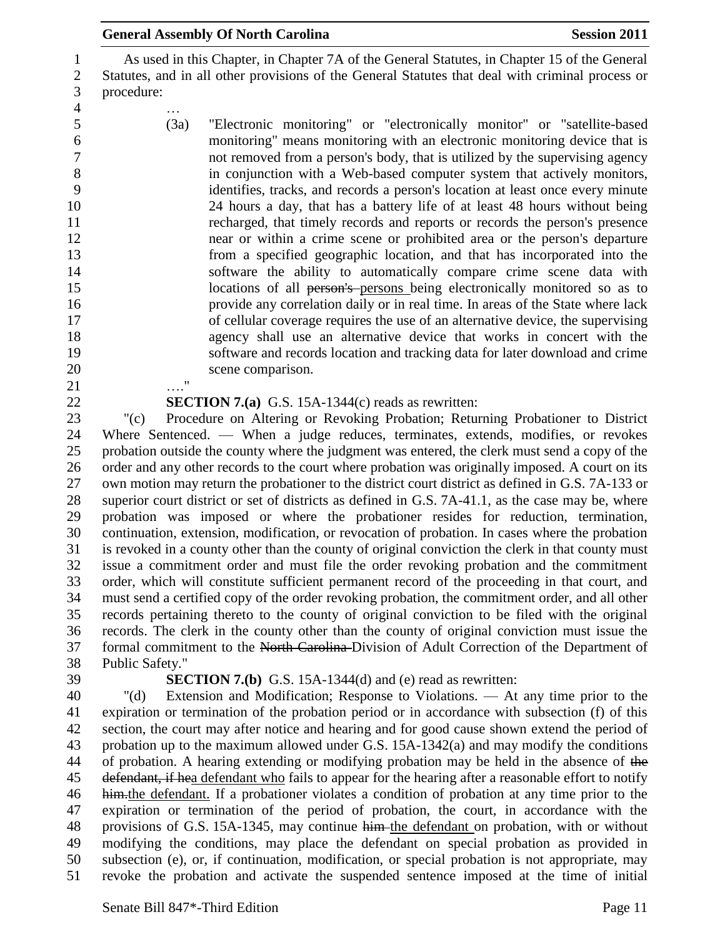|                                                       | <b>General Assembly Of North Carolina</b><br><b>Session 2011</b>                                                                                                                                               |
|-------------------------------------------------------|----------------------------------------------------------------------------------------------------------------------------------------------------------------------------------------------------------------|
| $\mathbf{1}$<br>$\overline{2}$<br>3<br>$\overline{4}$ | As used in this Chapter, in Chapter 7A of the General Statutes, in Chapter 15 of the General<br>Statutes, and in all other provisions of the General Statutes that deal with criminal process or<br>procedure: |
| 5                                                     | (3a)<br>"Electronic monitoring" or "electronically monitor" or "satellite-based                                                                                                                                |
| 6                                                     | monitoring" means monitoring with an electronic monitoring device that is                                                                                                                                      |
| 7                                                     | not removed from a person's body, that is utilized by the supervising agency                                                                                                                                   |
| 8                                                     | in conjunction with a Web-based computer system that actively monitors,                                                                                                                                        |
| 9                                                     | identifies, tracks, and records a person's location at least once every minute                                                                                                                                 |
| 10                                                    | 24 hours a day, that has a battery life of at least 48 hours without being                                                                                                                                     |
| 11<br>12                                              | recharged, that timely records and reports or records the person's presence<br>near or within a crime scene or prohibited area or the person's departure                                                       |
| 13                                                    | from a specified geographic location, and that has incorporated into the                                                                                                                                       |
| 14                                                    | software the ability to automatically compare crime scene data with                                                                                                                                            |
| 15                                                    | locations of all person's persons being electronically monitored so as to                                                                                                                                      |
| 16                                                    | provide any correlation daily or in real time. In areas of the State where lack                                                                                                                                |
| 17                                                    | of cellular coverage requires the use of an alternative device, the supervising                                                                                                                                |
| 18                                                    | agency shall use an alternative device that works in concert with the                                                                                                                                          |
| 19                                                    | software and records location and tracking data for later download and crime                                                                                                                                   |
| 20<br>21                                              | scene comparison.<br>$^{\prime\prime}$                                                                                                                                                                         |
| 22                                                    | <b>SECTION 7.(a)</b> G.S. 15A-1344(c) reads as rewritten:                                                                                                                                                      |
| 23                                                    | Procedure on Altering or Revoking Probation; Returning Probationer to District<br>" $(c)$                                                                                                                      |
| 24                                                    | Where Sentenced. — When a judge reduces, terminates, extends, modifies, or revokes                                                                                                                             |
| 25                                                    | probation outside the county where the judgment was entered, the clerk must send a copy of the                                                                                                                 |

 probation outside the county where the judgment was entered, the clerk must send a copy of the 26 order and any other records to the court where probation was originally imposed. A court on its own motion may return the probationer to the district court district as defined in G.S. 7A-133 or superior court district or set of districts as defined in G.S. 7A-41.1, as the case may be, where probation was imposed or where the probationer resides for reduction, termination, continuation, extension, modification, or revocation of probation. In cases where the probation is revoked in a county other than the county of original conviction the clerk in that county must issue a commitment order and must file the order revoking probation and the commitment order, which will constitute sufficient permanent record of the proceeding in that court, and must send a certified copy of the order revoking probation, the commitment order, and all other records pertaining thereto to the county of original conviction to be filed with the original records. The clerk in the county other than the county of original conviction must issue the formal commitment to the North Carolina Division of Adult Correction of the Department of Public Safety."

### **SECTION 7.(b)** G.S. 15A-1344(d) and (e) read as rewritten:

 "(d) Extension and Modification; Response to Violations. — At any time prior to the expiration or termination of the probation period or in accordance with subsection (f) of this section, the court may after notice and hearing and for good cause shown extend the period of probation up to the maximum allowed under G.S. 15A-1342(a) and may modify the conditions 44 of probation. A hearing extending or modifying probation may be held in the absence of the 45 defendant, if hea defendant who fails to appear for the hearing after a reasonable effort to notify him.the defendant. If a probationer violates a condition of probation at any time prior to the expiration or termination of the period of probation, the court, in accordance with the provisions of G.S. 15A-1345, may continue him the defendant on probation, with or without modifying the conditions, may place the defendant on special probation as provided in subsection (e), or, if continuation, modification, or special probation is not appropriate, may revoke the probation and activate the suspended sentence imposed at the time of initial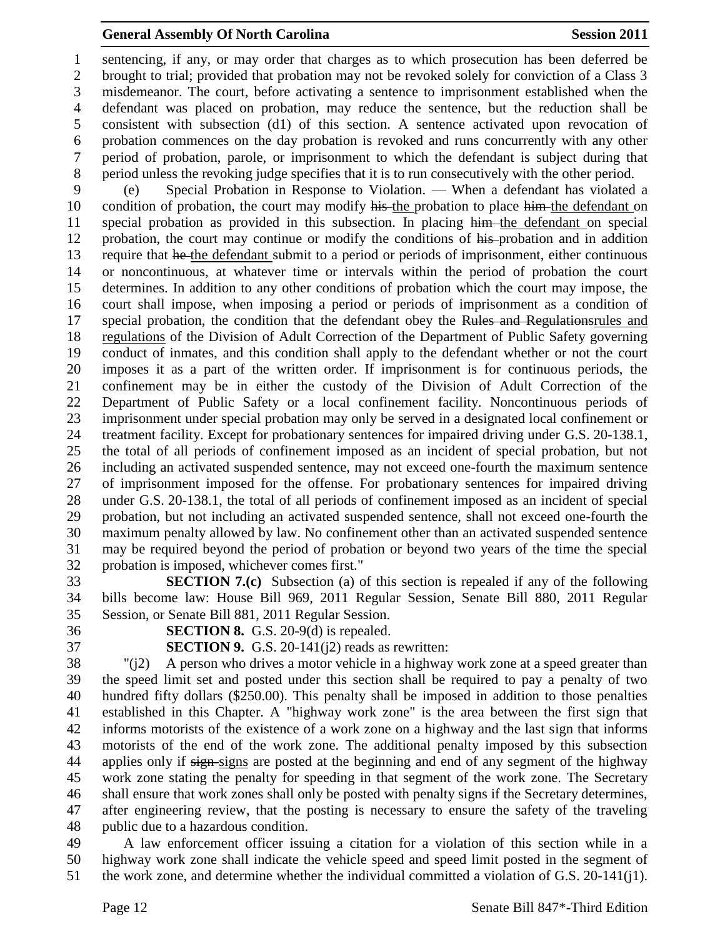sentencing, if any, or may order that charges as to which prosecution has been deferred be brought to trial; provided that probation may not be revoked solely for conviction of a Class 3 misdemeanor. The court, before activating a sentence to imprisonment established when the defendant was placed on probation, may reduce the sentence, but the reduction shall be consistent with subsection (d1) of this section. A sentence activated upon revocation of probation commences on the day probation is revoked and runs concurrently with any other period of probation, parole, or imprisonment to which the defendant is subject during that period unless the revoking judge specifies that it is to run consecutively with the other period.

 (e) Special Probation in Response to Violation. — When a defendant has violated a 10 condition of probation, the court may modify his the probation to place him the defendant on special probation as provided in this subsection. In placing him the defendant on special 12 probation, the court may continue or modify the conditions of his-probation and in addition 13 require that he the defendant submit to a period or periods of imprisonment, either continuous or noncontinuous, at whatever time or intervals within the period of probation the court determines. In addition to any other conditions of probation which the court may impose, the court shall impose, when imposing a period or periods of imprisonment as a condition of 17 special probation, the condition that the defendant obey the Rules and Regulationsrules and regulations of the Division of Adult Correction of the Department of Public Safety governing conduct of inmates, and this condition shall apply to the defendant whether or not the court imposes it as a part of the written order. If imprisonment is for continuous periods, the confinement may be in either the custody of the Division of Adult Correction of the Department of Public Safety or a local confinement facility. Noncontinuous periods of imprisonment under special probation may only be served in a designated local confinement or treatment facility. Except for probationary sentences for impaired driving under G.S. 20-138.1, the total of all periods of confinement imposed as an incident of special probation, but not including an activated suspended sentence, may not exceed one-fourth the maximum sentence of imprisonment imposed for the offense. For probationary sentences for impaired driving under G.S. 20-138.1, the total of all periods of confinement imposed as an incident of special probation, but not including an activated suspended sentence, shall not exceed one-fourth the maximum penalty allowed by law. No confinement other than an activated suspended sentence may be required beyond the period of probation or beyond two years of the time the special probation is imposed, whichever comes first."

 **SECTION 7.(c)** Subsection (a) of this section is repealed if any of the following bills become law: House Bill 969, 2011 Regular Session, Senate Bill 880, 2011 Regular Session, or Senate Bill 881, 2011 Regular Session.

**SECTION 8.** G.S. 20-9(d) is repealed.

**SECTION 9.** G.S. 20-141(j2) reads as rewritten:

 "(j2) A person who drives a motor vehicle in a highway work zone at a speed greater than the speed limit set and posted under this section shall be required to pay a penalty of two hundred fifty dollars (\$250.00). This penalty shall be imposed in addition to those penalties established in this Chapter. A "highway work zone" is the area between the first sign that informs motorists of the existence of a work zone on a highway and the last sign that informs motorists of the end of the work zone. The additional penalty imposed by this subsection 44 applies only if sign-signs are posted at the beginning and end of any segment of the highway work zone stating the penalty for speeding in that segment of the work zone. The Secretary shall ensure that work zones shall only be posted with penalty signs if the Secretary determines, after engineering review, that the posting is necessary to ensure the safety of the traveling public due to a hazardous condition.

 A law enforcement officer issuing a citation for a violation of this section while in a highway work zone shall indicate the vehicle speed and speed limit posted in the segment of the work zone, and determine whether the individual committed a violation of G.S. 20-141(j1).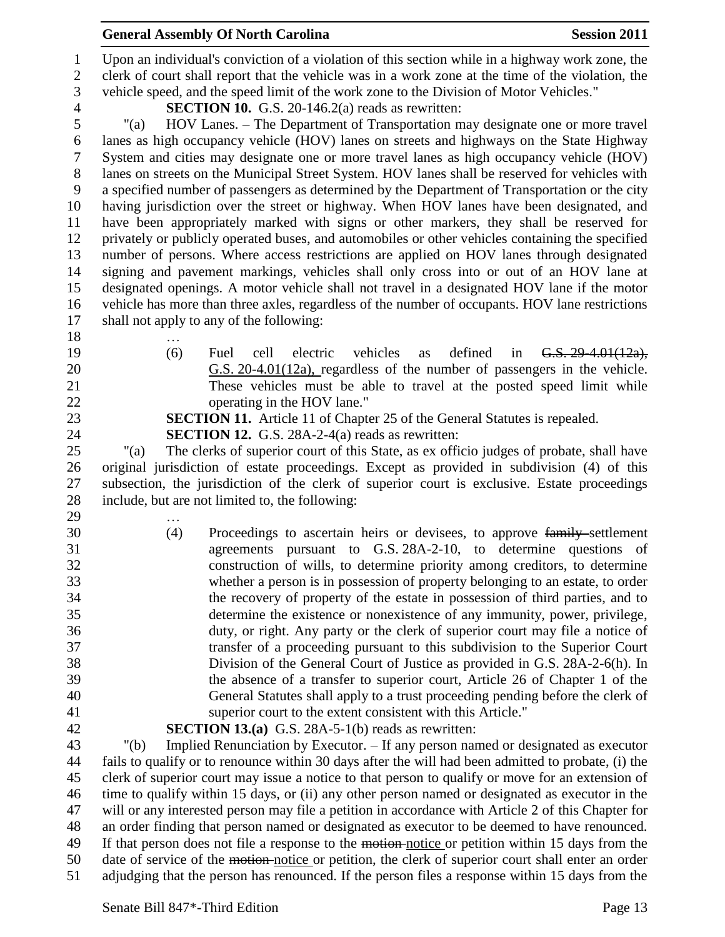Upon an individual's conviction of a violation of this section while in a highway work zone, the clerk of court shall report that the vehicle was in a work zone at the time of the violation, the vehicle speed, and the speed limit of the work zone to the Division of Motor Vehicles."

**SECTION 10.** G.S. 20-146.2(a) reads as rewritten:

 "(a) HOV Lanes. – The Department of Transportation may designate one or more travel lanes as high occupancy vehicle (HOV) lanes on streets and highways on the State Highway System and cities may designate one or more travel lanes as high occupancy vehicle (HOV) lanes on streets on the Municipal Street System. HOV lanes shall be reserved for vehicles with a specified number of passengers as determined by the Department of Transportation or the city having jurisdiction over the street or highway. When HOV lanes have been designated, and have been appropriately marked with signs or other markers, they shall be reserved for privately or publicly operated buses, and automobiles or other vehicles containing the specified number of persons. Where access restrictions are applied on HOV lanes through designated signing and pavement markings, vehicles shall only cross into or out of an HOV lane at designated openings. A motor vehicle shall not travel in a designated HOV lane if the motor vehicle has more than three axles, regardless of the number of occupants. HOV lane restrictions shall not apply to any of the following:

- …
- 

 (6) Fuel cell electric vehicles as defined in G.S. 29-4.01(12a), G.S. 20-4.01(12a), regardless of the number of passengers in the vehicle. These vehicles must be able to travel at the posted speed limit while 22 operating in the HOV lane."

**SECTION 11.** Article 11 of Chapter 25 of the General Statutes is repealed.

**SECTION 12.** G.S. 28A-2-4(a) reads as rewritten:

 "(a) The clerks of superior court of this State, as ex officio judges of probate, shall have original jurisdiction of estate proceedings. Except as provided in subdivision (4) of this subsection, the jurisdiction of the clerk of superior court is exclusive. Estate proceedings include, but are not limited to, the following:

- …
- 

 (4) Proceedings to ascertain heirs or devisees, to approve family settlement agreements pursuant to G.S. 28A-2-10, to determine questions of construction of wills, to determine priority among creditors, to determine whether a person is in possession of property belonging to an estate, to order the recovery of property of the estate in possession of third parties, and to determine the existence or nonexistence of any immunity, power, privilege, duty, or right. Any party or the clerk of superior court may file a notice of transfer of a proceeding pursuant to this subdivision to the Superior Court Division of the General Court of Justice as provided in G.S. 28A-2-6(h). In the absence of a transfer to superior court, Article 26 of Chapter 1 of the General Statutes shall apply to a trust proceeding pending before the clerk of superior court to the extent consistent with this Article."

**SECTION 13.(a)** G.S. 28A-5-1(b) reads as rewritten:

 "(b) Implied Renunciation by Executor. – If any person named or designated as executor fails to qualify or to renounce within 30 days after the will had been admitted to probate, (i) the clerk of superior court may issue a notice to that person to qualify or move for an extension of time to qualify within 15 days, or (ii) any other person named or designated as executor in the will or any interested person may file a petition in accordance with Article 2 of this Chapter for an order finding that person named or designated as executor to be deemed to have renounced. If that person does not file a response to the motion notice or petition within 15 days from the date of service of the motion notice or petition, the clerk of superior court shall enter an order adjudging that the person has renounced. If the person files a response within 15 days from the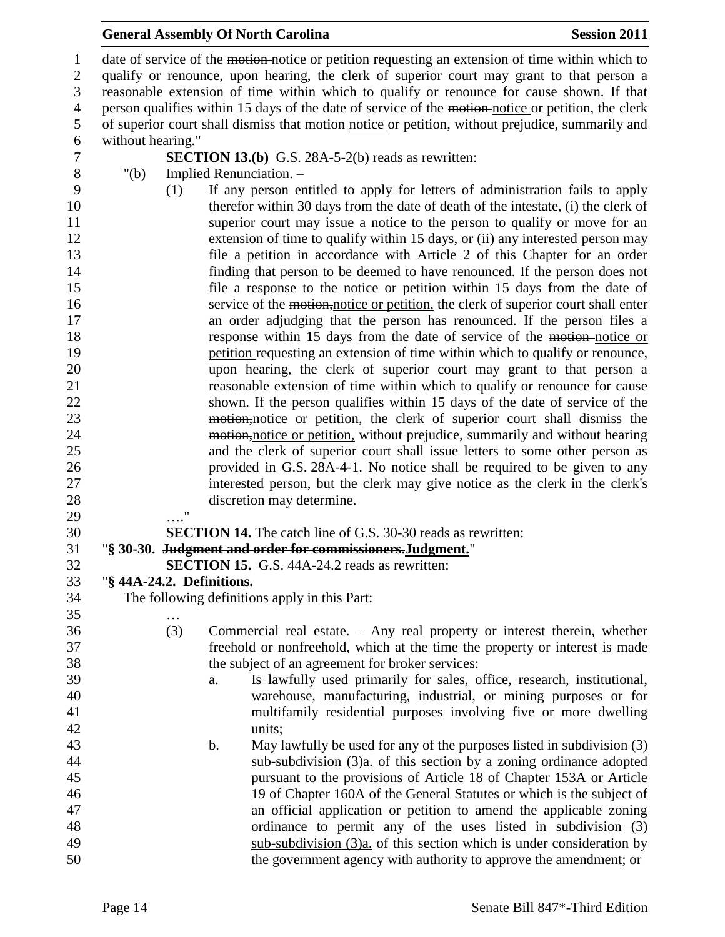1 date of service of the motion notice or petition requesting an extension of time within which to qualify or renounce, upon hearing, the clerk of superior court may grant to that person a reasonable extension of time within which to qualify or renounce for cause shown. If that 4 person qualifies within 15 days of the date of service of the motion-notice or petition, the clerk of superior court shall dismiss that motion notice or petition, without prejudice, summarily and without hearing." **SECTION 13.(b)** G.S. 28A-5-2(b) reads as rewritten: "(b) Implied Renunciation. – (1) If any person entitled to apply for letters of administration fails to apply therefor within 30 days from the date of death of the intestate, (i) the clerk of 11 superior court may issue a notice to the person to qualify or move for an extension of time to qualify within 15 days, or (ii) any interested person may file a petition in accordance with Article 2 of this Chapter for an order finding that person to be deemed to have renounced. If the person does not file a response to the notice or petition within 15 days from the date of 16 service of the motion, notice or petition, the clerk of superior court shall enter an order adjudging that the person has renounced. If the person files a **response within 15 days from the date of service of the <del>motion</del>-notice or**  petition requesting an extension of time within which to qualify or renounce, upon hearing, the clerk of superior court may grant to that person a reasonable extension of time within which to qualify or renounce for cause shown. If the person qualifies within 15 days of the date of service of the 23 motion,notice or petition, the clerk of superior court shall dismiss the 24 motion,notice or petition, without prejudice, summarily and without hearing and the clerk of superior court shall issue letters to some other person as provided in G.S. 28A-4-1. No notice shall be required to be given to any interested person, but the clerk may give notice as the clerk in the clerk's discretion may determine. …." **SECTION 14.** The catch line of G.S. 30-30 reads as rewritten: "**§ 30-30. Judgment and order for commissioners.Judgment.**" **SECTION 15.** G.S. 44A-24.2 reads as rewritten: "**§ 44A-24.2. Definitions.** The following definitions apply in this Part: … (3) Commercial real estate. – Any real property or interest therein, whether freehold or nonfreehold, which at the time the property or interest is made the subject of an agreement for broker services: a. Is lawfully used primarily for sales, office, research, institutional, warehouse, manufacturing, industrial, or mining purposes or for multifamily residential purposes involving five or more dwelling units; 43 b. May lawfully be used for any of the purposes listed in subdivision (3) sub-subdivision (3)a. of this section by a zoning ordinance adopted pursuant to the provisions of Article 18 of Chapter 153A or Article 19 of Chapter 160A of the General Statutes or which is the subject of an official application or petition to amend the applicable zoning 48 ordinance to permit any of the uses listed in subdivision (3) sub-subdivision (3)a. of this section which is under consideration by the government agency with authority to approve the amendment; or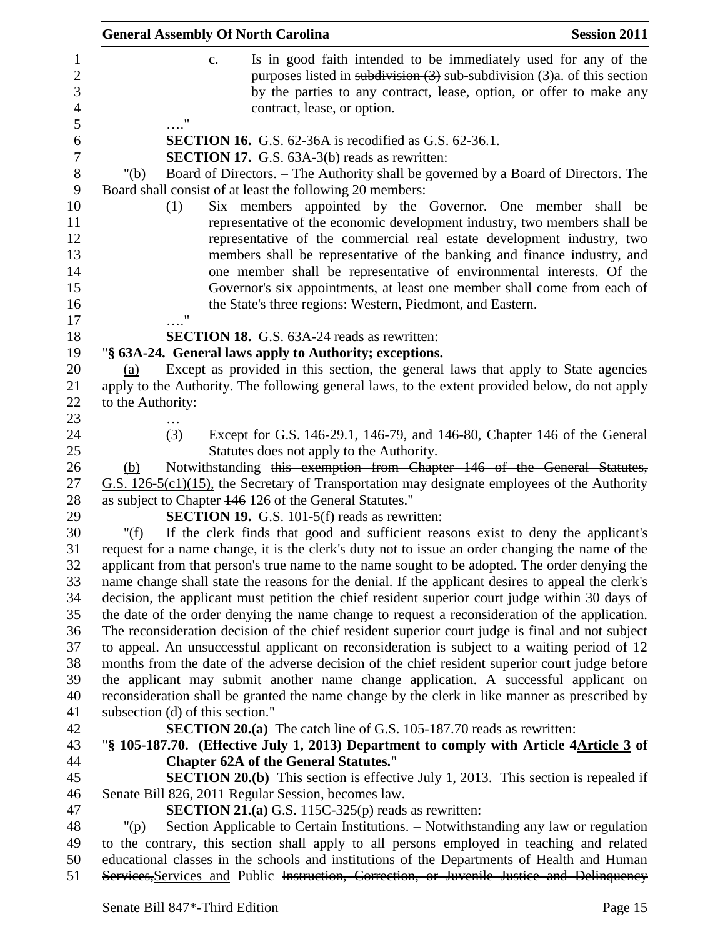| <b>General Assembly Of North Carolina</b> |                                                                                                                 | <b>Session 2011</b>                                                                                                                                                                                                     |
|-------------------------------------------|-----------------------------------------------------------------------------------------------------------------|-------------------------------------------------------------------------------------------------------------------------------------------------------------------------------------------------------------------------|
| c.                                        | contract, lease, or option.                                                                                     | Is in good faith intended to be immediately used for any of the<br>purposes listed in subdivision $(3)$ sub-subdivision $(3)a$ , of this section<br>by the parties to any contract, lease, option, or offer to make any |
|                                           |                                                                                                                 |                                                                                                                                                                                                                         |
|                                           | <b>SECTION 16.</b> G.S. 62-36A is recodified as G.S. 62-36.1.                                                   |                                                                                                                                                                                                                         |
|                                           | <b>SECTION 17.</b> G.S. 63A-3(b) reads as rewritten:                                                            |                                                                                                                                                                                                                         |
| " $(b)$                                   | Board shall consist of at least the following 20 members:                                                       | Board of Directors. – The Authority shall be governed by a Board of Directors. The                                                                                                                                      |
| (1)                                       |                                                                                                                 | Six members appointed by the Governor. One member shall be                                                                                                                                                              |
|                                           |                                                                                                                 | representative of the economic development industry, two members shall be                                                                                                                                               |
|                                           |                                                                                                                 | representative of the commercial real estate development industry, two                                                                                                                                                  |
|                                           |                                                                                                                 | members shall be representative of the banking and finance industry, and                                                                                                                                                |
|                                           |                                                                                                                 | one member shall be representative of environmental interests. Of the                                                                                                                                                   |
|                                           |                                                                                                                 | Governor's six appointments, at least one member shall come from each of                                                                                                                                                |
|                                           | the State's three regions: Western, Piedmont, and Eastern.                                                      |                                                                                                                                                                                                                         |
| 11                                        |                                                                                                                 |                                                                                                                                                                                                                         |
|                                           | <b>SECTION 18.</b> G.S. 63A-24 reads as rewritten:                                                              |                                                                                                                                                                                                                         |
|                                           | "§ 63A-24. General laws apply to Authority; exceptions.                                                         |                                                                                                                                                                                                                         |
| (a)                                       |                                                                                                                 | Except as provided in this section, the general laws that apply to State agencies                                                                                                                                       |
|                                           |                                                                                                                 | apply to the Authority. The following general laws, to the extent provided below, do not apply                                                                                                                          |
| to the Authority:                         |                                                                                                                 |                                                                                                                                                                                                                         |
|                                           |                                                                                                                 |                                                                                                                                                                                                                         |
| (3)                                       |                                                                                                                 | Except for G.S. 146-29.1, 146-79, and 146-80, Chapter 146 of the General                                                                                                                                                |
|                                           | Statutes does not apply to the Authority.                                                                       |                                                                                                                                                                                                                         |
| (b)                                       |                                                                                                                 | Notwithstanding this exemption from Chapter 146 of the General Statutes,                                                                                                                                                |
|                                           |                                                                                                                 | $G.S. 126-5(c1)(15)$ , the Secretary of Transportation may designate employees of the Authority                                                                                                                         |
|                                           | as subject to Chapter 146 126 of the General Statutes."<br><b>SECTION 19.</b> G.S. 101-5(f) reads as rewritten: |                                                                                                                                                                                                                         |
| " $(f)$                                   |                                                                                                                 | If the clerk finds that good and sufficient reasons exist to deny the applicant's                                                                                                                                       |
|                                           |                                                                                                                 | request for a name change, it is the clerk's duty not to issue an order changing the name of the                                                                                                                        |
|                                           |                                                                                                                 | applicant from that person's true name to the name sought to be adopted. The order denying the                                                                                                                          |
|                                           |                                                                                                                 | name change shall state the reasons for the denial. If the applicant desires to appeal the clerk's                                                                                                                      |
|                                           |                                                                                                                 | decision, the applicant must petition the chief resident superior court judge within 30 days of                                                                                                                         |
|                                           |                                                                                                                 | the date of the order denying the name change to request a reconsideration of the application.                                                                                                                          |
|                                           |                                                                                                                 | The reconsideration decision of the chief resident superior court judge is final and not subject                                                                                                                        |
|                                           |                                                                                                                 | to appeal. An unsuccessful applicant on reconsideration is subject to a waiting period of 12                                                                                                                            |
|                                           |                                                                                                                 | months from the date of the adverse decision of the chief resident superior court judge before                                                                                                                          |
|                                           |                                                                                                                 | the applicant may submit another name change application. A successful applicant on                                                                                                                                     |
|                                           |                                                                                                                 | reconsideration shall be granted the name change by the clerk in like manner as prescribed by                                                                                                                           |
| subsection (d) of this section."          |                                                                                                                 |                                                                                                                                                                                                                         |
|                                           | <b>SECTION 20.(a)</b> The catch line of G.S. 105-187.70 reads as rewritten:                                     |                                                                                                                                                                                                                         |
|                                           |                                                                                                                 | "§ 105-187.70. (Effective July 1, 2013) Department to comply with Article 4 Article 3 of                                                                                                                                |
|                                           | <b>Chapter 62A of the General Statutes."</b>                                                                    |                                                                                                                                                                                                                         |
|                                           |                                                                                                                 | <b>SECTION 20.(b)</b> This section is effective July 1, 2013. This section is repealed if                                                                                                                               |
|                                           | Senate Bill 826, 2011 Regular Session, becomes law.                                                             |                                                                                                                                                                                                                         |
|                                           | <b>SECTION 21.(a)</b> G.S. 115C-325(p) reads as rewritten:                                                      |                                                                                                                                                                                                                         |
| $"(\mathsf{p})$                           |                                                                                                                 | Section Applicable to Certain Institutions. – Notwithstanding any law or regulation                                                                                                                                     |
|                                           |                                                                                                                 | to the contrary, this section shall apply to all persons employed in teaching and related                                                                                                                               |
|                                           |                                                                                                                 | educational classes in the schools and institutions of the Departments of Health and Human<br>Services, Services and Public Instruction, Correction, or Juvenile Justice and Delinquency                                |
|                                           |                                                                                                                 |                                                                                                                                                                                                                         |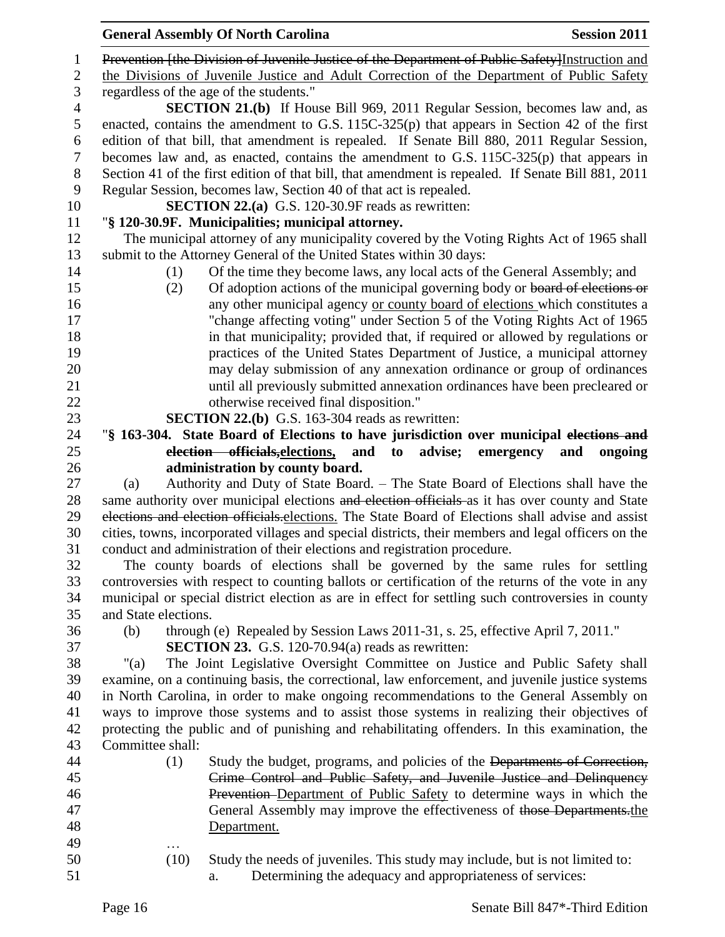| <b>General Assembly Of North Carolina</b><br><b>Session 2011</b>                                    |
|-----------------------------------------------------------------------------------------------------|
| Prevention [the Division of Juvenile Justice of the Department of Public Safety] Instruction and    |
| the Divisions of Juvenile Justice and Adult Correction of the Department of Public Safety           |
| regardless of the age of the students."                                                             |
| <b>SECTION 21.(b)</b> If House Bill 969, 2011 Regular Session, becomes law and, as                  |
| enacted, contains the amendment to G.S. $115C-325(p)$ that appears in Section 42 of the first       |
| edition of that bill, that amendment is repealed. If Senate Bill 880, 2011 Regular Session,         |
| becomes law and, as enacted, contains the amendment to G.S. $115C-325(p)$ that appears in           |
| Section 41 of the first edition of that bill, that amendment is repealed. If Senate Bill 881, 2011  |
| Regular Session, becomes law, Section 40 of that act is repealed.                                   |
| <b>SECTION 22.(a)</b> G.S. 120-30.9F reads as rewritten:                                            |
| "§ 120-30.9F. Municipalities; municipal attorney.                                                   |
| The municipal attorney of any municipality covered by the Voting Rights Act of 1965 shall           |
| submit to the Attorney General of the United States within 30 days:                                 |
| Of the time they become laws, any local acts of the General Assembly; and<br>(1)                    |
| Of adoption actions of the municipal governing body or board of elections or<br>(2)                 |
| any other municipal agency or county board of elections which constitutes a                         |
| "change affecting voting" under Section 5 of the Voting Rights Act of 1965                          |
| in that municipality; provided that, if required or allowed by regulations or                       |
| practices of the United States Department of Justice, a municipal attorney                          |
| may delay submission of any annexation ordinance or group of ordinances                             |
| until all previously submitted annexation ordinances have been precleared or                        |
| otherwise received final disposition."                                                              |
| <b>SECTION 22.(b)</b> G.S. 163-304 reads as rewritten:                                              |
| "§ 163-304. State Board of Elections to have jurisdiction over municipal elections and              |
| election officials, elections,<br>and<br>advise;<br>emergency<br>to<br>ongoing<br>and               |
| administration by county board.                                                                     |
| Authority and Duty of State Board. - The State Board of Elections shall have the<br>(a)             |
| same authority over municipal elections and election officials as it has over county and State      |
| elections and election officials elections. The State Board of Elections shall advise and assist    |
| cities, towns, incorporated villages and special districts, their members and legal officers on the |
| conduct and administration of their elections and registration procedure.                           |
| The county boards of elections shall be governed by the same rules for settling                     |
| controversies with respect to counting ballots or certification of the returns of the vote in any   |
| municipal or special district election as are in effect for settling such controversies in county   |
| and State elections.                                                                                |
| through (e) Repealed by Session Laws 2011-31, s. 25, effective April 7, 2011."<br>(b)               |
| <b>SECTION 23.</b> G.S. 120-70.94(a) reads as rewritten:                                            |
| The Joint Legislative Oversight Committee on Justice and Public Safety shall<br>" $(a)$             |
| examine, on a continuing basis, the correctional, law enforcement, and juvenile justice systems     |
| in North Carolina, in order to make ongoing recommendations to the General Assembly on              |
| ways to improve those systems and to assist those systems in realizing their objectives of          |
| protecting the public and of punishing and rehabilitating offenders. In this examination, the       |
| Committee shall:                                                                                    |
| Study the budget, programs, and policies of the Departments of Correction,<br>(1)                   |
| Crime Control and Public Safety, and Juvenile Justice and Delinquency                               |
| Prevention–Department of Public Safety to determine ways in which the                               |
| General Assembly may improve the effectiveness of those Departments.the                             |
| Department.                                                                                         |
|                                                                                                     |
| Study the needs of juveniles. This study may include, but is not limited to:<br>(10)                |
| Determining the adequacy and appropriateness of services:<br>a.                                     |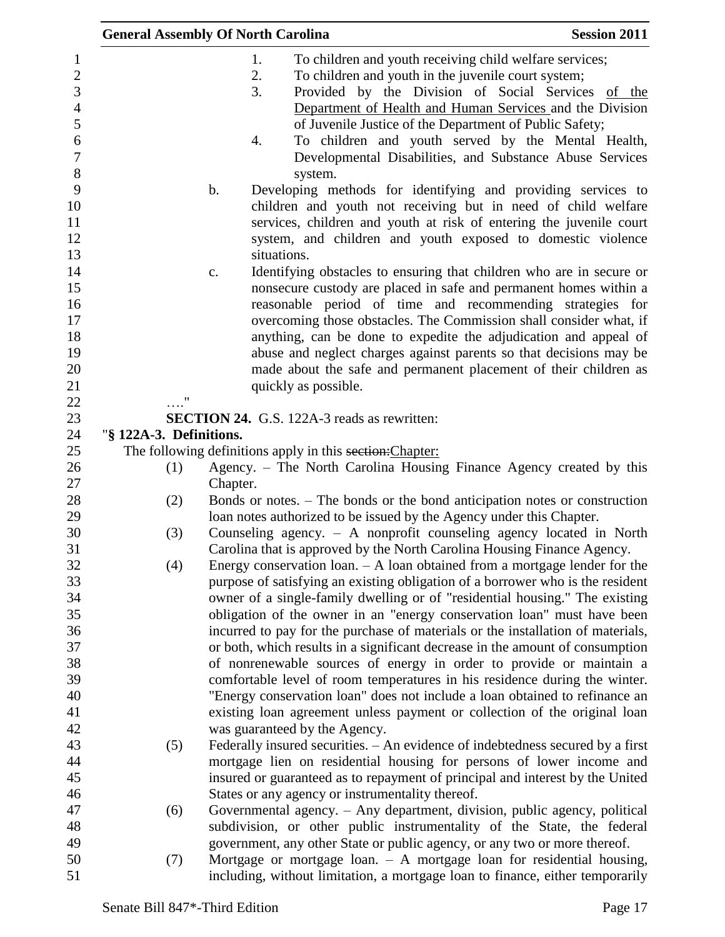| <b>General Assembly Of North Carolina</b>                                     | <b>Session 2011</b>                                                                                                                                                                                                                                                                                                                                                                                                                                                                                                                                                                                                                                                                                                                                                                                                                                                                                                                                                                                                                                                                                                                                                                                                                                                                                                                                                                                                                                                                                                                                                                                                                                                                                                                                                                                                                                                                                                                                                                                                                                                                                                                                                                                                                                                                                                                                                                                                                                                                                                                                                                                                                                                                                                                                                                                                                                                                                                                                                                                                                                                                                                                                                                                                                                                                                        |
|-------------------------------------------------------------------------------|------------------------------------------------------------------------------------------------------------------------------------------------------------------------------------------------------------------------------------------------------------------------------------------------------------------------------------------------------------------------------------------------------------------------------------------------------------------------------------------------------------------------------------------------------------------------------------------------------------------------------------------------------------------------------------------------------------------------------------------------------------------------------------------------------------------------------------------------------------------------------------------------------------------------------------------------------------------------------------------------------------------------------------------------------------------------------------------------------------------------------------------------------------------------------------------------------------------------------------------------------------------------------------------------------------------------------------------------------------------------------------------------------------------------------------------------------------------------------------------------------------------------------------------------------------------------------------------------------------------------------------------------------------------------------------------------------------------------------------------------------------------------------------------------------------------------------------------------------------------------------------------------------------------------------------------------------------------------------------------------------------------------------------------------------------------------------------------------------------------------------------------------------------------------------------------------------------------------------------------------------------------------------------------------------------------------------------------------------------------------------------------------------------------------------------------------------------------------------------------------------------------------------------------------------------------------------------------------------------------------------------------------------------------------------------------------------------------------------------------------------------------------------------------------------------------------------------------------------------------------------------------------------------------------------------------------------------------------------------------------------------------------------------------------------------------------------------------------------------------------------------------------------------------------------------------------------------------------------------------------------------------------------------------------------------|
|                                                                               |                                                                                                                                                                                                                                                                                                                                                                                                                                                                                                                                                                                                                                                                                                                                                                                                                                                                                                                                                                                                                                                                                                                                                                                                                                                                                                                                                                                                                                                                                                                                                                                                                                                                                                                                                                                                                                                                                                                                                                                                                                                                                                                                                                                                                                                                                                                                                                                                                                                                                                                                                                                                                                                                                                                                                                                                                                                                                                                                                                                                                                                                                                                                                                                                                                                                                                            |
|                                                                               |                                                                                                                                                                                                                                                                                                                                                                                                                                                                                                                                                                                                                                                                                                                                                                                                                                                                                                                                                                                                                                                                                                                                                                                                                                                                                                                                                                                                                                                                                                                                                                                                                                                                                                                                                                                                                                                                                                                                                                                                                                                                                                                                                                                                                                                                                                                                                                                                                                                                                                                                                                                                                                                                                                                                                                                                                                                                                                                                                                                                                                                                                                                                                                                                                                                                                                            |
|                                                                               |                                                                                                                                                                                                                                                                                                                                                                                                                                                                                                                                                                                                                                                                                                                                                                                                                                                                                                                                                                                                                                                                                                                                                                                                                                                                                                                                                                                                                                                                                                                                                                                                                                                                                                                                                                                                                                                                                                                                                                                                                                                                                                                                                                                                                                                                                                                                                                                                                                                                                                                                                                                                                                                                                                                                                                                                                                                                                                                                                                                                                                                                                                                                                                                                                                                                                                            |
|                                                                               |                                                                                                                                                                                                                                                                                                                                                                                                                                                                                                                                                                                                                                                                                                                                                                                                                                                                                                                                                                                                                                                                                                                                                                                                                                                                                                                                                                                                                                                                                                                                                                                                                                                                                                                                                                                                                                                                                                                                                                                                                                                                                                                                                                                                                                                                                                                                                                                                                                                                                                                                                                                                                                                                                                                                                                                                                                                                                                                                                                                                                                                                                                                                                                                                                                                                                                            |
|                                                                               |                                                                                                                                                                                                                                                                                                                                                                                                                                                                                                                                                                                                                                                                                                                                                                                                                                                                                                                                                                                                                                                                                                                                                                                                                                                                                                                                                                                                                                                                                                                                                                                                                                                                                                                                                                                                                                                                                                                                                                                                                                                                                                                                                                                                                                                                                                                                                                                                                                                                                                                                                                                                                                                                                                                                                                                                                                                                                                                                                                                                                                                                                                                                                                                                                                                                                                            |
|                                                                               |                                                                                                                                                                                                                                                                                                                                                                                                                                                                                                                                                                                                                                                                                                                                                                                                                                                                                                                                                                                                                                                                                                                                                                                                                                                                                                                                                                                                                                                                                                                                                                                                                                                                                                                                                                                                                                                                                                                                                                                                                                                                                                                                                                                                                                                                                                                                                                                                                                                                                                                                                                                                                                                                                                                                                                                                                                                                                                                                                                                                                                                                                                                                                                                                                                                                                                            |
|                                                                               |                                                                                                                                                                                                                                                                                                                                                                                                                                                                                                                                                                                                                                                                                                                                                                                                                                                                                                                                                                                                                                                                                                                                                                                                                                                                                                                                                                                                                                                                                                                                                                                                                                                                                                                                                                                                                                                                                                                                                                                                                                                                                                                                                                                                                                                                                                                                                                                                                                                                                                                                                                                                                                                                                                                                                                                                                                                                                                                                                                                                                                                                                                                                                                                                                                                                                                            |
|                                                                               |                                                                                                                                                                                                                                                                                                                                                                                                                                                                                                                                                                                                                                                                                                                                                                                                                                                                                                                                                                                                                                                                                                                                                                                                                                                                                                                                                                                                                                                                                                                                                                                                                                                                                                                                                                                                                                                                                                                                                                                                                                                                                                                                                                                                                                                                                                                                                                                                                                                                                                                                                                                                                                                                                                                                                                                                                                                                                                                                                                                                                                                                                                                                                                                                                                                                                                            |
|                                                                               |                                                                                                                                                                                                                                                                                                                                                                                                                                                                                                                                                                                                                                                                                                                                                                                                                                                                                                                                                                                                                                                                                                                                                                                                                                                                                                                                                                                                                                                                                                                                                                                                                                                                                                                                                                                                                                                                                                                                                                                                                                                                                                                                                                                                                                                                                                                                                                                                                                                                                                                                                                                                                                                                                                                                                                                                                                                                                                                                                                                                                                                                                                                                                                                                                                                                                                            |
|                                                                               |                                                                                                                                                                                                                                                                                                                                                                                                                                                                                                                                                                                                                                                                                                                                                                                                                                                                                                                                                                                                                                                                                                                                                                                                                                                                                                                                                                                                                                                                                                                                                                                                                                                                                                                                                                                                                                                                                                                                                                                                                                                                                                                                                                                                                                                                                                                                                                                                                                                                                                                                                                                                                                                                                                                                                                                                                                                                                                                                                                                                                                                                                                                                                                                                                                                                                                            |
|                                                                               |                                                                                                                                                                                                                                                                                                                                                                                                                                                                                                                                                                                                                                                                                                                                                                                                                                                                                                                                                                                                                                                                                                                                                                                                                                                                                                                                                                                                                                                                                                                                                                                                                                                                                                                                                                                                                                                                                                                                                                                                                                                                                                                                                                                                                                                                                                                                                                                                                                                                                                                                                                                                                                                                                                                                                                                                                                                                                                                                                                                                                                                                                                                                                                                                                                                                                                            |
|                                                                               |                                                                                                                                                                                                                                                                                                                                                                                                                                                                                                                                                                                                                                                                                                                                                                                                                                                                                                                                                                                                                                                                                                                                                                                                                                                                                                                                                                                                                                                                                                                                                                                                                                                                                                                                                                                                                                                                                                                                                                                                                                                                                                                                                                                                                                                                                                                                                                                                                                                                                                                                                                                                                                                                                                                                                                                                                                                                                                                                                                                                                                                                                                                                                                                                                                                                                                            |
|                                                                               |                                                                                                                                                                                                                                                                                                                                                                                                                                                                                                                                                                                                                                                                                                                                                                                                                                                                                                                                                                                                                                                                                                                                                                                                                                                                                                                                                                                                                                                                                                                                                                                                                                                                                                                                                                                                                                                                                                                                                                                                                                                                                                                                                                                                                                                                                                                                                                                                                                                                                                                                                                                                                                                                                                                                                                                                                                                                                                                                                                                                                                                                                                                                                                                                                                                                                                            |
|                                                                               |                                                                                                                                                                                                                                                                                                                                                                                                                                                                                                                                                                                                                                                                                                                                                                                                                                                                                                                                                                                                                                                                                                                                                                                                                                                                                                                                                                                                                                                                                                                                                                                                                                                                                                                                                                                                                                                                                                                                                                                                                                                                                                                                                                                                                                                                                                                                                                                                                                                                                                                                                                                                                                                                                                                                                                                                                                                                                                                                                                                                                                                                                                                                                                                                                                                                                                            |
|                                                                               |                                                                                                                                                                                                                                                                                                                                                                                                                                                                                                                                                                                                                                                                                                                                                                                                                                                                                                                                                                                                                                                                                                                                                                                                                                                                                                                                                                                                                                                                                                                                                                                                                                                                                                                                                                                                                                                                                                                                                                                                                                                                                                                                                                                                                                                                                                                                                                                                                                                                                                                                                                                                                                                                                                                                                                                                                                                                                                                                                                                                                                                                                                                                                                                                                                                                                                            |
|                                                                               |                                                                                                                                                                                                                                                                                                                                                                                                                                                                                                                                                                                                                                                                                                                                                                                                                                                                                                                                                                                                                                                                                                                                                                                                                                                                                                                                                                                                                                                                                                                                                                                                                                                                                                                                                                                                                                                                                                                                                                                                                                                                                                                                                                                                                                                                                                                                                                                                                                                                                                                                                                                                                                                                                                                                                                                                                                                                                                                                                                                                                                                                                                                                                                                                                                                                                                            |
|                                                                               |                                                                                                                                                                                                                                                                                                                                                                                                                                                                                                                                                                                                                                                                                                                                                                                                                                                                                                                                                                                                                                                                                                                                                                                                                                                                                                                                                                                                                                                                                                                                                                                                                                                                                                                                                                                                                                                                                                                                                                                                                                                                                                                                                                                                                                                                                                                                                                                                                                                                                                                                                                                                                                                                                                                                                                                                                                                                                                                                                                                                                                                                                                                                                                                                                                                                                                            |
|                                                                               |                                                                                                                                                                                                                                                                                                                                                                                                                                                                                                                                                                                                                                                                                                                                                                                                                                                                                                                                                                                                                                                                                                                                                                                                                                                                                                                                                                                                                                                                                                                                                                                                                                                                                                                                                                                                                                                                                                                                                                                                                                                                                                                                                                                                                                                                                                                                                                                                                                                                                                                                                                                                                                                                                                                                                                                                                                                                                                                                                                                                                                                                                                                                                                                                                                                                                                            |
|                                                                               |                                                                                                                                                                                                                                                                                                                                                                                                                                                                                                                                                                                                                                                                                                                                                                                                                                                                                                                                                                                                                                                                                                                                                                                                                                                                                                                                                                                                                                                                                                                                                                                                                                                                                                                                                                                                                                                                                                                                                                                                                                                                                                                                                                                                                                                                                                                                                                                                                                                                                                                                                                                                                                                                                                                                                                                                                                                                                                                                                                                                                                                                                                                                                                                                                                                                                                            |
|                                                                               |                                                                                                                                                                                                                                                                                                                                                                                                                                                                                                                                                                                                                                                                                                                                                                                                                                                                                                                                                                                                                                                                                                                                                                                                                                                                                                                                                                                                                                                                                                                                                                                                                                                                                                                                                                                                                                                                                                                                                                                                                                                                                                                                                                                                                                                                                                                                                                                                                                                                                                                                                                                                                                                                                                                                                                                                                                                                                                                                                                                                                                                                                                                                                                                                                                                                                                            |
|                                                                               |                                                                                                                                                                                                                                                                                                                                                                                                                                                                                                                                                                                                                                                                                                                                                                                                                                                                                                                                                                                                                                                                                                                                                                                                                                                                                                                                                                                                                                                                                                                                                                                                                                                                                                                                                                                                                                                                                                                                                                                                                                                                                                                                                                                                                                                                                                                                                                                                                                                                                                                                                                                                                                                                                                                                                                                                                                                                                                                                                                                                                                                                                                                                                                                                                                                                                                            |
|                                                                               |                                                                                                                                                                                                                                                                                                                                                                                                                                                                                                                                                                                                                                                                                                                                                                                                                                                                                                                                                                                                                                                                                                                                                                                                                                                                                                                                                                                                                                                                                                                                                                                                                                                                                                                                                                                                                                                                                                                                                                                                                                                                                                                                                                                                                                                                                                                                                                                                                                                                                                                                                                                                                                                                                                                                                                                                                                                                                                                                                                                                                                                                                                                                                                                                                                                                                                            |
|                                                                               |                                                                                                                                                                                                                                                                                                                                                                                                                                                                                                                                                                                                                                                                                                                                                                                                                                                                                                                                                                                                                                                                                                                                                                                                                                                                                                                                                                                                                                                                                                                                                                                                                                                                                                                                                                                                                                                                                                                                                                                                                                                                                                                                                                                                                                                                                                                                                                                                                                                                                                                                                                                                                                                                                                                                                                                                                                                                                                                                                                                                                                                                                                                                                                                                                                                                                                            |
|                                                                               |                                                                                                                                                                                                                                                                                                                                                                                                                                                                                                                                                                                                                                                                                                                                                                                                                                                                                                                                                                                                                                                                                                                                                                                                                                                                                                                                                                                                                                                                                                                                                                                                                                                                                                                                                                                                                                                                                                                                                                                                                                                                                                                                                                                                                                                                                                                                                                                                                                                                                                                                                                                                                                                                                                                                                                                                                                                                                                                                                                                                                                                                                                                                                                                                                                                                                                            |
|                                                                               |                                                                                                                                                                                                                                                                                                                                                                                                                                                                                                                                                                                                                                                                                                                                                                                                                                                                                                                                                                                                                                                                                                                                                                                                                                                                                                                                                                                                                                                                                                                                                                                                                                                                                                                                                                                                                                                                                                                                                                                                                                                                                                                                                                                                                                                                                                                                                                                                                                                                                                                                                                                                                                                                                                                                                                                                                                                                                                                                                                                                                                                                                                                                                                                                                                                                                                            |
|                                                                               |                                                                                                                                                                                                                                                                                                                                                                                                                                                                                                                                                                                                                                                                                                                                                                                                                                                                                                                                                                                                                                                                                                                                                                                                                                                                                                                                                                                                                                                                                                                                                                                                                                                                                                                                                                                                                                                                                                                                                                                                                                                                                                                                                                                                                                                                                                                                                                                                                                                                                                                                                                                                                                                                                                                                                                                                                                                                                                                                                                                                                                                                                                                                                                                                                                                                                                            |
|                                                                               |                                                                                                                                                                                                                                                                                                                                                                                                                                                                                                                                                                                                                                                                                                                                                                                                                                                                                                                                                                                                                                                                                                                                                                                                                                                                                                                                                                                                                                                                                                                                                                                                                                                                                                                                                                                                                                                                                                                                                                                                                                                                                                                                                                                                                                                                                                                                                                                                                                                                                                                                                                                                                                                                                                                                                                                                                                                                                                                                                                                                                                                                                                                                                                                                                                                                                                            |
|                                                                               |                                                                                                                                                                                                                                                                                                                                                                                                                                                                                                                                                                                                                                                                                                                                                                                                                                                                                                                                                                                                                                                                                                                                                                                                                                                                                                                                                                                                                                                                                                                                                                                                                                                                                                                                                                                                                                                                                                                                                                                                                                                                                                                                                                                                                                                                                                                                                                                                                                                                                                                                                                                                                                                                                                                                                                                                                                                                                                                                                                                                                                                                                                                                                                                                                                                                                                            |
|                                                                               |                                                                                                                                                                                                                                                                                                                                                                                                                                                                                                                                                                                                                                                                                                                                                                                                                                                                                                                                                                                                                                                                                                                                                                                                                                                                                                                                                                                                                                                                                                                                                                                                                                                                                                                                                                                                                                                                                                                                                                                                                                                                                                                                                                                                                                                                                                                                                                                                                                                                                                                                                                                                                                                                                                                                                                                                                                                                                                                                                                                                                                                                                                                                                                                                                                                                                                            |
|                                                                               |                                                                                                                                                                                                                                                                                                                                                                                                                                                                                                                                                                                                                                                                                                                                                                                                                                                                                                                                                                                                                                                                                                                                                                                                                                                                                                                                                                                                                                                                                                                                                                                                                                                                                                                                                                                                                                                                                                                                                                                                                                                                                                                                                                                                                                                                                                                                                                                                                                                                                                                                                                                                                                                                                                                                                                                                                                                                                                                                                                                                                                                                                                                                                                                                                                                                                                            |
|                                                                               |                                                                                                                                                                                                                                                                                                                                                                                                                                                                                                                                                                                                                                                                                                                                                                                                                                                                                                                                                                                                                                                                                                                                                                                                                                                                                                                                                                                                                                                                                                                                                                                                                                                                                                                                                                                                                                                                                                                                                                                                                                                                                                                                                                                                                                                                                                                                                                                                                                                                                                                                                                                                                                                                                                                                                                                                                                                                                                                                                                                                                                                                                                                                                                                                                                                                                                            |
|                                                                               |                                                                                                                                                                                                                                                                                                                                                                                                                                                                                                                                                                                                                                                                                                                                                                                                                                                                                                                                                                                                                                                                                                                                                                                                                                                                                                                                                                                                                                                                                                                                                                                                                                                                                                                                                                                                                                                                                                                                                                                                                                                                                                                                                                                                                                                                                                                                                                                                                                                                                                                                                                                                                                                                                                                                                                                                                                                                                                                                                                                                                                                                                                                                                                                                                                                                                                            |
|                                                                               |                                                                                                                                                                                                                                                                                                                                                                                                                                                                                                                                                                                                                                                                                                                                                                                                                                                                                                                                                                                                                                                                                                                                                                                                                                                                                                                                                                                                                                                                                                                                                                                                                                                                                                                                                                                                                                                                                                                                                                                                                                                                                                                                                                                                                                                                                                                                                                                                                                                                                                                                                                                                                                                                                                                                                                                                                                                                                                                                                                                                                                                                                                                                                                                                                                                                                                            |
|                                                                               |                                                                                                                                                                                                                                                                                                                                                                                                                                                                                                                                                                                                                                                                                                                                                                                                                                                                                                                                                                                                                                                                                                                                                                                                                                                                                                                                                                                                                                                                                                                                                                                                                                                                                                                                                                                                                                                                                                                                                                                                                                                                                                                                                                                                                                                                                                                                                                                                                                                                                                                                                                                                                                                                                                                                                                                                                                                                                                                                                                                                                                                                                                                                                                                                                                                                                                            |
|                                                                               |                                                                                                                                                                                                                                                                                                                                                                                                                                                                                                                                                                                                                                                                                                                                                                                                                                                                                                                                                                                                                                                                                                                                                                                                                                                                                                                                                                                                                                                                                                                                                                                                                                                                                                                                                                                                                                                                                                                                                                                                                                                                                                                                                                                                                                                                                                                                                                                                                                                                                                                                                                                                                                                                                                                                                                                                                                                                                                                                                                                                                                                                                                                                                                                                                                                                                                            |
|                                                                               |                                                                                                                                                                                                                                                                                                                                                                                                                                                                                                                                                                                                                                                                                                                                                                                                                                                                                                                                                                                                                                                                                                                                                                                                                                                                                                                                                                                                                                                                                                                                                                                                                                                                                                                                                                                                                                                                                                                                                                                                                                                                                                                                                                                                                                                                                                                                                                                                                                                                                                                                                                                                                                                                                                                                                                                                                                                                                                                                                                                                                                                                                                                                                                                                                                                                                                            |
|                                                                               |                                                                                                                                                                                                                                                                                                                                                                                                                                                                                                                                                                                                                                                                                                                                                                                                                                                                                                                                                                                                                                                                                                                                                                                                                                                                                                                                                                                                                                                                                                                                                                                                                                                                                                                                                                                                                                                                                                                                                                                                                                                                                                                                                                                                                                                                                                                                                                                                                                                                                                                                                                                                                                                                                                                                                                                                                                                                                                                                                                                                                                                                                                                                                                                                                                                                                                            |
|                                                                               |                                                                                                                                                                                                                                                                                                                                                                                                                                                                                                                                                                                                                                                                                                                                                                                                                                                                                                                                                                                                                                                                                                                                                                                                                                                                                                                                                                                                                                                                                                                                                                                                                                                                                                                                                                                                                                                                                                                                                                                                                                                                                                                                                                                                                                                                                                                                                                                                                                                                                                                                                                                                                                                                                                                                                                                                                                                                                                                                                                                                                                                                                                                                                                                                                                                                                                            |
|                                                                               |                                                                                                                                                                                                                                                                                                                                                                                                                                                                                                                                                                                                                                                                                                                                                                                                                                                                                                                                                                                                                                                                                                                                                                                                                                                                                                                                                                                                                                                                                                                                                                                                                                                                                                                                                                                                                                                                                                                                                                                                                                                                                                                                                                                                                                                                                                                                                                                                                                                                                                                                                                                                                                                                                                                                                                                                                                                                                                                                                                                                                                                                                                                                                                                                                                                                                                            |
|                                                                               |                                                                                                                                                                                                                                                                                                                                                                                                                                                                                                                                                                                                                                                                                                                                                                                                                                                                                                                                                                                                                                                                                                                                                                                                                                                                                                                                                                                                                                                                                                                                                                                                                                                                                                                                                                                                                                                                                                                                                                                                                                                                                                                                                                                                                                                                                                                                                                                                                                                                                                                                                                                                                                                                                                                                                                                                                                                                                                                                                                                                                                                                                                                                                                                                                                                                                                            |
|                                                                               |                                                                                                                                                                                                                                                                                                                                                                                                                                                                                                                                                                                                                                                                                                                                                                                                                                                                                                                                                                                                                                                                                                                                                                                                                                                                                                                                                                                                                                                                                                                                                                                                                                                                                                                                                                                                                                                                                                                                                                                                                                                                                                                                                                                                                                                                                                                                                                                                                                                                                                                                                                                                                                                                                                                                                                                                                                                                                                                                                                                                                                                                                                                                                                                                                                                                                                            |
|                                                                               |                                                                                                                                                                                                                                                                                                                                                                                                                                                                                                                                                                                                                                                                                                                                                                                                                                                                                                                                                                                                                                                                                                                                                                                                                                                                                                                                                                                                                                                                                                                                                                                                                                                                                                                                                                                                                                                                                                                                                                                                                                                                                                                                                                                                                                                                                                                                                                                                                                                                                                                                                                                                                                                                                                                                                                                                                                                                                                                                                                                                                                                                                                                                                                                                                                                                                                            |
|                                                                               |                                                                                                                                                                                                                                                                                                                                                                                                                                                                                                                                                                                                                                                                                                                                                                                                                                                                                                                                                                                                                                                                                                                                                                                                                                                                                                                                                                                                                                                                                                                                                                                                                                                                                                                                                                                                                                                                                                                                                                                                                                                                                                                                                                                                                                                                                                                                                                                                                                                                                                                                                                                                                                                                                                                                                                                                                                                                                                                                                                                                                                                                                                                                                                                                                                                                                                            |
|                                                                               |                                                                                                                                                                                                                                                                                                                                                                                                                                                                                                                                                                                                                                                                                                                                                                                                                                                                                                                                                                                                                                                                                                                                                                                                                                                                                                                                                                                                                                                                                                                                                                                                                                                                                                                                                                                                                                                                                                                                                                                                                                                                                                                                                                                                                                                                                                                                                                                                                                                                                                                                                                                                                                                                                                                                                                                                                                                                                                                                                                                                                                                                                                                                                                                                                                                                                                            |
|                                                                               |                                                                                                                                                                                                                                                                                                                                                                                                                                                                                                                                                                                                                                                                                                                                                                                                                                                                                                                                                                                                                                                                                                                                                                                                                                                                                                                                                                                                                                                                                                                                                                                                                                                                                                                                                                                                                                                                                                                                                                                                                                                                                                                                                                                                                                                                                                                                                                                                                                                                                                                                                                                                                                                                                                                                                                                                                                                                                                                                                                                                                                                                                                                                                                                                                                                                                                            |
|                                                                               |                                                                                                                                                                                                                                                                                                                                                                                                                                                                                                                                                                                                                                                                                                                                                                                                                                                                                                                                                                                                                                                                                                                                                                                                                                                                                                                                                                                                                                                                                                                                                                                                                                                                                                                                                                                                                                                                                                                                                                                                                                                                                                                                                                                                                                                                                                                                                                                                                                                                                                                                                                                                                                                                                                                                                                                                                                                                                                                                                                                                                                                                                                                                                                                                                                                                                                            |
|                                                                               |                                                                                                                                                                                                                                                                                                                                                                                                                                                                                                                                                                                                                                                                                                                                                                                                                                                                                                                                                                                                                                                                                                                                                                                                                                                                                                                                                                                                                                                                                                                                                                                                                                                                                                                                                                                                                                                                                                                                                                                                                                                                                                                                                                                                                                                                                                                                                                                                                                                                                                                                                                                                                                                                                                                                                                                                                                                                                                                                                                                                                                                                                                                                                                                                                                                                                                            |
|                                                                               |                                                                                                                                                                                                                                                                                                                                                                                                                                                                                                                                                                                                                                                                                                                                                                                                                                                                                                                                                                                                                                                                                                                                                                                                                                                                                                                                                                                                                                                                                                                                                                                                                                                                                                                                                                                                                                                                                                                                                                                                                                                                                                                                                                                                                                                                                                                                                                                                                                                                                                                                                                                                                                                                                                                                                                                                                                                                                                                                                                                                                                                                                                                                                                                                                                                                                                            |
|                                                                               |                                                                                                                                                                                                                                                                                                                                                                                                                                                                                                                                                                                                                                                                                                                                                                                                                                                                                                                                                                                                                                                                                                                                                                                                                                                                                                                                                                                                                                                                                                                                                                                                                                                                                                                                                                                                                                                                                                                                                                                                                                                                                                                                                                                                                                                                                                                                                                                                                                                                                                                                                                                                                                                                                                                                                                                                                                                                                                                                                                                                                                                                                                                                                                                                                                                                                                            |
|                                                                               |                                                                                                                                                                                                                                                                                                                                                                                                                                                                                                                                                                                                                                                                                                                                                                                                                                                                                                                                                                                                                                                                                                                                                                                                                                                                                                                                                                                                                                                                                                                                                                                                                                                                                                                                                                                                                                                                                                                                                                                                                                                                                                                                                                                                                                                                                                                                                                                                                                                                                                                                                                                                                                                                                                                                                                                                                                                                                                                                                                                                                                                                                                                                                                                                                                                                                                            |
| including, without limitation, a mortgage loan to finance, either temporarily |                                                                                                                                                                                                                                                                                                                                                                                                                                                                                                                                                                                                                                                                                                                                                                                                                                                                                                                                                                                                                                                                                                                                                                                                                                                                                                                                                                                                                                                                                                                                                                                                                                                                                                                                                                                                                                                                                                                                                                                                                                                                                                                                                                                                                                                                                                                                                                                                                                                                                                                                                                                                                                                                                                                                                                                                                                                                                                                                                                                                                                                                                                                                                                                                                                                                                                            |
|                                                                               | 1.<br>To children and youth receiving child welfare services;<br>2.<br>To children and youth in the juvenile court system;<br>3.<br>Provided by the Division of Social Services of the<br>Department of Health and Human Services and the Division<br>of Juvenile Justice of the Department of Public Safety;<br>To children and youth served by the Mental Health,<br>4.<br>Developmental Disabilities, and Substance Abuse Services<br>system.<br>$\mathbf b$ .<br>Developing methods for identifying and providing services to<br>children and youth not receiving but in need of child welfare<br>services, children and youth at risk of entering the juvenile court<br>system, and children and youth exposed to domestic violence<br>situations.<br>Identifying obstacles to ensuring that children who are in secure or<br>c.<br>nonsecure custody are placed in safe and permanent homes within a<br>reasonable period of time and recommending strategies for<br>overcoming those obstacles. The Commission shall consider what, if<br>anything, can be done to expedite the adjudication and appeal of<br>abuse and neglect charges against parents so that decisions may be<br>made about the safe and permanent placement of their children as<br>quickly as possible.<br><b>SECTION 24.</b> G.S. 122A-3 reads as rewritten:<br>"§ 122A-3. Definitions.<br>The following definitions apply in this section: Chapter:<br>Agency. – The North Carolina Housing Finance Agency created by this<br>Chapter.<br>Bonds or notes. – The bonds or the bond anticipation notes or construction<br>loan notes authorized to be issued by the Agency under this Chapter.<br>Counseling agency. $-$ A nonprofit counseling agency located in North<br>Carolina that is approved by the North Carolina Housing Finance Agency.<br>Energy conservation $\text{loan.} - \text{A}$ loan obtained from a mortgage lender for the<br>purpose of satisfying an existing obligation of a borrower who is the resident<br>owner of a single-family dwelling or of "residential housing." The existing<br>obligation of the owner in an "energy conservation loan" must have been<br>incurred to pay for the purchase of materials or the installation of materials,<br>or both, which results in a significant decrease in the amount of consumption<br>of nonrenewable sources of energy in order to provide or maintain a<br>comfortable level of room temperatures in his residence during the winter.<br>"Energy conservation loan" does not include a loan obtained to refinance an<br>existing loan agreement unless payment or collection of the original loan<br>was guaranteed by the Agency.<br>Federally insured securities. - An evidence of indebtedness secured by a first<br>mortgage lien on residential housing for persons of lower income and<br>insured or guaranteed as to repayment of principal and interest by the United<br>States or any agency or instrumentality thereof.<br>Governmental agency. - Any department, division, public agency, political<br>subdivision, or other public instrumentality of the State, the federal<br>government, any other State or public agency, or any two or more thereof.<br>Mortgage or mortgage loan. - A mortgage loan for residential housing, |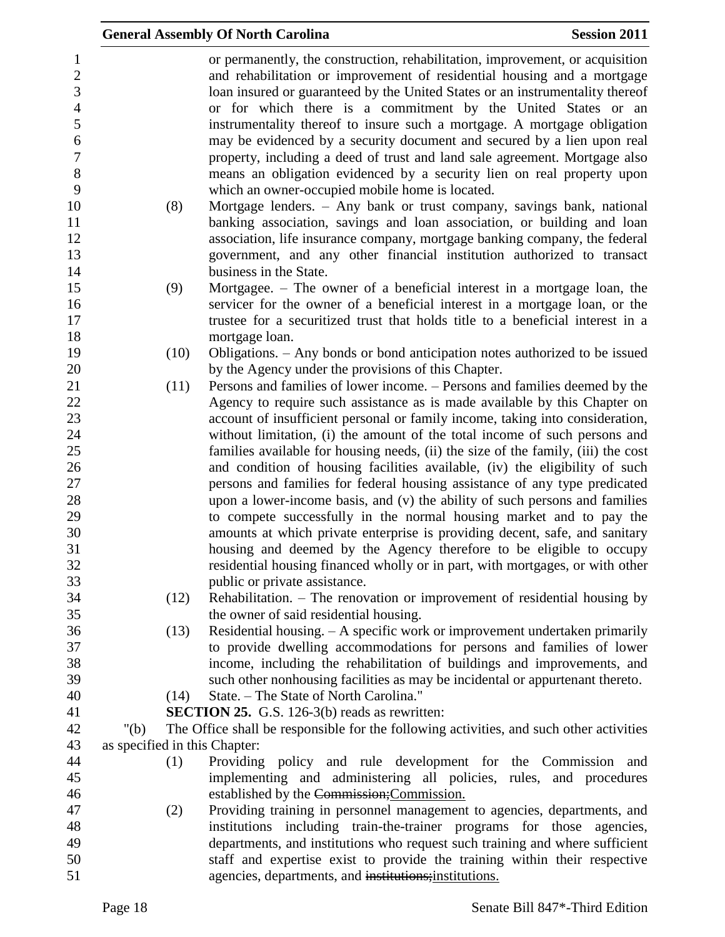|                                                                                         |         | <b>General Assembly Of North Carolina</b>                                                                                                                                                                                                                                                                                                                                              | <b>Session 2011</b> |
|-----------------------------------------------------------------------------------------|---------|----------------------------------------------------------------------------------------------------------------------------------------------------------------------------------------------------------------------------------------------------------------------------------------------------------------------------------------------------------------------------------------|---------------------|
| $\mathbf{1}$<br>$\sqrt{2}$<br>$\overline{3}$<br>$\overline{4}$<br>5<br>$\boldsymbol{6}$ |         | or permanently, the construction, rehabilitation, improvement, or acquisition<br>and rehabilitation or improvement of residential housing and a mortgage<br>loan insured or guaranteed by the United States or an instrumentality thereof<br>or for which there is a commitment by the United States or an<br>instrumentality thereof to insure such a mortgage. A mortgage obligation |                     |
| $\overline{7}$<br>8<br>9                                                                |         | may be evidenced by a security document and secured by a lien upon real<br>property, including a deed of trust and land sale agreement. Mortgage also<br>means an obligation evidenced by a security lien on real property upon<br>which an owner-occupied mobile home is located.                                                                                                     |                     |
| 10<br>11<br>12<br>13<br>14                                                              | (8)     | Mortgage lenders. - Any bank or trust company, savings bank, national<br>banking association, savings and loan association, or building and loan<br>association, life insurance company, mortgage banking company, the federal<br>government, and any other financial institution authorized to transact<br>business in the State.                                                     |                     |
| 15<br>16<br>17<br>18                                                                    | (9)     | Mortgagee. – The owner of a beneficial interest in a mortgage loan, the<br>servicer for the owner of a beneficial interest in a mortgage loan, or the<br>trustee for a securitized trust that holds title to a beneficial interest in a<br>mortgage loan.                                                                                                                              |                     |
| 19<br>20                                                                                | (10)    | Obligations. - Any bonds or bond anticipation notes authorized to be issued<br>by the Agency under the provisions of this Chapter.                                                                                                                                                                                                                                                     |                     |
| 21<br>22                                                                                | (11)    | Persons and families of lower income. – Persons and families deemed by the<br>Agency to require such assistance as is made available by this Chapter on                                                                                                                                                                                                                                |                     |
| 23<br>24<br>25                                                                          |         | account of insufficient personal or family income, taking into consideration,<br>without limitation, (i) the amount of the total income of such persons and<br>families available for housing needs, (ii) the size of the family, (iii) the cost                                                                                                                                       |                     |
| 26<br>27<br>28                                                                          |         | and condition of housing facilities available, (iv) the eligibility of such<br>persons and families for federal housing assistance of any type predicated<br>upon a lower-income basis, and (v) the ability of such persons and families                                                                                                                                               |                     |
| 29<br>30                                                                                |         | to compete successfully in the normal housing market and to pay the<br>amounts at which private enterprise is providing decent, safe, and sanitary                                                                                                                                                                                                                                     |                     |
| 31<br>32<br>33                                                                          |         | housing and deemed by the Agency therefore to be eligible to occupy<br>residential housing financed wholly or in part, with mortgages, or with other<br>public or private assistance.                                                                                                                                                                                                  |                     |
| 34<br>35                                                                                | (12)    | Rehabilitation. - The renovation or improvement of residential housing by<br>the owner of said residential housing.                                                                                                                                                                                                                                                                    |                     |
| 36<br>37<br>38<br>39                                                                    | (13)    | Residential housing. $- A$ specific work or improvement undertaken primarily<br>to provide dwelling accommodations for persons and families of lower<br>income, including the rehabilitation of buildings and improvements, and<br>such other nonhousing facilities as may be incidental or appurtenant thereto.                                                                       |                     |
| 40                                                                                      | (14)    | State. - The State of North Carolina."                                                                                                                                                                                                                                                                                                                                                 |                     |
| 41                                                                                      |         | <b>SECTION 25.</b> G.S. 126-3(b) reads as rewritten:                                                                                                                                                                                                                                                                                                                                   |                     |
| 42                                                                                      | " $(b)$ | The Office shall be responsible for the following activities, and such other activities                                                                                                                                                                                                                                                                                                |                     |
| 43                                                                                      |         | as specified in this Chapter:                                                                                                                                                                                                                                                                                                                                                          |                     |
| 44<br>45                                                                                | (1)     | Providing policy and rule development for the Commission and<br>implementing and administering all policies, rules, and procedures                                                                                                                                                                                                                                                     |                     |
| 46<br>47                                                                                | (2)     | established by the Commission; Commission.<br>Providing training in personnel management to agencies, departments, and                                                                                                                                                                                                                                                                 |                     |
| 48                                                                                      |         | institutions including train-the-trainer programs for those agencies,                                                                                                                                                                                                                                                                                                                  |                     |
| 49                                                                                      |         | departments, and institutions who request such training and where sufficient                                                                                                                                                                                                                                                                                                           |                     |
| 50                                                                                      |         | staff and expertise exist to provide the training within their respective                                                                                                                                                                                                                                                                                                              |                     |
| 51                                                                                      |         | agencies, departments, and institutions; institutions.                                                                                                                                                                                                                                                                                                                                 |                     |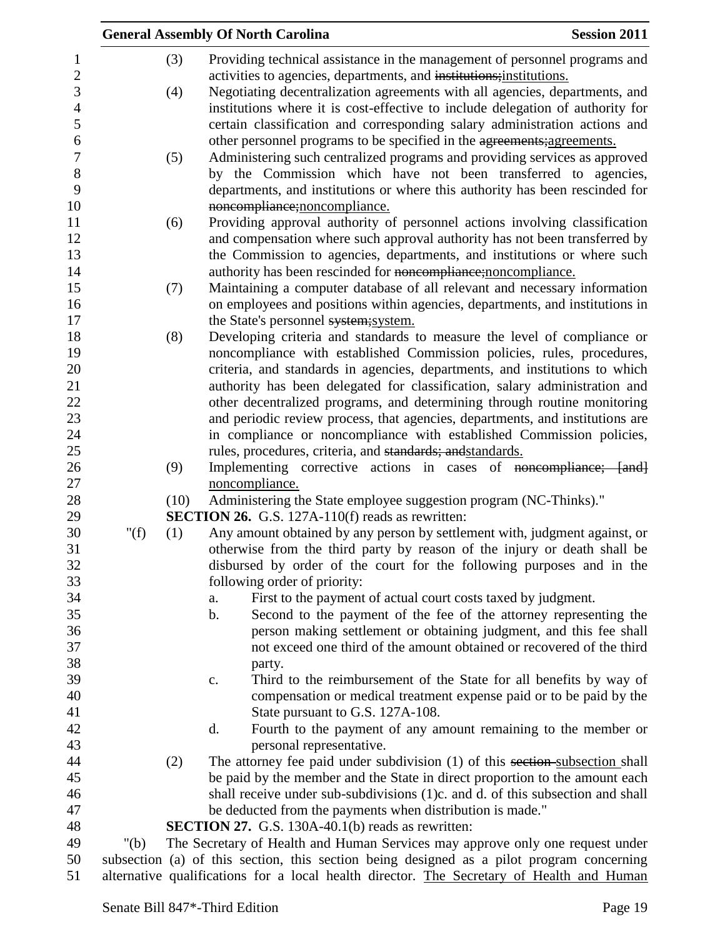|                  |         |      | <b>General Assembly Of North Carolina</b>                                                 | <b>Session 2011</b> |
|------------------|---------|------|-------------------------------------------------------------------------------------------|---------------------|
| 1                |         | (3)  | Providing technical assistance in the management of personnel programs and                |                     |
| $\overline{c}$   |         |      | activities to agencies, departments, and institutions; institutions.                      |                     |
| 3                |         | (4)  | Negotiating decentralization agreements with all agencies, departments, and               |                     |
| $\overline{4}$   |         |      | institutions where it is cost-effective to include delegation of authority for            |                     |
| 5                |         |      | certain classification and corresponding salary administration actions and                |                     |
| 6                |         |      | other personnel programs to be specified in the agreements; agreements.                   |                     |
| $\boldsymbol{7}$ |         | (5)  | Administering such centralized programs and providing services as approved                |                     |
| 8                |         |      | by the Commission which have not been transferred to agencies,                            |                     |
| 9                |         |      | departments, and institutions or where this authority has been rescinded for              |                     |
| 10               |         |      | noncompliance; noncompliance.                                                             |                     |
| 11               |         | (6)  | Providing approval authority of personnel actions involving classification                |                     |
| 12               |         |      | and compensation where such approval authority has not been transferred by                |                     |
| 13               |         |      | the Commission to agencies, departments, and institutions or where such                   |                     |
| 14               |         |      | authority has been rescinded for noncompliance; noncompliance.                            |                     |
| 15               |         | (7)  | Maintaining a computer database of all relevant and necessary information                 |                     |
| 16               |         |      | on employees and positions within agencies, departments, and institutions in              |                     |
| 17               |         |      | the State's personnel system; system.                                                     |                     |
| 18               |         | (8)  | Developing criteria and standards to measure the level of compliance or                   |                     |
| 19               |         |      | noncompliance with established Commission policies, rules, procedures,                    |                     |
| 20               |         |      | criteria, and standards in agencies, departments, and institutions to which               |                     |
| 21               |         |      | authority has been delegated for classification, salary administration and                |                     |
| 22               |         |      | other decentralized programs, and determining through routine monitoring                  |                     |
| 23               |         |      | and periodic review process, that agencies, departments, and institutions are             |                     |
| 24               |         |      | in compliance or noncompliance with established Commission policies,                      |                     |
| 25               |         |      | rules, procedures, criteria, and standards; and standards.                                |                     |
| 26               |         | (9)  | Implementing corrective actions in cases of noncompliance; [and]                          |                     |
| $27\,$           |         |      | noncompliance.                                                                            |                     |
| 28               |         | (10) | Administering the State employee suggestion program (NC-Thinks)."                         |                     |
| 29               |         |      | <b>SECTION 26.</b> G.S. 127A-110(f) reads as rewritten:                                   |                     |
| 30               | " $(f)$ | (1)  | Any amount obtained by any person by settlement with, judgment against, or                |                     |
| 31               |         |      | otherwise from the third party by reason of the injury or death shall be                  |                     |
| 32               |         |      | disbursed by order of the court for the following purposes and in the                     |                     |
| 33               |         |      | following order of priority:                                                              |                     |
| 34               |         |      | First to the payment of actual court costs taxed by judgment.<br>a.                       |                     |
| 35               |         |      | $\mathbf b$ .<br>Second to the payment of the fee of the attorney representing the        |                     |
| 36               |         |      | person making settlement or obtaining judgment, and this fee shall                        |                     |
| 37               |         |      | not exceed one third of the amount obtained or recovered of the third                     |                     |
| 38               |         |      | party.                                                                                    |                     |
| 39               |         |      | Third to the reimbursement of the State for all benefits by way of<br>c.                  |                     |
| 40               |         |      | compensation or medical treatment expense paid or to be paid by the                       |                     |
| 41               |         |      | State pursuant to G.S. 127A-108.                                                          |                     |
| 42               |         |      | Fourth to the payment of any amount remaining to the member or<br>d.                      |                     |
| 43               |         |      | personal representative.                                                                  |                     |
| 44               |         | (2)  | The attorney fee paid under subdivision (1) of this section-subsection shall              |                     |
| 45               |         |      | be paid by the member and the State in direct proportion to the amount each               |                     |
| 46               |         |      | shall receive under sub-subdivisions (1)c. and d. of this subsection and shall            |                     |
| 47               |         |      | be deducted from the payments when distribution is made."                                 |                     |
| 48               |         |      | <b>SECTION 27.</b> G.S. 130A-40.1(b) reads as rewritten:                                  |                     |
| 49               | " $(b)$ |      | The Secretary of Health and Human Services may approve only one request under             |                     |
| 50               |         |      | subsection (a) of this section, this section being designed as a pilot program concerning |                     |
| 51               |         |      | alternative qualifications for a local health director. The Secretary of Health and Human |                     |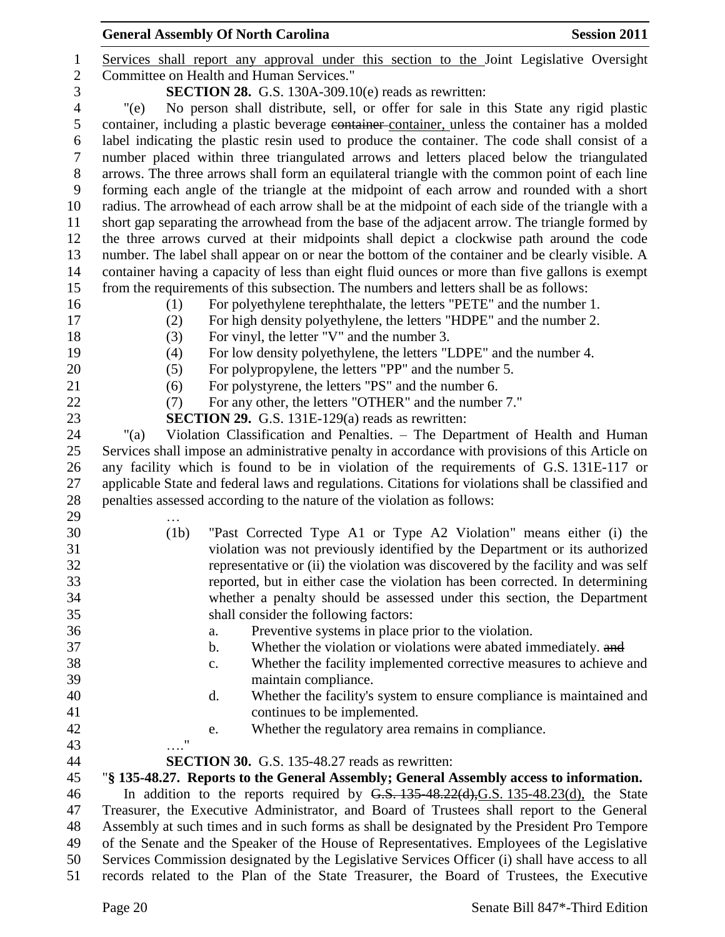|                    | <b>General Assembly Of North Carolina</b>                                                           | <b>Session 2011</b> |
|--------------------|-----------------------------------------------------------------------------------------------------|---------------------|
|                    | Services shall report any approval under this section to the Joint Legislative Oversight            |                     |
|                    | Committee on Health and Human Services."                                                            |                     |
|                    | <b>SECTION 28.</b> G.S. 130A-309.10(e) reads as rewritten:                                          |                     |
| "(e)               | No person shall distribute, sell, or offer for sale in this State any rigid plastic                 |                     |
|                    | container, including a plastic beverage container container, unless the container has a molded      |                     |
|                    | label indicating the plastic resin used to produce the container. The code shall consist of a       |                     |
|                    | number placed within three triangulated arrows and letters placed below the triangulated            |                     |
|                    | arrows. The three arrows shall form an equilateral triangle with the common point of each line      |                     |
|                    | forming each angle of the triangle at the midpoint of each arrow and rounded with a short           |                     |
|                    | radius. The arrowhead of each arrow shall be at the midpoint of each side of the triangle with a    |                     |
|                    | short gap separating the arrowhead from the base of the adjacent arrow. The triangle formed by      |                     |
|                    | the three arrows curved at their midpoints shall depict a clockwise path around the code            |                     |
|                    | number. The label shall appear on or near the bottom of the container and be clearly visible. A     |                     |
|                    | container having a capacity of less than eight fluid ounces or more than five gallons is exempt     |                     |
|                    | from the requirements of this subsection. The numbers and letters shall be as follows:              |                     |
| (1)                | For polyethylene terephthalate, the letters "PETE" and the number 1.                                |                     |
| (2)                | For high density polyethylene, the letters "HDPE" and the number 2.                                 |                     |
| (3)                | For vinyl, the letter "V" and the number 3.                                                         |                     |
| (4)                | For low density polyethylene, the letters "LDPE" and the number 4.                                  |                     |
| (5)                | For polypropylene, the letters "PP" and the number 5.                                               |                     |
| (6)                | For polystyrene, the letters "PS" and the number 6.                                                 |                     |
| (7)                | For any other, the letters "OTHER" and the number 7."                                               |                     |
|                    | <b>SECTION 29.</b> G.S. 131E-129(a) reads as rewritten:                                             |                     |
| " $(a)$            | Violation Classification and Penalties. - The Department of Health and Human                        |                     |
|                    | Services shall impose an administrative penalty in accordance with provisions of this Article on    |                     |
|                    | any facility which is found to be in violation of the requirements of G.S. 131E-117 or              |                     |
|                    | applicable State and federal laws and regulations. Citations for violations shall be classified and |                     |
|                    | penalties assessed according to the nature of the violation as follows:                             |                     |
| (1b)               | "Past Corrected Type A1 or Type A2 Violation" means either (i) the                                  |                     |
|                    | violation was not previously identified by the Department or its authorized                         |                     |
|                    | representative or (ii) the violation was discovered by the facility and was self                    |                     |
|                    | reported, but in either case the violation has been corrected. In determining                       |                     |
|                    | whether a penalty should be assessed under this section, the Department                             |                     |
|                    | shall consider the following factors:                                                               |                     |
|                    | Preventive systems in place prior to the violation.<br>a.                                           |                     |
|                    | Whether the violation or violations were abated immediately. and<br>b.                              |                     |
|                    | Whether the facility implemented corrective measures to achieve and<br>c.                           |                     |
|                    | maintain compliance.                                                                                |                     |
|                    | Whether the facility's system to ensure compliance is maintained and<br>d.                          |                     |
|                    | continues to be implemented.                                                                        |                     |
|                    | Whether the regulatory area remains in compliance.<br>e.                                            |                     |
| $\pmb{\mathsf{H}}$ |                                                                                                     |                     |
|                    | <b>SECTION 30.</b> G.S. 135-48.27 reads as rewritten:                                               |                     |
|                    | "§ 135-48.27. Reports to the General Assembly; General Assembly access to information.              |                     |
|                    | In addition to the reports required by $G.S. 135-48.22(d), G.S. 135-48.23(d)$ , the State           |                     |
|                    | Treasurer, the Executive Administrator, and Board of Trustees shall report to the General           |                     |
|                    | Assembly at such times and in such forms as shall be designated by the President Pro Tempore        |                     |
|                    | of the Senate and the Speaker of the House of Representatives. Employees of the Legislative         |                     |
|                    | Services Commission designated by the Legislative Services Officer (i) shall have access to all     |                     |
|                    | records related to the Plan of the State Treasurer, the Board of Trustees, the Executive            |                     |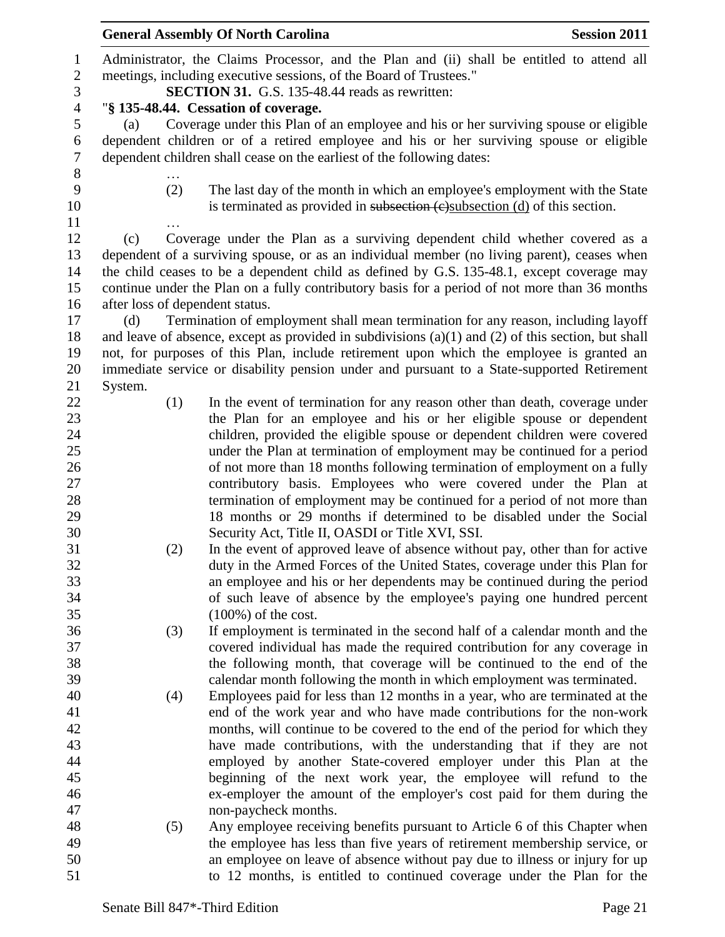|                  |                                 | <b>General Assembly Of North Carolina</b>                                                              | <b>Session 2011</b> |
|------------------|---------------------------------|--------------------------------------------------------------------------------------------------------|---------------------|
| $\mathbf{1}$     |                                 | Administrator, the Claims Processor, and the Plan and (ii) shall be entitled to attend all             |                     |
| $\mathbf{2}$     |                                 | meetings, including executive sessions, of the Board of Trustees."                                     |                     |
| 3                |                                 | <b>SECTION 31.</b> G.S. 135-48.44 reads as rewritten:                                                  |                     |
| $\overline{4}$   |                                 | "§ 135-48.44. Cessation of coverage.                                                                   |                     |
| 5                | (a)                             | Coverage under this Plan of an employee and his or her surviving spouse or eligible                    |                     |
| $\boldsymbol{6}$ |                                 | dependent children or of a retired employee and his or her surviving spouse or eligible                |                     |
| $\tau$           |                                 | dependent children shall cease on the earliest of the following dates:                                 |                     |
| $8\,$            |                                 |                                                                                                        |                     |
| 9                | (2)                             | The last day of the month in which an employee's employment with the State                             |                     |
| 10               |                                 | is terminated as provided in subsection (c) subsection (d) of this section.                            |                     |
| 11               |                                 |                                                                                                        |                     |
| 12               | (c)                             | Coverage under the Plan as a surviving dependent child whether covered as a                            |                     |
| 13               |                                 | dependent of a surviving spouse, or as an individual member (no living parent), ceases when            |                     |
| 14               |                                 | the child ceases to be a dependent child as defined by G.S. 135-48.1, except coverage may              |                     |
| 15               |                                 | continue under the Plan on a fully contributory basis for a period of not more than 36 months          |                     |
| 16               | after loss of dependent status. |                                                                                                        |                     |
| 17               | (d)                             | Termination of employment shall mean termination for any reason, including layoff                      |                     |
| 18               |                                 | and leave of absence, except as provided in subdivisions $(a)(1)$ and $(2)$ of this section, but shall |                     |
| 19               |                                 | not, for purposes of this Plan, include retirement upon which the employee is granted an               |                     |
| 20               |                                 | immediate service or disability pension under and pursuant to a State-supported Retirement             |                     |
| 21               | System.                         |                                                                                                        |                     |
| 22               | (1)                             | In the event of termination for any reason other than death, coverage under                            |                     |
| 23               |                                 | the Plan for an employee and his or her eligible spouse or dependent                                   |                     |
| 24               |                                 | children, provided the eligible spouse or dependent children were covered                              |                     |
| 25               |                                 | under the Plan at termination of employment may be continued for a period                              |                     |
| 26               |                                 | of not more than 18 months following termination of employment on a fully                              |                     |
| 27               |                                 | contributory basis. Employees who were covered under the Plan at                                       |                     |
| 28               |                                 | termination of employment may be continued for a period of not more than                               |                     |
| 29               |                                 | 18 months or 29 months if determined to be disabled under the Social                                   |                     |
| 30               |                                 | Security Act, Title II, OASDI or Title XVI, SSI.                                                       |                     |
| 31               | (2)                             | In the event of approved leave of absence without pay, other than for active                           |                     |
| 32               |                                 | duty in the Armed Forces of the United States, coverage under this Plan for                            |                     |
| 33               |                                 | an employee and his or her dependents may be continued during the period                               |                     |
| 34               |                                 | of such leave of absence by the employee's paying one hundred percent                                  |                     |
| 35               |                                 | $(100\%)$ of the cost.                                                                                 |                     |
| 36               | (3)                             | If employment is terminated in the second half of a calendar month and the                             |                     |
| 37               |                                 | covered individual has made the required contribution for any coverage in                              |                     |
| 38               |                                 | the following month, that coverage will be continued to the end of the                                 |                     |
| 39               |                                 | calendar month following the month in which employment was terminated.                                 |                     |
| 40               | (4)                             | Employees paid for less than 12 months in a year, who are terminated at the                            |                     |
| 41               |                                 | end of the work year and who have made contributions for the non-work                                  |                     |
| 42               |                                 | months, will continue to be covered to the end of the period for which they                            |                     |
| 43               |                                 | have made contributions, with the understanding that if they are not                                   |                     |
| 44               |                                 | employed by another State-covered employer under this Plan at the                                      |                     |
| 45               |                                 | beginning of the next work year, the employee will refund to the                                       |                     |
| 46               |                                 | ex-employer the amount of the employer's cost paid for them during the                                 |                     |
| 47               |                                 | non-paycheck months.                                                                                   |                     |
| 48               | (5)                             | Any employee receiving benefits pursuant to Article 6 of this Chapter when                             |                     |
| 49               |                                 | the employee has less than five years of retirement membership service, or                             |                     |
| 50               |                                 | an employee on leave of absence without pay due to illness or injury for up                            |                     |
| 51               |                                 | to 12 months, is entitled to continued coverage under the Plan for the                                 |                     |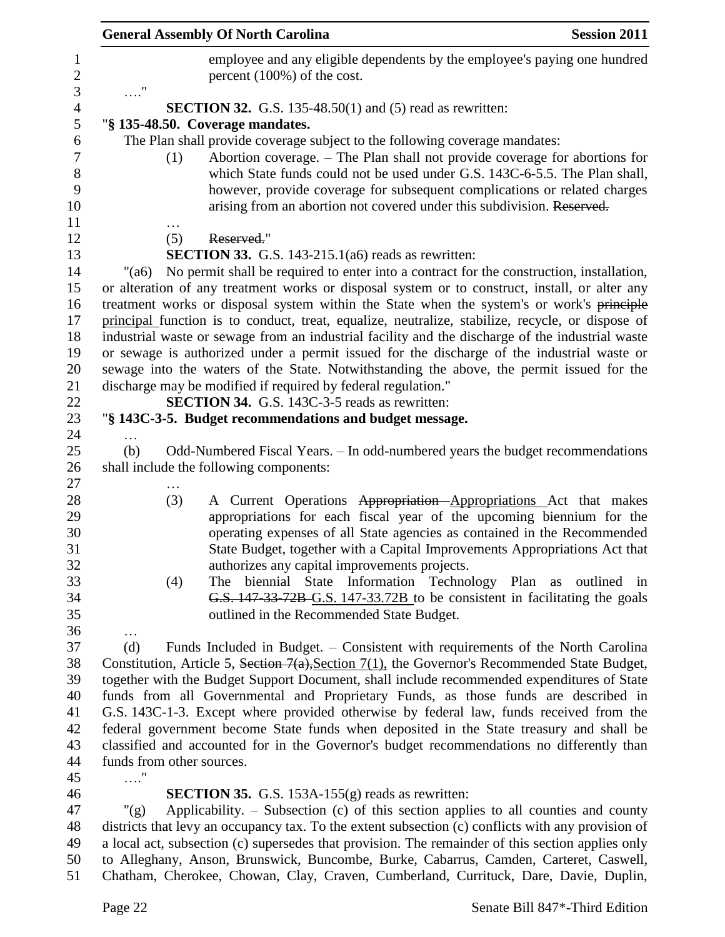|                                | <b>General Assembly Of North Carolina</b><br><b>Session 2011</b>                                                                                                                                                                                                                                                       |
|--------------------------------|------------------------------------------------------------------------------------------------------------------------------------------------------------------------------------------------------------------------------------------------------------------------------------------------------------------------|
| $\mathbf{1}$<br>$\overline{c}$ | employee and any eligible dependents by the employee's paying one hundred<br>percent (100%) of the cost.                                                                                                                                                                                                               |
| 3                              | $\ldots$ "                                                                                                                                                                                                                                                                                                             |
| $\overline{4}$<br>5            | <b>SECTION 32.</b> G.S. 135-48.50(1) and (5) read as rewritten:<br>"§ 135-48.50. Coverage mandates.                                                                                                                                                                                                                    |
| 6                              | The Plan shall provide coverage subject to the following coverage mandates:                                                                                                                                                                                                                                            |
| $\tau$<br>$8\,$<br>9<br>10     | Abortion coverage. – The Plan shall not provide coverage for abortions for<br>(1)<br>which State funds could not be used under G.S. 143C-6-5.5. The Plan shall,<br>however, provide coverage for subsequent complications or related charges<br>arising from an abortion not covered under this subdivision. Reserved. |
| 11                             |                                                                                                                                                                                                                                                                                                                        |
| 12                             | (5)<br>Reserved."                                                                                                                                                                                                                                                                                                      |
| 13                             | <b>SECTION 33.</b> G.S. 143-215.1(a6) reads as rewritten:                                                                                                                                                                                                                                                              |
| 14                             | No permit shall be required to enter into a contract for the construction, installation,<br>"(a6)                                                                                                                                                                                                                      |
| 15<br>16                       | or alteration of any treatment works or disposal system or to construct, install, or alter any                                                                                                                                                                                                                         |
| 17                             | treatment works or disposal system within the State when the system's or work's principle<br>principal function is to conduct, treat, equalize, neutralize, stabilize, recycle, or dispose of                                                                                                                          |
| 18                             | industrial waste or sewage from an industrial facility and the discharge of the industrial waste                                                                                                                                                                                                                       |
| 19                             | or sewage is authorized under a permit issued for the discharge of the industrial waste or                                                                                                                                                                                                                             |
| 20                             | sewage into the waters of the State. Notwithstanding the above, the permit issued for the                                                                                                                                                                                                                              |
| 21                             | discharge may be modified if required by federal regulation."                                                                                                                                                                                                                                                          |
| 22                             | <b>SECTION 34.</b> G.S. 143C-3-5 reads as rewritten:                                                                                                                                                                                                                                                                   |
| 23                             | "§ 143C-3-5. Budget recommendations and budget message.                                                                                                                                                                                                                                                                |
| 24                             |                                                                                                                                                                                                                                                                                                                        |
| 25                             | Odd-Numbered Fiscal Years. - In odd-numbered years the budget recommendations<br>(b)                                                                                                                                                                                                                                   |
| 26<br>27                       | shall include the following components:                                                                                                                                                                                                                                                                                |
| 28                             | (3)<br>A Current Operations Appropriation Appropriations Act that makes                                                                                                                                                                                                                                                |
| 29                             | appropriations for each fiscal year of the upcoming biennium for the                                                                                                                                                                                                                                                   |
| 30                             | operating expenses of all State agencies as contained in the Recommended                                                                                                                                                                                                                                               |
| 31                             | State Budget, together with a Capital Improvements Appropriations Act that                                                                                                                                                                                                                                             |
| 32                             | authorizes any capital improvements projects.                                                                                                                                                                                                                                                                          |
| 33                             | biennial State Information Technology Plan as outlined in<br>(4)<br>The                                                                                                                                                                                                                                                |
| 34                             | G.S. 147-33-72B-G.S. 147-33.72B to be consistent in facilitating the goals                                                                                                                                                                                                                                             |
| 35                             | outlined in the Recommended State Budget.                                                                                                                                                                                                                                                                              |
| 36<br>37                       | $\cdots$<br>Funds Included in Budget. - Consistent with requirements of the North Carolina<br>(d)                                                                                                                                                                                                                      |
| 38                             | Constitution, Article 5, Section $7(a)$ , Section $7(1)$ , the Governor's Recommended State Budget,                                                                                                                                                                                                                    |
| 39                             | together with the Budget Support Document, shall include recommended expenditures of State                                                                                                                                                                                                                             |
| 40                             | funds from all Governmental and Proprietary Funds, as those funds are described in                                                                                                                                                                                                                                     |
| 41                             | G.S. 143C-1-3. Except where provided otherwise by federal law, funds received from the                                                                                                                                                                                                                                 |
| 42                             | federal government become State funds when deposited in the State treasury and shall be                                                                                                                                                                                                                                |
| 43                             | classified and accounted for in the Governor's budget recommendations no differently than                                                                                                                                                                                                                              |
| 44                             | funds from other sources.                                                                                                                                                                                                                                                                                              |
| 45                             |                                                                                                                                                                                                                                                                                                                        |
| 46                             | <b>SECTION 35.</b> G.S. 153A-155 $(g)$ reads as rewritten:                                                                                                                                                                                                                                                             |
| 47                             | Applicability. $-$ Subsection (c) of this section applies to all counties and county<br>" $(g)$                                                                                                                                                                                                                        |
| 48                             | districts that levy an occupancy tax. To the extent subsection (c) conflicts with any provision of                                                                                                                                                                                                                     |
| 49<br>50                       | a local act, subsection (c) supersedes that provision. The remainder of this section applies only<br>to Alleghany, Anson, Brunswick, Buncombe, Burke, Cabarrus, Camden, Carteret, Caswell,                                                                                                                             |

Chatham, Cherokee, Chowan, Clay, Craven, Cumberland, Currituck, Dare, Davie, Duplin,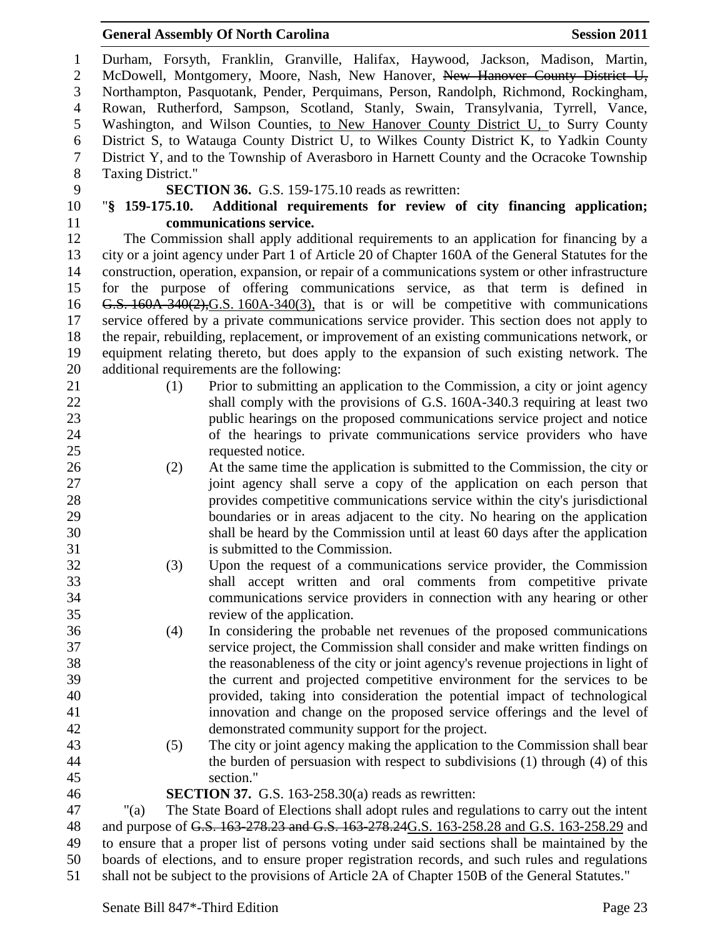| $\mathbf{1}$     |                                                                                | Durham, Forsyth, Franklin, Granville, Halifax, Haywood, Jackson, Madison, Martin,                                                           |  |  |
|------------------|--------------------------------------------------------------------------------|---------------------------------------------------------------------------------------------------------------------------------------------|--|--|
| $\overline{2}$   | McDowell, Montgomery, Moore, Nash, New Hanover, New Hanover County District U, |                                                                                                                                             |  |  |
| 3                |                                                                                | Northampton, Pasquotank, Pender, Perquimans, Person, Randolph, Richmond, Rockingham,                                                        |  |  |
| $\overline{4}$   |                                                                                | Rowan, Rutherford, Sampson, Scotland, Stanly, Swain, Transylvania, Tyrrell, Vance,                                                          |  |  |
| 5                |                                                                                | Washington, and Wilson Counties, to New Hanover County District U, to Surry County                                                          |  |  |
| 6                |                                                                                | District S, to Watauga County District U, to Wilkes County District K, to Yadkin County                                                     |  |  |
| $\boldsymbol{7}$ |                                                                                | District Y, and to the Township of Averasboro in Harnett County and the Ocracoke Township                                                   |  |  |
| $8\,$            | Taxing District."                                                              |                                                                                                                                             |  |  |
| 9                |                                                                                | <b>SECTION 36.</b> G.S. 159-175.10 reads as rewritten:                                                                                      |  |  |
| 10               |                                                                                | "\\$ 159-175.10. Additional requirements for review of city financing application;                                                          |  |  |
| 11               |                                                                                | communications service.                                                                                                                     |  |  |
| 12               |                                                                                | The Commission shall apply additional requirements to an application for financing by a                                                     |  |  |
| 13               |                                                                                | city or a joint agency under Part 1 of Article 20 of Chapter 160A of the General Statutes for the                                           |  |  |
| 14               |                                                                                | construction, operation, expansion, or repair of a communications system or other infrastructure                                            |  |  |
| 15               |                                                                                | for the purpose of offering communications service, as that term is defined in                                                              |  |  |
| 16               |                                                                                | G.S. $160A-340(2)$ , G.S. $160A-340(3)$ , that is or will be competitive with communications                                                |  |  |
| 17               |                                                                                | service offered by a private communications service provider. This section does not apply to                                                |  |  |
| 18               |                                                                                | the repair, rebuilding, replacement, or improvement of an existing communications network, or                                               |  |  |
| 19               |                                                                                | equipment relating thereto, but does apply to the expansion of such existing network. The                                                   |  |  |
| 20               |                                                                                | additional requirements are the following:                                                                                                  |  |  |
| 21               | (1)                                                                            | Prior to submitting an application to the Commission, a city or joint agency                                                                |  |  |
| 22               |                                                                                | shall comply with the provisions of G.S. 160A-340.3 requiring at least two                                                                  |  |  |
| 23               |                                                                                | public hearings on the proposed communications service project and notice                                                                   |  |  |
| 24               |                                                                                | of the hearings to private communications service providers who have                                                                        |  |  |
| 25               |                                                                                | requested notice.                                                                                                                           |  |  |
| 26               | (2)                                                                            | At the same time the application is submitted to the Commission, the city or                                                                |  |  |
| 27               |                                                                                | joint agency shall serve a copy of the application on each person that                                                                      |  |  |
| 28               |                                                                                | provides competitive communications service within the city's jurisdictional                                                                |  |  |
| 29               |                                                                                | boundaries or in areas adjacent to the city. No hearing on the application                                                                  |  |  |
| 30<br>31         |                                                                                | shall be heard by the Commission until at least 60 days after the application<br>is submitted to the Commission.                            |  |  |
| 32               |                                                                                | Upon the request of a communications service provider, the Commission                                                                       |  |  |
| 33               | (3)                                                                            |                                                                                                                                             |  |  |
| 34               |                                                                                | shall accept written and oral comments from competitive private<br>communications service providers in connection with any hearing or other |  |  |
| 35               |                                                                                | review of the application.                                                                                                                  |  |  |
| 36               | (4)                                                                            | In considering the probable net revenues of the proposed communications                                                                     |  |  |
| 37               |                                                                                | service project, the Commission shall consider and make written findings on                                                                 |  |  |
| 38               |                                                                                | the reasonableness of the city or joint agency's revenue projections in light of                                                            |  |  |
| 39               |                                                                                | the current and projected competitive environment for the services to be                                                                    |  |  |
| 40               |                                                                                | provided, taking into consideration the potential impact of technological                                                                   |  |  |
| 41               |                                                                                | innovation and change on the proposed service offerings and the level of                                                                    |  |  |
| 42               |                                                                                | demonstrated community support for the project.                                                                                             |  |  |
| 43               | (5)                                                                            | The city or joint agency making the application to the Commission shall bear                                                                |  |  |
| 44               |                                                                                | the burden of persuasion with respect to subdivisions $(1)$ through $(4)$ of this                                                           |  |  |
| 45               |                                                                                | section."                                                                                                                                   |  |  |
| 46               |                                                                                | <b>SECTION 37.</b> G.S. 163-258.30(a) reads as rewritten:                                                                                   |  |  |
| 47               | " $(a)$                                                                        | The State Board of Elections shall adopt rules and regulations to carry out the intent                                                      |  |  |
| 48               |                                                                                | and purpose of G.S. 163-278.23 and G.S. 163-278.24G.S. 163-258.28 and G.S. 163-258.29 and                                                   |  |  |
| 49               |                                                                                | to ensure that a proper list of persons voting under said sections shall be maintained by the                                               |  |  |
| 50               |                                                                                | boards of elections, and to ensure proper registration records, and such rules and regulations                                              |  |  |
| 51               |                                                                                | shall not be subject to the provisions of Article 2A of Chapter 150B of the General Statutes."                                              |  |  |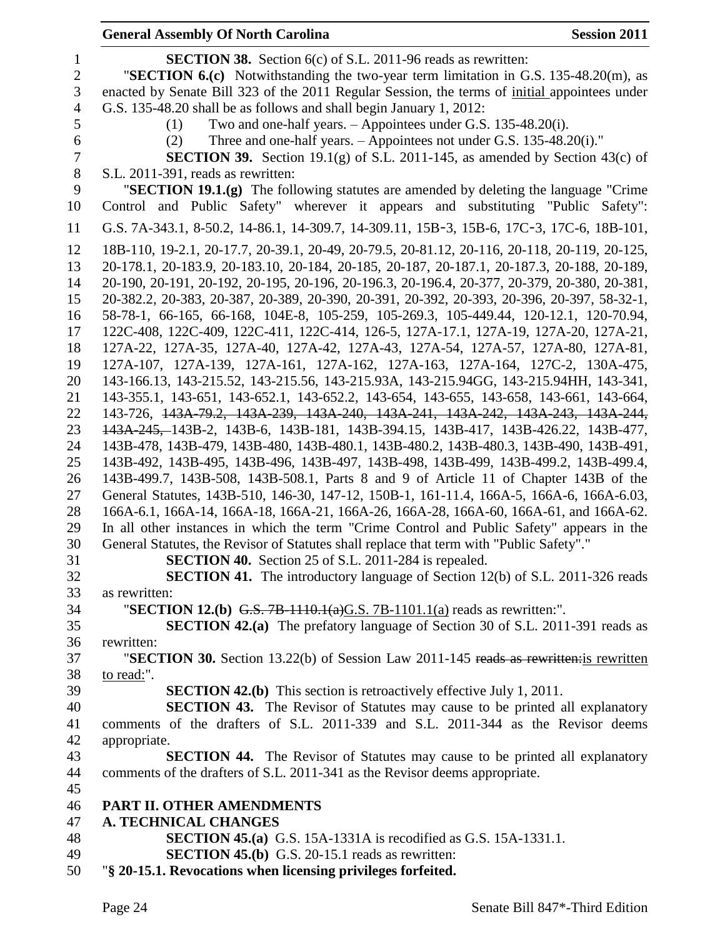| <b>General Assembly Of North Carolina</b>                                                                                                                        | <b>Session 2011</b> |
|------------------------------------------------------------------------------------------------------------------------------------------------------------------|---------------------|
| <b>SECTION 38.</b> Section 6(c) of S.L. 2011-96 reads as rewritten:                                                                                              |                     |
| "SECTION $6.(c)$ Notwithstanding the two-year term limitation in G.S. 135-48.20(m), as                                                                           |                     |
| enacted by Senate Bill 323 of the 2011 Regular Session, the terms of initial appointees under                                                                    |                     |
| G.S. 135-48.20 shall be as follows and shall begin January 1, 2012:                                                                                              |                     |
| Two and one-half years. – Appointees under G.S. 135-48.20(i).<br>(1)                                                                                             |                     |
| Three and one-half years. – Appointees not under G.S. 135-48.20(i)."<br>(2)                                                                                      |                     |
| <b>SECTION 39.</b> Section 19.1(g) of S.L. 2011-145, as amended by Section 43(c) of                                                                              |                     |
| S.L. 2011-391, reads as rewritten:                                                                                                                               |                     |
| "SECTION 19.1.(g) The following statutes are amended by deleting the language "Crime"                                                                            |                     |
| Control and Public Safety" wherever it appears and substituting "Public Safety":                                                                                 |                     |
| G.S. 7A-343.1, 8-50.2, 14-86.1, 14-309.7, 14-309.11, 15B-3, 15B-6, 17C-3, 17C-6, 18B-101,                                                                        |                     |
| 18B-110, 19-2.1, 20-17.7, 20-39.1, 20-49, 20-79.5, 20-81.12, 20-116, 20-118, 20-119, 20-125,                                                                     |                     |
| 20-178.1, 20-183.9, 20-183.10, 20-184, 20-185, 20-187, 20-187.1, 20-187.3, 20-188, 20-189,                                                                       |                     |
| 20-190, 20-191, 20-192, 20-195, 20-196, 20-196.3, 20-196.4, 20-377, 20-379, 20-380, 20-381,                                                                      |                     |
| 20-382.2, 20-383, 20-387, 20-389, 20-390, 20-391, 20-392, 20-393, 20-396, 20-397, 58-32-1,                                                                       |                     |
| 58-78-1, 66-165, 66-168, 104E-8, 105-259, 105-269.3, 105-449.44, 120-12.1, 120-70.94,                                                                            |                     |
| 122C-408, 122C-409, 122C-411, 122C-414, 126-5, 127A-17.1, 127A-19, 127A-20, 127A-21,                                                                             |                     |
| 127A-22, 127A-35, 127A-40, 127A-42, 127A-43, 127A-54, 127A-57, 127A-80, 127A-81,                                                                                 |                     |
| 127A-107, 127A-139, 127A-161, 127A-162, 127A-163, 127A-164, 127C-2, 130A-475,                                                                                    |                     |
| 143-166.13, 143-215.52, 143-215.56, 143-215.93A, 143-215.94GG, 143-215.94HH, 143-341,                                                                            |                     |
| 143-355.1, 143-651, 143-652.1, 143-652.2, 143-654, 143-655, 143-658, 143-661, 143-664,                                                                           |                     |
| 143-726, <del>143A-79.2, 143A-239, 143A-240, 143A-241, 143A-242, 143A-243, 143A-244,</del>                                                                       |                     |
| 143A 245, 143B -2, 143B -6, 143B -181, 143B -394.15, 143B -417, 143B -426.22, 143B -477,                                                                         |                     |
| 143B-478, 143B-479, 143B-480, 143B-480.1, 143B-480.2, 143B-480.3, 143B-490, 143B-491,                                                                            |                     |
| 143B-492, 143B-495, 143B-496, 143B-497, 143B-498, 143B-499, 143B-499.2, 143B-499.4,                                                                              |                     |
| 143B-499.7, 143B-508, 143B-508.1, Parts 8 and 9 of Article 11 of Chapter 143B of the                                                                             |                     |
| General Statutes, 143B-510, 146-30, 147-12, 150B-1, 161-11.4, 166A-5, 166A-6, 166A-6.03,                                                                         |                     |
| 166A-6.1, 166A-14, 166A-18, 166A-21, 166A-26, 166A-28, 166A-60, 166A-61, and 166A-62.                                                                            |                     |
| In all other instances in which the term "Crime Control and Public Safety" appears in the                                                                        |                     |
| General Statutes, the Revisor of Statutes shall replace that term with "Public Safety"."                                                                         |                     |
| SECTION 40. Section 25 of S.L. 2011-284 is repealed.                                                                                                             |                     |
| <b>SECTION 41.</b> The introductory language of Section 12(b) of S.L. 2011-326 reads                                                                             |                     |
| as rewritten:                                                                                                                                                    |                     |
| "SECTION 12.(b) G.S. 7B-1110.1(a)G.S. 7B-1101.1(a) reads as rewritten:".<br><b>SECTION 42.(a)</b> The prefatory language of Section 30 of S.L. 2011-391 reads as |                     |
| rewritten:                                                                                                                                                       |                     |
| "SECTION 30. Section 13.22(b) of Session Law 2011-145 reads as rewrittenis rewritten                                                                             |                     |
| to read:".                                                                                                                                                       |                     |
| <b>SECTION 42.(b)</b> This section is retroactively effective July 1, 2011.                                                                                      |                     |
| <b>SECTION 43.</b> The Revisor of Statutes may cause to be printed all explanatory                                                                               |                     |
| comments of the drafters of S.L. 2011-339 and S.L. 2011-344 as the Revisor deems                                                                                 |                     |
| appropriate.                                                                                                                                                     |                     |
| <b>SECTION 44.</b> The Revisor of Statutes may cause to be printed all explanatory                                                                               |                     |
| comments of the drafters of S.L. 2011-341 as the Revisor deems appropriate.                                                                                      |                     |
|                                                                                                                                                                  |                     |
| PART II. OTHER AMENDMENTS                                                                                                                                        |                     |
| <b>A. TECHNICAL CHANGES</b>                                                                                                                                      |                     |
| <b>SECTION 45.(a)</b> G.S. 15A-1331A is recodified as G.S. 15A-1331.1.                                                                                           |                     |
| <b>SECTION 45.(b)</b> G.S. 20-15.1 reads as rewritten:                                                                                                           |                     |
| "§ 20-15.1. Revocations when licensing privileges forfeited.                                                                                                     |                     |
|                                                                                                                                                                  |                     |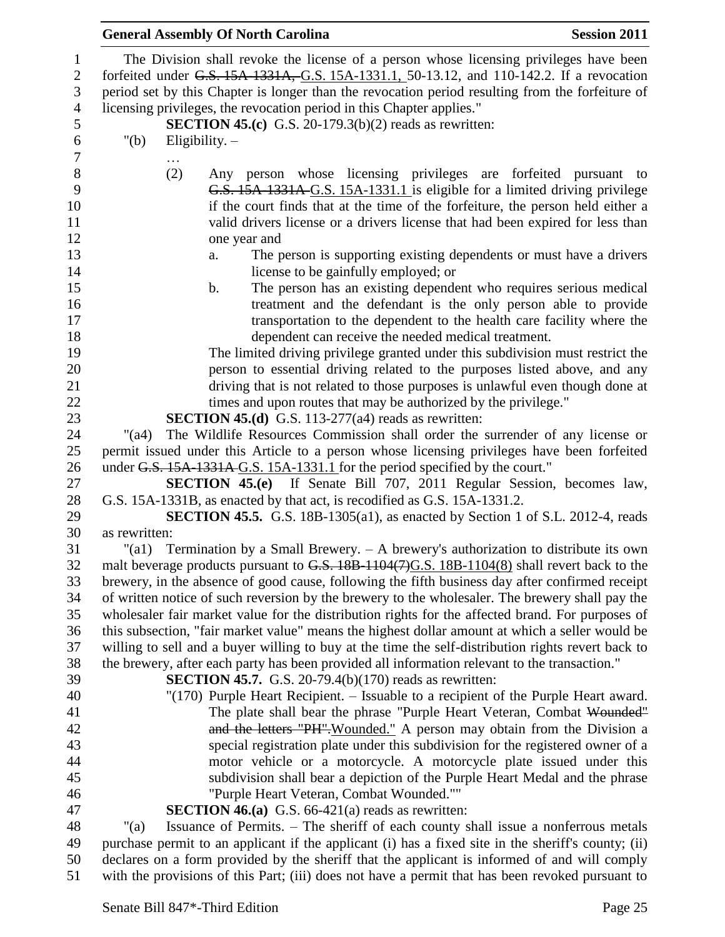| $\mathbf{1}$   | The Division shall revoke the license of a person whose licensing privileges have been              |
|----------------|-----------------------------------------------------------------------------------------------------|
| $\mathbf{2}$   | forfeited under G.S. 15A-1331A, G.S. 15A-1331.1, 50-13.12, and 110-142.2. If a revocation           |
| 3              | period set by this Chapter is longer than the revocation period resulting from the forfeiture of    |
| $\overline{4}$ | licensing privileges, the revocation period in this Chapter applies."                               |
| 5              | <b>SECTION 45.(c)</b> G.S. 20-179.3(b)(2) reads as rewritten:                                       |
| 6              | " $(b)$<br>Eligibility. $-$                                                                         |
| 7              |                                                                                                     |
| 8              | Any person whose licensing privileges are forfeited pursuant to<br>(2)                              |
| 9              | G.S. 15A-1331A-G.S. 15A-1331.1 is eligible for a limited driving privilege                          |
| 10             | if the court finds that at the time of the forfeiture, the person held either a                     |
| 11             | valid drivers license or a drivers license that had been expired for less than                      |
| 12             | one year and                                                                                        |
| 13             | The person is supporting existing dependents or must have a drivers<br>a.                           |
| 14             | license to be gainfully employed; or                                                                |
| 15             | $\mathbf b$ .<br>The person has an existing dependent who requires serious medical                  |
| 16             | treatment and the defendant is the only person able to provide                                      |
| 17             | transportation to the dependent to the health care facility where the                               |
| 18             | dependent can receive the needed medical treatment.                                                 |
| 19             | The limited driving privilege granted under this subdivision must restrict the                      |
| 20             | person to essential driving related to the purposes listed above, and any                           |
| 21             | driving that is not related to those purposes is unlawful even though done at                       |
| 22             | times and upon routes that may be authorized by the privilege."                                     |
| 23             | <b>SECTION 45.(d)</b> G.S. 113-277( $a4$ ) reads as rewritten:                                      |
| 24             | The Wildlife Resources Commission shall order the surrender of any license or<br>$"({\rm a}4)$      |
| 25             | permit issued under this Article to a person whose licensing privileges have been forfeited         |
| 26             | under G.S. 15A-1331A-G.S. 15A-1331.1 for the period specified by the court."                        |
| 27             | <b>SECTION 45.(e)</b> If Senate Bill 707, 2011 Regular Session, becomes law,                        |
| 28             | G.S. 15A-1331B, as enacted by that act, is recodified as G.S. 15A-1331.2.                           |
| 29             | <b>SECTION 45.5.</b> G.S. 18B-1305(a1), as enacted by Section 1 of S.L. 2012-4, reads               |
| 30             | as rewritten:                                                                                       |
| 31             | "(a1) Termination by a Small Brewery. $-$ A brewery's authorization to distribute its own           |
| 32             | malt beverage products pursuant to G.S. 18B-1104(7)G.S. 18B-1104(8) shall revert back to the        |
| 33             | brewery, in the absence of good cause, following the fifth business day after confirmed receipt     |
| 34             | of written notice of such reversion by the brewery to the wholesaler. The brewery shall pay the     |
| 35             | wholesaler fair market value for the distribution rights for the affected brand. For purposes of    |
| 36             | this subsection, "fair market value" means the highest dollar amount at which a seller would be     |
| 37             | willing to sell and a buyer willing to buy at the time the self-distribution rights revert back to  |
| 38             | the brewery, after each party has been provided all information relevant to the transaction."       |
| 39             | <b>SECTION 45.7.</b> G.S. 20-79.4(b)(170) reads as rewritten:                                       |
| 40             | "(170) Purple Heart Recipient. – Issuable to a recipient of the Purple Heart award.                 |
| 41             | The plate shall bear the phrase "Purple Heart Veteran, Combat Wounded"                              |
| 42             | and the letters "PH". Wounded." A person may obtain from the Division a                             |
| 43             | special registration plate under this subdivision for the registered owner of a                     |
| 44             | motor vehicle or a motorcycle. A motorcycle plate issued under this                                 |
| 45             | subdivision shall bear a depiction of the Purple Heart Medal and the phrase                         |
| 46             | "Purple Heart Veteran, Combat Wounded.""                                                            |
| 47             | <b>SECTION 46.(a)</b> G.S. 66-421(a) reads as rewritten:                                            |
| 48             | Issuance of Permits. - The sheriff of each county shall issue a nonferrous metals<br>" $(a)$        |
| 49             | purchase permit to an applicant if the applicant (i) has a fixed site in the sheriff's county; (ii) |
| 50             | declares on a form provided by the sheriff that the applicant is informed of and will comply        |
| 51             | with the provisions of this Part; (iii) does not have a permit that has been revoked pursuant to    |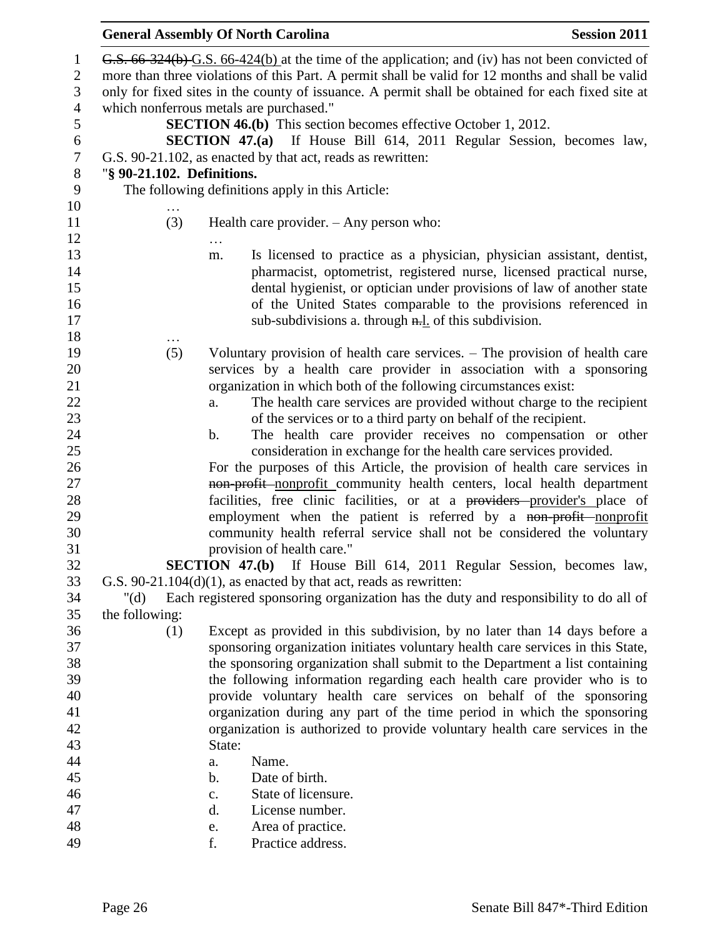| $\mathbf{1}$   |                            | G.S. 66-324(b) G.S. 66-424(b) at the time of the application; and (iv) has not been convicted of  |
|----------------|----------------------------|---------------------------------------------------------------------------------------------------|
| $\overline{2}$ |                            | more than three violations of this Part. A permit shall be valid for 12 months and shall be valid |
| 3              |                            | only for fixed sites in the county of issuance. A permit shall be obtained for each fixed site at |
| $\overline{4}$ |                            | which nonferrous metals are purchased."                                                           |
| 5              |                            | <b>SECTION 46.(b)</b> This section becomes effective October 1, 2012.                             |
| 6              |                            | <b>SECTION 47.(a)</b> If House Bill 614, 2011 Regular Session, becomes law,                       |
| $\tau$         |                            | G.S. 90-21.102, as enacted by that act, reads as rewritten:                                       |
| 8              | "§ 90-21.102. Definitions. |                                                                                                   |
| 9              |                            | The following definitions apply in this Article:                                                  |
| 10             |                            |                                                                                                   |
| 11             | (3)                        | Health care provider. $-$ Any person who:                                                         |
| 12             |                            |                                                                                                   |
| 13             |                            | Is licensed to practice as a physician, physician assistant, dentist,<br>m.                       |
| 14             |                            | pharmacist, optometrist, registered nurse, licensed practical nurse,                              |
| 15             |                            | dental hygienist, or optician under provisions of law of another state                            |
| 16             |                            | of the United States comparable to the provisions referenced in                                   |
| 17             |                            | sub-subdivisions a. through $n=1$ of this subdivision.                                            |
| 18             |                            |                                                                                                   |
| 19             | (5)                        | Voluntary provision of health care services. – The provision of health care                       |
| 20             |                            | services by a health care provider in association with a sponsoring                               |
| 21             |                            | organization in which both of the following circumstances exist:                                  |
| 22             |                            | The health care services are provided without charge to the recipient<br>a.                       |
| 23             |                            | of the services or to a third party on behalf of the recipient.                                   |
| 24             |                            | The health care provider receives no compensation or other<br>b.                                  |
| 25             |                            | consideration in exchange for the health care services provided.                                  |
| 26             |                            | For the purposes of this Article, the provision of health care services in                        |
| $27\,$         |                            | non-profit-nonprofit community health centers, local health department                            |
| 28             |                            | facilities, free clinic facilities, or at a providers provider's place of                         |
| 29             |                            | employment when the patient is referred by a non-profit-nonprofit                                 |
| 30             |                            | community health referral service shall not be considered the voluntary                           |
| 31             |                            | provision of health care."                                                                        |
| 32             |                            | SECTION 47.(b) If House Bill 614, 2011 Regular Session, becomes law,                              |
| 33             |                            | G.S. $90-21.104(d)(1)$ , as enacted by that act, reads as rewritten:                              |
| 34             | " $(d)$                    | Each registered sponsoring organization has the duty and responsibility to do all of              |
| 35             | the following:             |                                                                                                   |
| 36             | (1)                        | Except as provided in this subdivision, by no later than 14 days before a                         |
| 37             |                            | sponsoring organization initiates voluntary health care services in this State,                   |
| 38             |                            | the sponsoring organization shall submit to the Department a list containing                      |
| 39             |                            | the following information regarding each health care provider who is to                           |
| 40             |                            | provide voluntary health care services on behalf of the sponsoring                                |
| 41             |                            | organization during any part of the time period in which the sponsoring                           |
| 42             |                            | organization is authorized to provide voluntary health care services in the                       |
| 43             |                            | State:                                                                                            |
| 44             |                            | Name.<br>a.                                                                                       |
| 45             |                            | b.<br>Date of birth.                                                                              |
| 46             |                            | State of licensure.<br>c.                                                                         |
| 47             |                            | License number.<br>d.                                                                             |
| 48             |                            | Area of practice.<br>e.                                                                           |
| 49             |                            | f.<br>Practice address.                                                                           |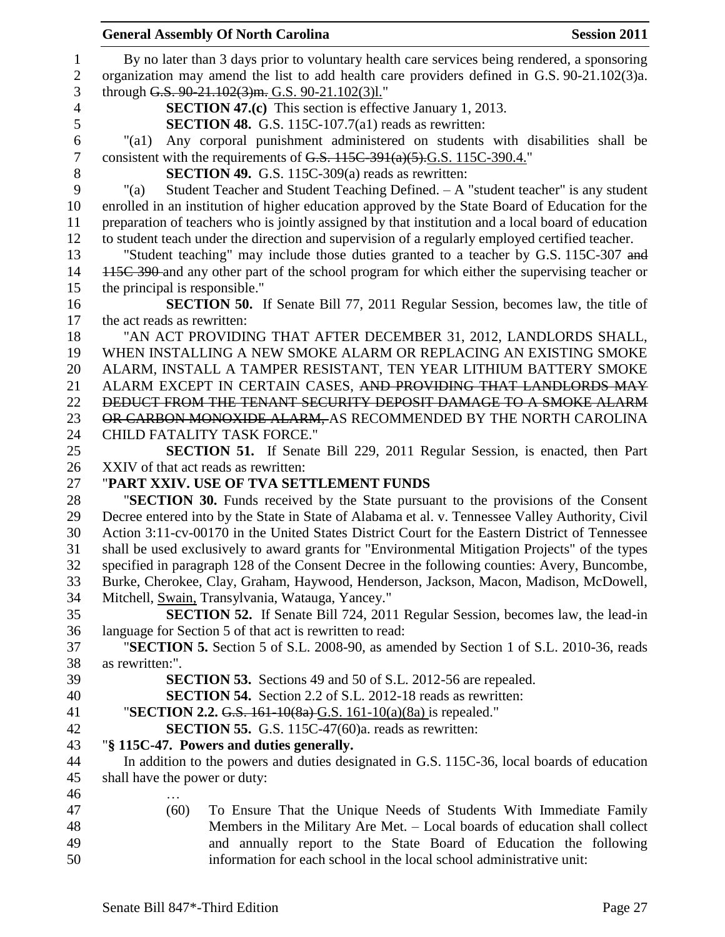|                | <b>General Assembly Of North Carolina</b>                                                                                                       | <b>Session 2011</b> |
|----------------|-------------------------------------------------------------------------------------------------------------------------------------------------|---------------------|
| 1              | By no later than 3 days prior to voluntary health care services being rendered, a sponsoring                                                    |                     |
| $\mathbf{2}$   | organization may amend the list to add health care providers defined in G.S. 90-21.102(3)a.                                                     |                     |
| 3              | through G.S. 90-21.102(3)m. G.S. 90-21.102(3)l."                                                                                                |                     |
| $\overline{4}$ | <b>SECTION 47.(c)</b> This section is effective January 1, 2013.                                                                                |                     |
| 5              | <b>SECTION 48.</b> G.S. 115C-107.7(a1) reads as rewritten:                                                                                      |                     |
| 6              | Any corporal punishment administered on students with disabilities shall be<br>" $\text{(a1)}$                                                  |                     |
| $\tau$         | consistent with the requirements of G.S. $115C-391(a)(5)$ . G.S. $115C-390.4$ ."                                                                |                     |
| $8\,$          | <b>SECTION 49.</b> G.S. 115C-309(a) reads as rewritten:                                                                                         |                     |
| 9              | Student Teacher and Student Teaching Defined. $- A$ "student teacher" is any student<br>$"$ (a)                                                 |                     |
| 10             | enrolled in an institution of higher education approved by the State Board of Education for the                                                 |                     |
| 11             | preparation of teachers who is jointly assigned by that institution and a local board of education                                              |                     |
| 12             | to student teach under the direction and supervision of a regularly employed certified teacher.                                                 |                     |
| 13             | "Student teaching" may include those duties granted to a teacher by G.S. 115C-307 and                                                           |                     |
| 14             | 445C 390 and any other part of the school program for which either the supervising teacher or                                                   |                     |
| 15             | the principal is responsible."                                                                                                                  |                     |
| 16             | <b>SECTION 50.</b> If Senate Bill 77, 2011 Regular Session, becomes law, the title of                                                           |                     |
| 17             | the act reads as rewritten:                                                                                                                     |                     |
| 18             | "AN ACT PROVIDING THAT AFTER DECEMBER 31, 2012, LANDLORDS SHALL,                                                                                |                     |
| 19             | WHEN INSTALLING A NEW SMOKE ALARM OR REPLACING AN EXISTING SMOKE                                                                                |                     |
| 20             | ALARM, INSTALL A TAMPER RESISTANT, TEN YEAR LITHIUM BATTERY SMOKE                                                                               |                     |
| 21             | ALARM EXCEPT IN CERTAIN CASES, AND PROVIDING THAT LANDLORDS MAY                                                                                 |                     |
| 22             | <b>DEDUCT FROM THE TENANT SECURITY DEPOSIT DAMAGE TO A SMOKE ALARM</b>                                                                          |                     |
| 23             | OR CARBON MONOXIDE ALARM, AS RECOMMENDED BY THE NORTH CAROLINA                                                                                  |                     |
| 24<br>25       | <b>CHILD FATALITY TASK FORCE."</b><br><b>SECTION 51.</b> If Senate Bill 229, 2011 Regular Session, is enacted, then Part                        |                     |
| 26             | XXIV of that act reads as rewritten:                                                                                                            |                     |
| 27             | "PART XXIV. USE OF TVA SETTLEMENT FUNDS                                                                                                         |                     |
| 28             | "SECTION 30. Funds received by the State pursuant to the provisions of the Consent                                                              |                     |
| 29             | Decree entered into by the State in State of Alabama et al. v. Tennessee Valley Authority, Civil                                                |                     |
| 30             | Action 3:11-cv-00170 in the United States District Court for the Eastern District of Tennessee                                                  |                     |
| 31             | shall be used exclusively to award grants for "Environmental Mitigation Projects" of the types                                                  |                     |
| 32             | specified in paragraph 128 of the Consent Decree in the following counties: Avery, Buncombe,                                                    |                     |
| 33             | Burke, Cherokee, Clay, Graham, Haywood, Henderson, Jackson, Macon, Madison, McDowell,                                                           |                     |
| 34             | Mitchell, Swain, Transylvania, Watauga, Yancey."                                                                                                |                     |
| 35             | <b>SECTION 52.</b> If Senate Bill 724, 2011 Regular Session, becomes law, the lead-in                                                           |                     |
| 36             | language for Section 5 of that act is rewritten to read:                                                                                        |                     |
| 37             | "SECTION 5. Section 5 of S.L. 2008-90, as amended by Section 1 of S.L. 2010-36, reads                                                           |                     |
| 38             | as rewritten:".                                                                                                                                 |                     |
| 39             | <b>SECTION 53.</b> Sections 49 and 50 of S.L. 2012-56 are repealed.                                                                             |                     |
| 40             | <b>SECTION 54.</b> Section 2.2 of S.L. 2012-18 reads as rewritten:                                                                              |                     |
| 41             | "SECTION 2.2. G.S. 161-10(8a)-G.S. 161-10(a)(8a) is repealed."                                                                                  |                     |
| 42             | <b>SECTION 55.</b> G.S. 115C-47(60)a. reads as rewritten:                                                                                       |                     |
| 43             | "§ 115C-47. Powers and duties generally.                                                                                                        |                     |
| 44             | In addition to the powers and duties designated in G.S. 115C-36, local boards of education                                                      |                     |
| 45             | shall have the power or duty:                                                                                                                   |                     |
| 46             |                                                                                                                                                 |                     |
| 47             | (60)<br>To Ensure That the Unique Needs of Students With Immediate Family                                                                       |                     |
| 48<br>49       | Members in the Military Are Met. – Local boards of education shall collect<br>and annually report to the State Board of Education the following |                     |
| 50             | information for each school in the local school administrative unit:                                                                            |                     |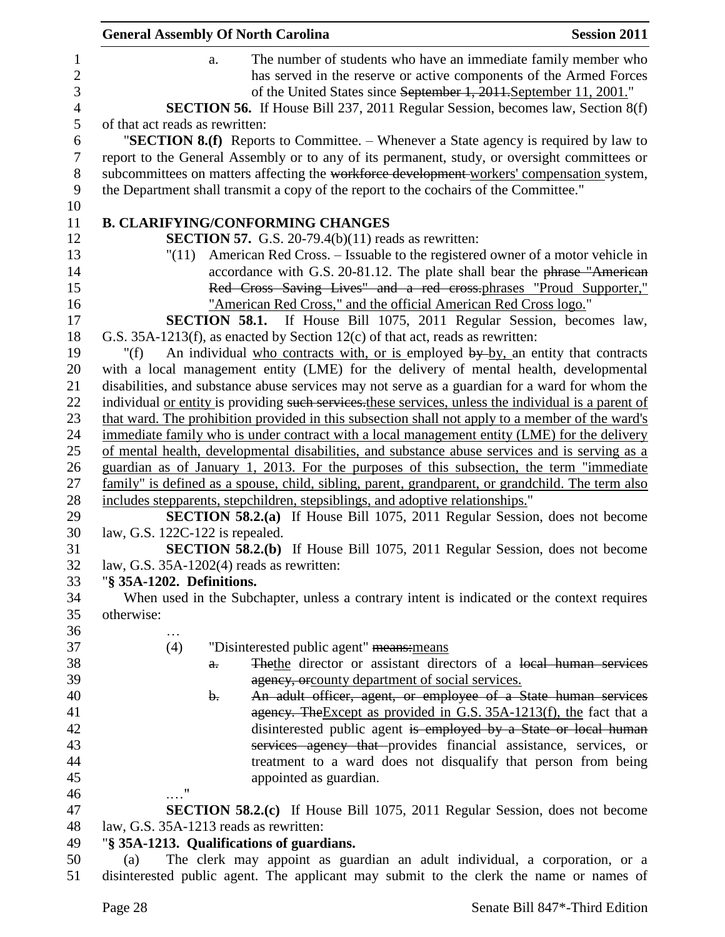|                | <b>General Assembly Of North Carolina</b><br><b>Session 2011</b>                                                      |  |
|----------------|-----------------------------------------------------------------------------------------------------------------------|--|
| $\mathbf{1}$   | The number of students who have an immediate family member who<br>a.                                                  |  |
| $\overline{2}$ | has served in the reserve or active components of the Armed Forces                                                    |  |
| 3              | of the United States since September 1, 2011. September 11, 2001."                                                    |  |
| $\overline{4}$ | <b>SECTION 56.</b> If House Bill 237, 2011 Regular Session, becomes law, Section 8(f)                                 |  |
| 5              | of that act reads as rewritten:                                                                                       |  |
| 6              | "SECTION 8.(f) Reports to Committee. – Whenever a State agency is required by law to                                  |  |
| $\tau$         | report to the General Assembly or to any of its permanent, study, or oversight committees or                          |  |
| 8              | subcommittees on matters affecting the workforce development workers' compensation system,                            |  |
| 9              | the Department shall transmit a copy of the report to the cochairs of the Committee."                                 |  |
| 10             |                                                                                                                       |  |
| 11             | <b>B. CLARIFYING/CONFORMING CHANGES</b>                                                                               |  |
| 12             | <b>SECTION 57.</b> G.S. 20-79.4(b) $(11)$ reads as rewritten:                                                         |  |
| 13             | American Red Cross. – Issuable to the registered owner of a motor vehicle in<br>"(11)                                 |  |
| 14             | accordance with G.S. 20-81.12. The plate shall bear the phrase "American                                              |  |
| 15             | Red Cross Saving Lives" and a red cross-phrases "Proud Supporter,"                                                    |  |
| 16             | "American Red Cross," and the official American Red Cross logo."                                                      |  |
| 17             | <b>SECTION 58.1.</b> If House Bill 1075, 2011 Regular Session, becomes law,                                           |  |
| 18             | G.S. $35A-1213(f)$ , as enacted by Section 12(c) of that act, reads as rewritten:                                     |  |
| 19             | An individual who contracts with, or is employed by by, an entity that contracts<br>" $(f)$                           |  |
| 20             | with a local management entity (LME) for the delivery of mental health, developmental                                 |  |
| 21             | disabilities, and substance abuse services may not serve as a guardian for a ward for whom the                        |  |
| 22             | individual <u>or entity</u> is providing such services, these services, unless the individual is a parent of          |  |
| 23             | that ward. The prohibition provided in this subsection shall not apply to a member of the ward's                      |  |
| 24             | immediate family who is under contract with a local management entity (LME) for the delivery                          |  |
| 25             | of mental health, developmental disabilities, and substance abuse services and is serving as a                        |  |
| 26             | guardian as of January 1, 2013. For the purposes of this subsection, the term "immediate                              |  |
| 27             | family" is defined as a spouse, child, sibling, parent, grandparent, or grandchild. The term also                     |  |
| 28             | includes stepparents, stepchildren, stepsiblings, and adoptive relationships."                                        |  |
| 29             | <b>SECTION 58.2.(a)</b> If House Bill 1075, 2011 Regular Session, does not become                                     |  |
| 30             | law, G.S. $122C-122$ is repealed.                                                                                     |  |
| 31             | <b>SECTION 58.2.(b)</b> If House Bill 1075, 2011 Regular Session, does not become                                     |  |
| 32             | law, G.S. 35A-1202(4) reads as rewritten:                                                                             |  |
| 33             | "§ 35A-1202. Definitions.                                                                                             |  |
| 34             | When used in the Subchapter, unless a contrary intent is indicated or the context requires                            |  |
| 35             | otherwise:                                                                                                            |  |
| 36             |                                                                                                                       |  |
| 37<br>38       | "Disinterested public agent" means: means<br>(4)<br>The the director or assistant directors of a local human services |  |
| 39             | $a$ .<br>agency, or county department of social services.                                                             |  |
| 40             | An adult officer, agent, or employee of a State human services<br>b.                                                  |  |
| 41             | agency. The Except as provided in G.S. 35A-1213(f), the fact that a                                                   |  |
| 42             | disinterested public agent is employed by a State or local human                                                      |  |
| 43             | services agency that provides financial assistance, services, or                                                      |  |
| 44             | treatment to a ward does not disqualify that person from being                                                        |  |
| 45             | appointed as guardian.                                                                                                |  |
| 46             | 11                                                                                                                    |  |
| 47             | <b>SECTION 58.2.(c)</b> If House Bill 1075, 2011 Regular Session, does not become                                     |  |
| 48             | law, G.S. 35A-1213 reads as rewritten:                                                                                |  |
| 49             | "§ 35A-1213. Qualifications of guardians.                                                                             |  |
| 50             | The clerk may appoint as guardian an adult individual, a corporation, or a<br>(a)                                     |  |
| 51             | disinterested public agent. The applicant may submit to the clerk the name or names of                                |  |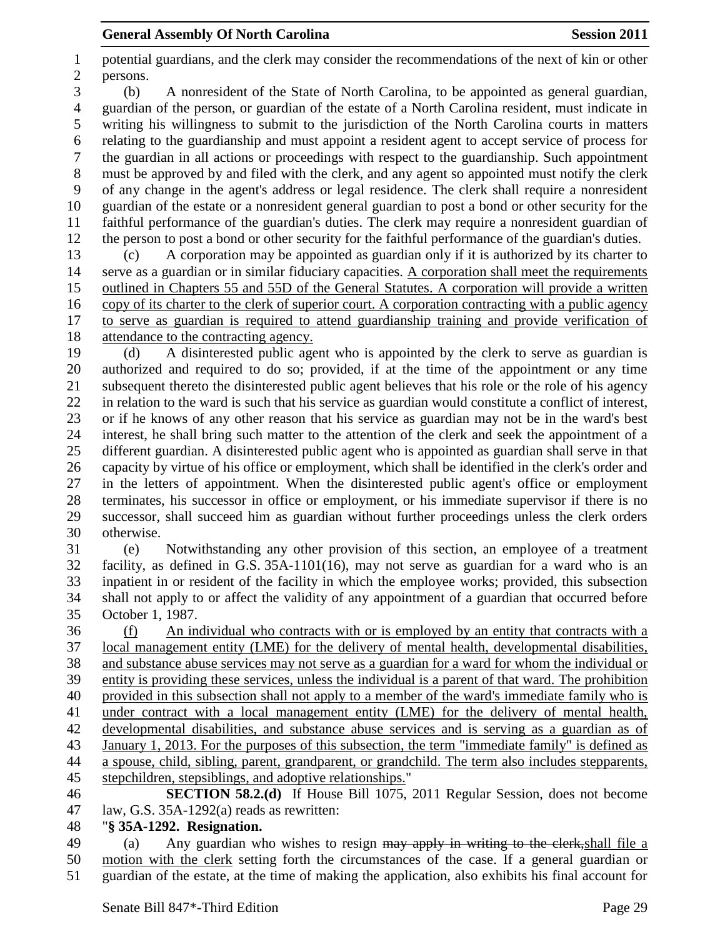potential guardians, and the clerk may consider the recommendations of the next of kin or other persons. (b) A nonresident of the State of North Carolina, to be appointed as general guardian, guardian of the person, or guardian of the estate of a North Carolina resident, must indicate in writing his willingness to submit to the jurisdiction of the North Carolina courts in matters relating to the guardianship and must appoint a resident agent to accept service of process for the guardian in all actions or proceedings with respect to the guardianship. Such appointment must be approved by and filed with the clerk, and any agent so appointed must notify the clerk of any change in the agent's address or legal residence. The clerk shall require a nonresident guardian of the estate or a nonresident general guardian to post a bond or other security for the faithful performance of the guardian's duties. The clerk may require a nonresident guardian of the person to post a bond or other security for the faithful performance of the guardian's duties. (c) A corporation may be appointed as guardian only if it is authorized by its charter to serve as a guardian or in similar fiduciary capacities. A corporation shall meet the requirements outlined in Chapters 55 and 55D of the General Statutes. A corporation will provide a written copy of its charter to the clerk of superior court. A corporation contracting with a public agency

 to serve as guardian is required to attend guardianship training and provide verification of attendance to the contracting agency.

 (d) A disinterested public agent who is appointed by the clerk to serve as guardian is authorized and required to do so; provided, if at the time of the appointment or any time subsequent thereto the disinterested public agent believes that his role or the role of his agency in relation to the ward is such that his service as guardian would constitute a conflict of interest, or if he knows of any other reason that his service as guardian may not be in the ward's best interest, he shall bring such matter to the attention of the clerk and seek the appointment of a different guardian. A disinterested public agent who is appointed as guardian shall serve in that capacity by virtue of his office or employment, which shall be identified in the clerk's order and in the letters of appointment. When the disinterested public agent's office or employment terminates, his successor in office or employment, or his immediate supervisor if there is no successor, shall succeed him as guardian without further proceedings unless the clerk orders otherwise.

 (e) Notwithstanding any other provision of this section, an employee of a treatment facility, as defined in G.S. 35A-1101(16), may not serve as guardian for a ward who is an inpatient in or resident of the facility in which the employee works; provided, this subsection shall not apply to or affect the validity of any appointment of a guardian that occurred before October 1, 1987.

 (f) An individual who contracts with or is employed by an entity that contracts with a local management entity (LME) for the delivery of mental health, developmental disabilities, and substance abuse services may not serve as a guardian for a ward for whom the individual or entity is providing these services, unless the individual is a parent of that ward. The prohibition provided in this subsection shall not apply to a member of the ward's immediate family who is under contract with a local management entity (LME) for the delivery of mental health, developmental disabilities, and substance abuse services and is serving as a guardian as of January 1, 2013. For the purposes of this subsection, the term "immediate family" is defined as a spouse, child, sibling, parent, grandparent, or grandchild. The term also includes stepparents, stepchildren, stepsiblings, and adoptive relationships."

- **SECTION 58.2.(d)** If House Bill 1075, 2011 Regular Session, does not become law, G.S. 35A-1292(a) reads as rewritten:
- "**§ 35A-1292. Resignation.**

49 (a) Any guardian who wishes to resign may apply in writing to the clerk, shall file a motion with the clerk setting forth the circumstances of the case. If a general guardian or guardian of the estate, at the time of making the application, also exhibits his final account for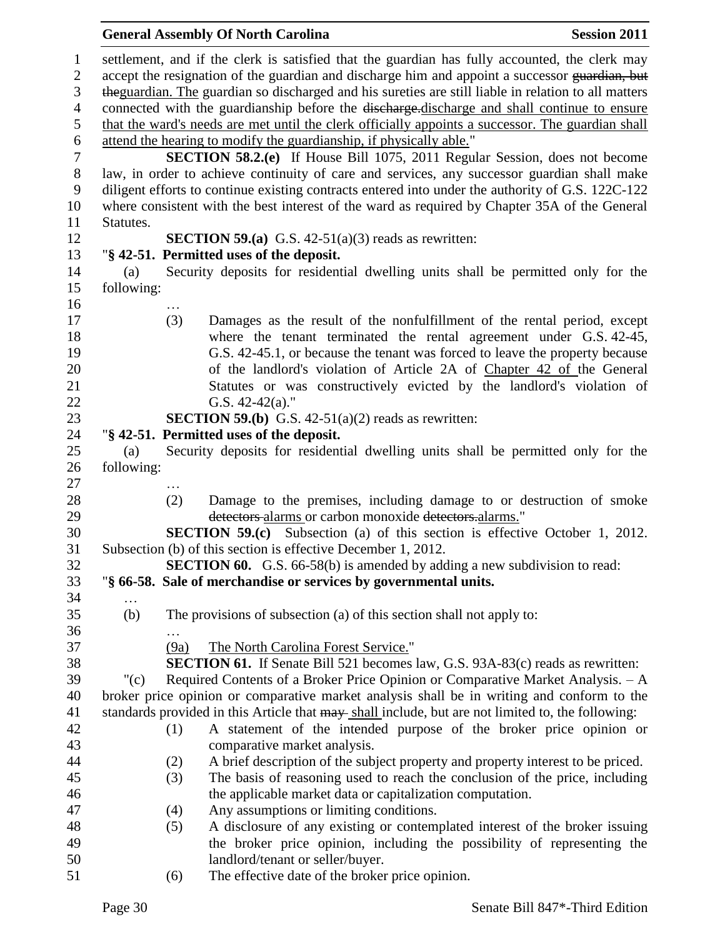|            |      | <b>General Assembly Of North Carolina</b>                                                                                                            | <b>Session 2011</b> |
|------------|------|------------------------------------------------------------------------------------------------------------------------------------------------------|---------------------|
|            |      | settlement, and if the clerk is satisfied that the guardian has fully accounted, the clerk may                                                       |                     |
|            |      | accept the resignation of the guardian and discharge him and appoint a successor guardian, but                                                       |                     |
|            |      | theguardian. The guardian so discharged and his sureties are still liable in relation to all matters                                                 |                     |
|            |      | connected with the guardianship before the discharge-discharge and shall continue to ensure                                                          |                     |
|            |      | that the ward's needs are met until the clerk officially appoints a successor. The guardian shall                                                    |                     |
|            |      | attend the hearing to modify the guardianship, if physically able."                                                                                  |                     |
|            |      | <b>SECTION 58.2.(e)</b> If House Bill 1075, 2011 Regular Session, does not become                                                                    |                     |
|            |      | law, in order to achieve continuity of care and services, any successor guardian shall make                                                          |                     |
|            |      | diligent efforts to continue existing contracts entered into under the authority of G.S. 122C-122                                                    |                     |
|            |      | where consistent with the best interest of the ward as required by Chapter 35A of the General                                                        |                     |
| Statutes.  |      |                                                                                                                                                      |                     |
|            |      |                                                                                                                                                      |                     |
|            |      | <b>SECTION 59.(a)</b> G.S. $42-51(a)(3)$ reads as rewritten:                                                                                         |                     |
|            |      | "§ 42-51. Permitted uses of the deposit.                                                                                                             |                     |
| (a)        |      | Security deposits for residential dwelling units shall be permitted only for the                                                                     |                     |
| following: |      |                                                                                                                                                      |                     |
|            |      |                                                                                                                                                      |                     |
|            | (3)  | Damages as the result of the nonfulfillment of the rental period, except                                                                             |                     |
|            |      | where the tenant terminated the rental agreement under G.S. 42-45,                                                                                   |                     |
|            |      | G.S. 42-45.1, or because the tenant was forced to leave the property because                                                                         |                     |
|            |      | of the landlord's violation of Article 2A of Chapter 42 of the General                                                                               |                     |
|            |      | Statutes or was constructively evicted by the landlord's violation of                                                                                |                     |
|            |      | G.S. $42-42(a)$ ."                                                                                                                                   |                     |
|            |      | <b>SECTION 59.(b)</b> G.S. $42-51(a)(2)$ reads as rewritten:                                                                                         |                     |
|            |      | "§ 42-51. Permitted uses of the deposit.                                                                                                             |                     |
| (a)        |      | Security deposits for residential dwelling units shall be permitted only for the                                                                     |                     |
| following: |      |                                                                                                                                                      |                     |
|            |      |                                                                                                                                                      |                     |
|            | (2)  | Damage to the premises, including damage to or destruction of smoke                                                                                  |                     |
|            |      | detectors alarms or carbon monoxide detectors alarms."                                                                                               |                     |
|            |      | <b>SECTION 59.(c)</b> Subsection (a) of this section is effective October 1, 2012.                                                                   |                     |
|            |      | Subsection (b) of this section is effective December 1, 2012.                                                                                        |                     |
|            |      | <b>SECTION 60.</b> G.S. 66-58(b) is amended by adding a new subdivision to read:<br>"§ 66-58. Sale of merchandise or services by governmental units. |                     |
|            |      |                                                                                                                                                      |                     |
| (b)        |      | The provisions of subsection (a) of this section shall not apply to:                                                                                 |                     |
|            |      |                                                                                                                                                      |                     |
|            | (9a) | The North Carolina Forest Service."                                                                                                                  |                     |
|            |      | <b>SECTION 61.</b> If Senate Bill 521 becomes law, G.S. 93A-83(c) reads as rewritten:                                                                |                     |
|            |      |                                                                                                                                                      |                     |
| " $(c)$    |      | Required Contents of a Broker Price Opinion or Comparative Market Analysis. - A                                                                      |                     |
|            |      | broker price opinion or comparative market analysis shall be in writing and conform to the                                                           |                     |
|            |      | standards provided in this Article that may shall include, but are not limited to, the following:                                                    |                     |
|            | (1)  | A statement of the intended purpose of the broker price opinion or                                                                                   |                     |
|            |      | comparative market analysis.                                                                                                                         |                     |
|            | (2)  | A brief description of the subject property and property interest to be priced.                                                                      |                     |
|            | (3)  | The basis of reasoning used to reach the conclusion of the price, including                                                                          |                     |
|            |      | the applicable market data or capitalization computation.                                                                                            |                     |
|            | (4)  | Any assumptions or limiting conditions.                                                                                                              |                     |
|            | (5)  | A disclosure of any existing or contemplated interest of the broker issuing                                                                          |                     |
|            |      | the broker price opinion, including the possibility of representing the                                                                              |                     |
|            |      | landlord/tenant or seller/buyer.                                                                                                                     |                     |
|            | (6)  | The effective date of the broker price opinion.                                                                                                      |                     |
|            |      |                                                                                                                                                      |                     |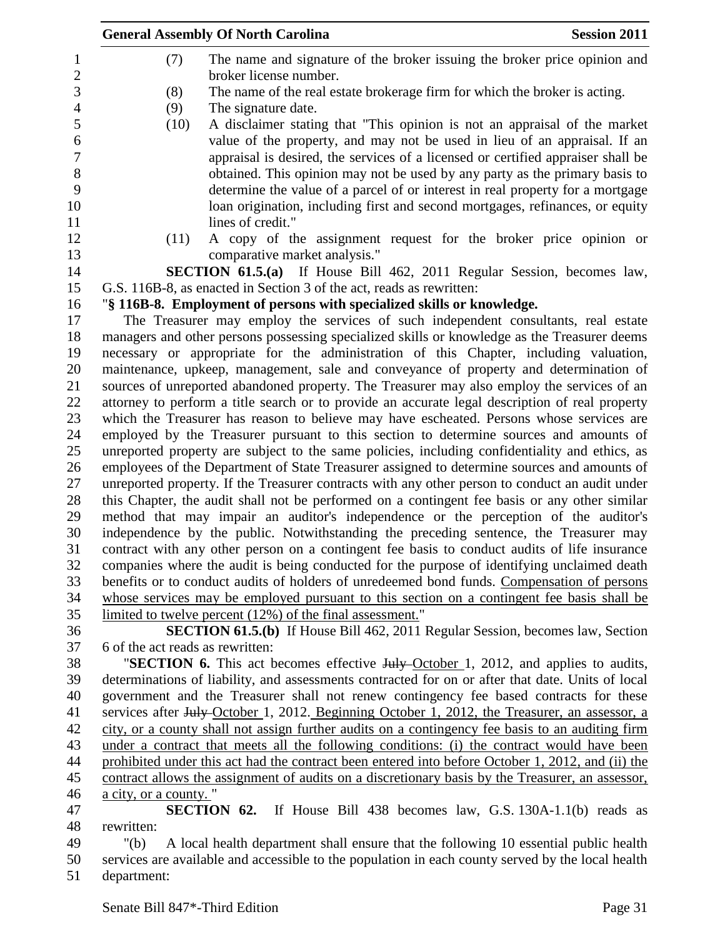|     | <b>General Assembly Of North Carolina</b>                                                                                                                      | <b>Session 2011</b> |
|-----|----------------------------------------------------------------------------------------------------------------------------------------------------------------|---------------------|
| (7) | The name and signature of the broker issuing the broker price opinion and<br>broker license number.                                                            |                     |
| (8) | The name of the real estate brokerage firm for which the broker is acting.                                                                                     |                     |
| (9) | The signature date.                                                                                                                                            |                     |
|     | A disclaimer stating that "This opinion is not an appraisal of the market<br>(10)<br>value of the property, and may not be used in lieu of an appraisal. If an |                     |
|     | appraisal is desired, the services of a licensed or certified appraiser shall be                                                                               |                     |
|     | obtained. This opinion may not be used by any party as the primary basis to                                                                                    |                     |
|     | determine the value of a parcel of or interest in real property for a mortgage                                                                                 |                     |
|     | loan origination, including first and second mortgages, refinances, or equity                                                                                  |                     |
|     | lines of credit."                                                                                                                                              |                     |
|     | A copy of the assignment request for the broker price opinion or<br>(11)                                                                                       |                     |
|     | comparative market analysis."                                                                                                                                  |                     |
|     | <b>SECTION 61.5.(a)</b> If House Bill 462, 2011 Regular Session, becomes law,                                                                                  |                     |
|     | G.S. 116B-8, as enacted in Section 3 of the act, reads as rewritten:                                                                                           |                     |
|     | "§ 116B-8. Employment of persons with specialized skills or knowledge.                                                                                         |                     |
|     | The Treasurer may employ the services of such independent consultants, real estate                                                                             |                     |
|     | managers and other persons possessing specialized skills or knowledge as the Treasurer deems                                                                   |                     |
|     | necessary or appropriate for the administration of this Chapter, including valuation,                                                                          |                     |
|     | maintenance, upkeep, management, sale and conveyance of property and determination of                                                                          |                     |
|     | sources of unreported abandoned property. The Treasurer may also employ the services of an                                                                     |                     |
|     | attorney to perform a title search or to provide an accurate legal description of real property                                                                |                     |
|     | which the Treasurer has reason to believe may have escheated. Persons whose services are                                                                       |                     |
|     | employed by the Treasurer pursuant to this section to determine sources and amounts of                                                                         |                     |
|     | unreported property are subject to the same policies, including confidentiality and ethics, as                                                                 |                     |
|     | employees of the Department of State Treasurer assigned to determine sources and amounts of                                                                    |                     |
|     | unreported property. If the Treasurer contracts with any other person to conduct an audit under                                                                |                     |
|     | this Chapter, the audit shall not be performed on a contingent fee basis or any other similar                                                                  |                     |
|     | method that may impair an auditor's independence or the perception of the auditor's                                                                            |                     |
|     | independence by the public. Notwithstanding the preceding sentence, the Treasurer may                                                                          |                     |
|     | contract with any other person on a contingent fee basis to conduct audits of life insurance                                                                   |                     |
|     | companies where the audit is being conducted for the purpose of identifying unclaimed death                                                                    |                     |
|     | benefits or to conduct audits of holders of unredeemed bond funds. Compensation of persons                                                                     |                     |
|     | whose services may be employed pursuant to this section on a contingent fee basis shall be                                                                     |                     |
|     | limited to twelve percent (12%) of the final assessment."                                                                                                      |                     |
|     | <b>SECTION 61.5.(b)</b> If House Bill 462, 2011 Regular Session, becomes law, Section                                                                          |                     |
|     | 6 of the act reads as rewritten:                                                                                                                               |                     |
|     | "SECTION 6. This act becomes effective July October 1, 2012, and applies to audits,                                                                            |                     |
|     | determinations of liability, and assessments contracted for on or after that date. Units of local                                                              |                     |
|     | government and the Treasurer shall not renew contingency fee based contracts for these                                                                         |                     |
|     | services after July October 1, 2012. Beginning October 1, 2012, the Treasurer, an assessor, a                                                                  |                     |
|     | city, or a county shall not assign further audits on a contingency fee basis to an auditing firm                                                               |                     |

 under a contract that meets all the following conditions: (i) the contract would have been 44 prohibited under this act had the contract been entered into before October 1, 2012, and (ii) the contract allows the assignment of audits on a discretionary basis by the Treasurer, an assessor, a city, or a county. "

 **SECTION 62.** If House Bill 438 becomes law, G.S. 130A-1.1(b) reads as rewritten:

 "(b) A local health department shall ensure that the following 10 essential public health services are available and accessible to the population in each county served by the local health department: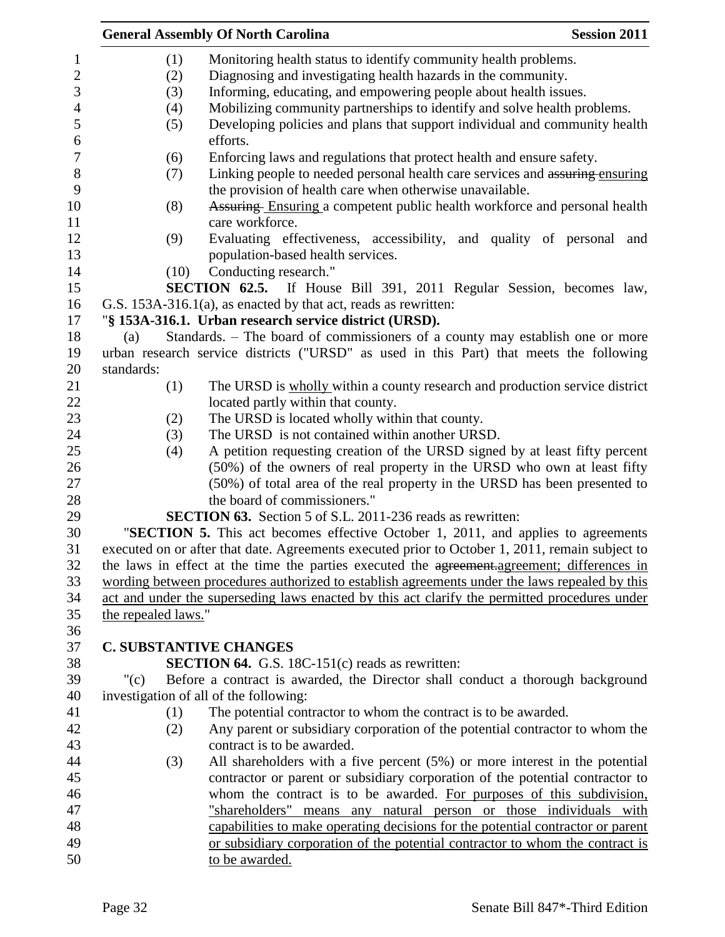| Mobilizing community partnerships to identify and solve health problems.<br>Developing policies and plans that support individual and community health<br>Linking people to needed personal health care services and assuring ensuring |
|----------------------------------------------------------------------------------------------------------------------------------------------------------------------------------------------------------------------------------------|
| Evaluating effectiveness, accessibility, and quality of personal and                                                                                                                                                                   |
| Assuring Ensuring a competent public health workforce and personal health<br>SECTION 62.5. If House Bill 391, 2011 Regular Session, becomes law,                                                                                       |
|                                                                                                                                                                                                                                        |
|                                                                                                                                                                                                                                        |
|                                                                                                                                                                                                                                        |
|                                                                                                                                                                                                                                        |
|                                                                                                                                                                                                                                        |
|                                                                                                                                                                                                                                        |
|                                                                                                                                                                                                                                        |
|                                                                                                                                                                                                                                        |
|                                                                                                                                                                                                                                        |
|                                                                                                                                                                                                                                        |
|                                                                                                                                                                                                                                        |
|                                                                                                                                                                                                                                        |
|                                                                                                                                                                                                                                        |
|                                                                                                                                                                                                                                        |
|                                                                                                                                                                                                                                        |
| Standards. – The board of commissioners of a county may establish one or more                                                                                                                                                          |
| urban research service districts ("URSD" as used in this Part) that meets the following                                                                                                                                                |
|                                                                                                                                                                                                                                        |
| The URSD is wholly within a county research and production service district                                                                                                                                                            |
|                                                                                                                                                                                                                                        |
|                                                                                                                                                                                                                                        |
|                                                                                                                                                                                                                                        |
| A petition requesting creation of the URSD signed by at least fifty percent                                                                                                                                                            |
| (50%) of the owners of real property in the URSD who own at least fifty                                                                                                                                                                |
| (50%) of total area of the real property in the URSD has been presented to                                                                                                                                                             |
|                                                                                                                                                                                                                                        |
|                                                                                                                                                                                                                                        |
| "SECTION 5. This act becomes effective October 1, 2011, and applies to agreements                                                                                                                                                      |
| executed on or after that date. Agreements executed prior to October 1, 2011, remain subject to<br>the laws in effect at the time the parties executed the <del>agreement.agreement</del> ; differences in                             |
| wording between procedures authorized to establish agreements under the laws repealed by this                                                                                                                                          |
| act and under the superseding laws enacted by this act clarify the permitted procedures under                                                                                                                                          |
|                                                                                                                                                                                                                                        |
|                                                                                                                                                                                                                                        |
|                                                                                                                                                                                                                                        |
|                                                                                                                                                                                                                                        |
| Before a contract is awarded, the Director shall conduct a thorough background                                                                                                                                                         |
|                                                                                                                                                                                                                                        |
|                                                                                                                                                                                                                                        |
| Any parent or subsidiary corporation of the potential contractor to whom the                                                                                                                                                           |
|                                                                                                                                                                                                                                        |
| All shareholders with a five percent $(5%)$ or more interest in the potential                                                                                                                                                          |
| contractor or parent or subsidiary corporation of the potential contractor to                                                                                                                                                          |
| whom the contract is to be awarded. For purposes of this subdivision,                                                                                                                                                                  |
| "shareholders" means any natural person or those individuals with                                                                                                                                                                      |
| capabilities to make operating decisions for the potential contractor or parent                                                                                                                                                        |
| or subsidiary corporation of the potential contractor to whom the contract is                                                                                                                                                          |
|                                                                                                                                                                                                                                        |
|                                                                                                                                                                                                                                        |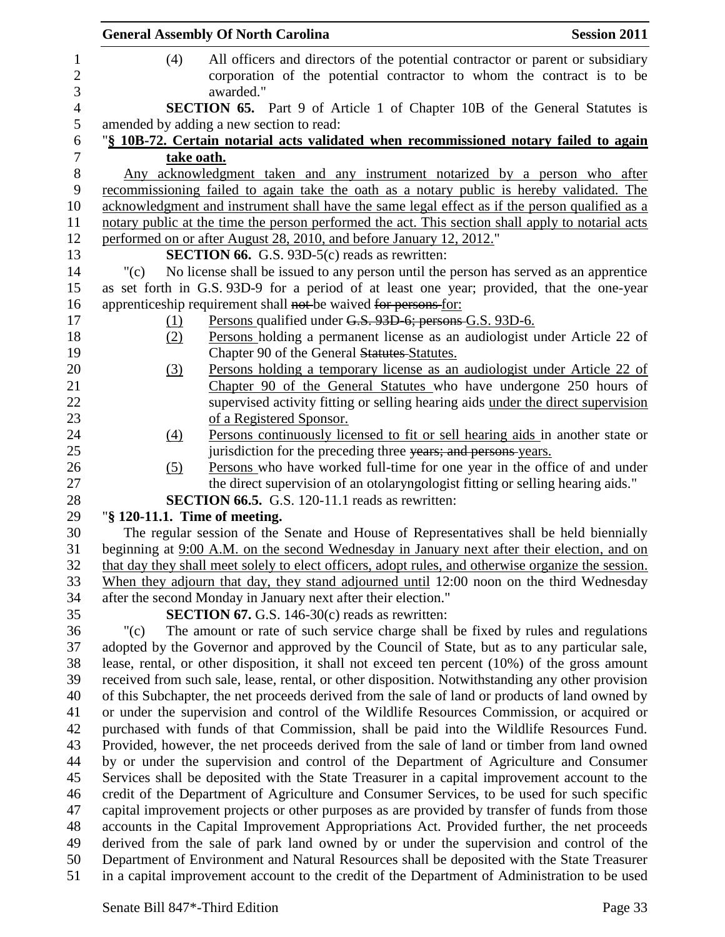|          | <b>General Assembly Of North Carolina</b>                                                                                                                                             | <b>Session 2011</b> |
|----------|---------------------------------------------------------------------------------------------------------------------------------------------------------------------------------------|---------------------|
| (4)      | All officers and directors of the potential contractor or parent or subsidiary                                                                                                        |                     |
|          | corporation of the potential contractor to whom the contract is to be                                                                                                                 |                     |
|          | awarded."                                                                                                                                                                             |                     |
|          | <b>SECTION 65.</b> Part 9 of Article 1 of Chapter 10B of the General Statutes is                                                                                                      |                     |
|          | amended by adding a new section to read:                                                                                                                                              |                     |
|          | "§ 10B-72. Certain notarial acts validated when recommissioned notary failed to again                                                                                                 |                     |
|          | take oath.                                                                                                                                                                            |                     |
|          | Any acknowledgment taken and any instrument notarized by a person who after                                                                                                           |                     |
|          | recommissioning failed to again take the oath as a notary public is hereby validated. The                                                                                             |                     |
|          | acknowledgment and instrument shall have the same legal effect as if the person qualified as a                                                                                        |                     |
|          | notary public at the time the person performed the act. This section shall apply to notarial acts                                                                                     |                     |
|          | performed on or after August 28, 2010, and before January 12, 2012."                                                                                                                  |                     |
|          | <b>SECTION 66.</b> G.S. 93D-5(c) reads as rewritten:                                                                                                                                  |                     |
| "(c)     | No license shall be issued to any person until the person has served as an apprentice                                                                                                 |                     |
|          | as set forth in G.S. 93D-9 for a period of at least one year; provided, that the one-year                                                                                             |                     |
|          | apprenticeship requirement shall not be waived for persons for:                                                                                                                       |                     |
| (1)      | Persons qualified under G.S. 93D-6; persons G.S. 93D-6.                                                                                                                               |                     |
| (2)      | Persons holding a permanent license as an audiologist under Article 22 of                                                                                                             |                     |
|          | Chapter 90 of the General Statutes Statutes.                                                                                                                                          |                     |
| (3)      | Persons holding a temporary license as an audiologist under Article 22 of<br>Chapter 90 of the General Statutes who have undergone 250 hours of                                       |                     |
|          | supervised activity fitting or selling hearing aids under the direct supervision                                                                                                      |                     |
|          | of a Registered Sponsor.                                                                                                                                                              |                     |
| (4)      | Persons continuously licensed to fit or sell hearing aids in another state or                                                                                                         |                     |
|          | jurisdiction for the preceding three years; and persons-years.                                                                                                                        |                     |
| (5)      | Persons who have worked full-time for one year in the office of and under                                                                                                             |                     |
|          | the direct supervision of an otolaryngologist fitting or selling hearing aids."                                                                                                       |                     |
|          | SECTION 66.5. G.S. 120-11.1 reads as rewritten:                                                                                                                                       |                     |
|          | "§ 120-11.1. Time of meeting.                                                                                                                                                         |                     |
|          | The regular session of the Senate and House of Representatives shall be held biennially                                                                                               |                     |
|          | beginning at 9:00 A.M. on the second Wednesday in January next after their election, and on                                                                                           |                     |
|          | that day they shall meet solely to elect officers, adopt rules, and otherwise organize the session.                                                                                   |                     |
|          | When they adjourn that day, they stand adjourned until 12:00 noon on the third Wednesday                                                                                              |                     |
|          | after the second Monday in January next after their election."                                                                                                                        |                     |
|          | <b>SECTION 67.</b> G.S. 146-30 $(c)$ reads as rewritten:                                                                                                                              |                     |
| $"({c})$ | The amount or rate of such service charge shall be fixed by rules and regulations                                                                                                     |                     |
|          | adopted by the Governor and approved by the Council of State, but as to any particular sale,                                                                                          |                     |
|          | lease, rental, or other disposition, it shall not exceed ten percent (10%) of the gross amount                                                                                        |                     |
|          | received from such sale, lease, rental, or other disposition. Notwithstanding any other provision                                                                                     |                     |
|          | of this Subchapter, the net proceeds derived from the sale of land or products of land owned by                                                                                       |                     |
|          | or under the supervision and control of the Wildlife Resources Commission, or acquired or                                                                                             |                     |
|          | purchased with funds of that Commission, shall be paid into the Wildlife Resources Fund.                                                                                              |                     |
|          | Provided, however, the net proceeds derived from the sale of land or timber from land owned                                                                                           |                     |
|          | by or under the supervision and control of the Department of Agriculture and Consumer<br>Services shall be deposited with the State Treasurer in a capital improvement account to the |                     |
|          | credit of the Department of Agriculture and Consumer Services, to be used for such specific                                                                                           |                     |
|          | capital improvement projects or other purposes as are provided by transfer of funds from those                                                                                        |                     |
|          | accounts in the Capital Improvement Appropriations Act. Provided further, the net proceeds                                                                                            |                     |
|          | derived from the sale of park land owned by or under the supervision and control of the                                                                                               |                     |
|          | Department of Environment and Natural Resources shall be deposited with the State Treasurer                                                                                           |                     |
|          | in a capital improvement account to the credit of the Department of Administration to be used                                                                                         |                     |
|          |                                                                                                                                                                                       |                     |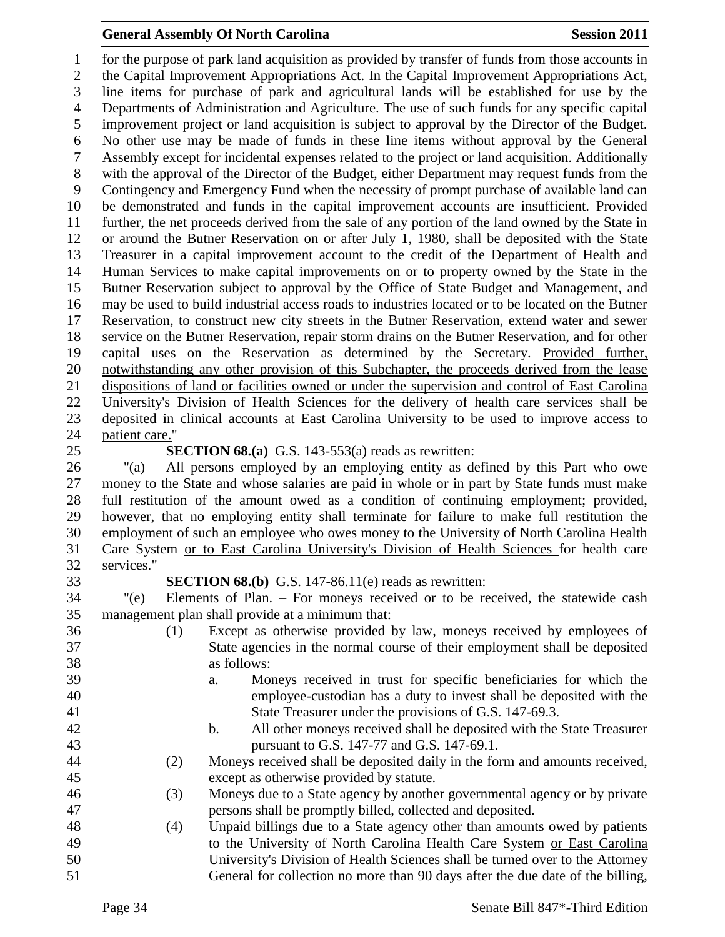for the purpose of park land acquisition as provided by transfer of funds from those accounts in the Capital Improvement Appropriations Act. In the Capital Improvement Appropriations Act, line items for purchase of park and agricultural lands will be established for use by the Departments of Administration and Agriculture. The use of such funds for any specific capital improvement project or land acquisition is subject to approval by the Director of the Budget. No other use may be made of funds in these line items without approval by the General Assembly except for incidental expenses related to the project or land acquisition. Additionally with the approval of the Director of the Budget, either Department may request funds from the Contingency and Emergency Fund when the necessity of prompt purchase of available land can be demonstrated and funds in the capital improvement accounts are insufficient. Provided further, the net proceeds derived from the sale of any portion of the land owned by the State in or around the Butner Reservation on or after July 1, 1980, shall be deposited with the State Treasurer in a capital improvement account to the credit of the Department of Health and Human Services to make capital improvements on or to property owned by the State in the Butner Reservation subject to approval by the Office of State Budget and Management, and may be used to build industrial access roads to industries located or to be located on the Butner Reservation, to construct new city streets in the Butner Reservation, extend water and sewer service on the Butner Reservation, repair storm drains on the Butner Reservation, and for other capital uses on the Reservation as determined by the Secretary. Provided further, notwithstanding any other provision of this Subchapter, the proceeds derived from the lease dispositions of land or facilities owned or under the supervision and control of East Carolina University's Division of Health Sciences for the delivery of health care services shall be deposited in clinical accounts at East Carolina University to be used to improve access to patient care." **SECTION 68.(a)** G.S. 143-553(a) reads as rewritten: "(a) All persons employed by an employing entity as defined by this Part who owe money to the State and whose salaries are paid in whole or in part by State funds must make

 full restitution of the amount owed as a condition of continuing employment; provided, however, that no employing entity shall terminate for failure to make full restitution the employment of such an employee who owes money to the University of North Carolina Health Care System or to East Carolina University's Division of Health Sciences for health care services."

**SECTION 68.(b)** G.S. 147-86.11(e) reads as rewritten:

 "(e) Elements of Plan. – For moneys received or to be received, the statewide cash management plan shall provide at a minimum that:

- (1) Except as otherwise provided by law, moneys received by employees of State agencies in the normal course of their employment shall be deposited as follows: a. Moneys received in trust for specific beneficiaries for which the employee-custodian has a duty to invest shall be deposited with the State Treasurer under the provisions of G.S. 147-69.3. b. All other moneys received shall be deposited with the State Treasurer pursuant to G.S. 147-77 and G.S. 147-69.1. (2) Moneys received shall be deposited daily in the form and amounts received, except as otherwise provided by statute.
- (3) Moneys due to a State agency by another governmental agency or by private persons shall be promptly billed, collected and deposited.
- (4) Unpaid billings due to a State agency other than amounts owed by patients to the University of North Carolina Health Care System or East Carolina University's Division of Health Sciences shall be turned over to the Attorney General for collection no more than 90 days after the due date of the billing,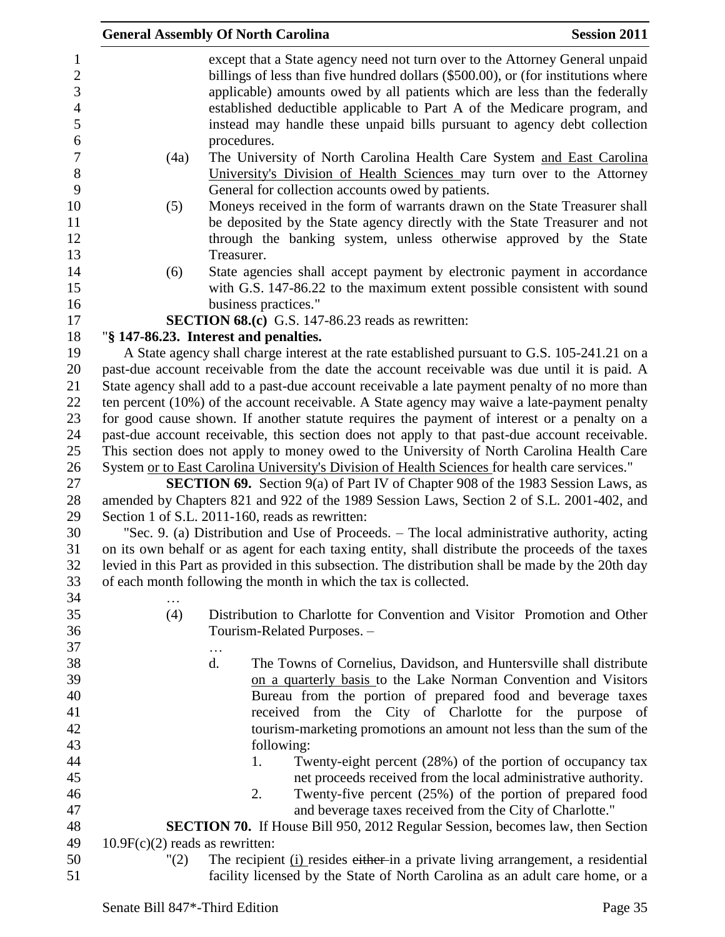|                                |                                                                                                                                                                                             | <b>General Assembly Of North Carolina</b>                                                                                                                                                     | <b>Session 2011</b> |
|--------------------------------|---------------------------------------------------------------------------------------------------------------------------------------------------------------------------------------------|-----------------------------------------------------------------------------------------------------------------------------------------------------------------------------------------------|---------------------|
| $\mathbf{1}$<br>$\overline{2}$ |                                                                                                                                                                                             | except that a State agency need not turn over to the Attorney General unpaid                                                                                                                  |                     |
|                                |                                                                                                                                                                                             | billings of less than five hundred dollars (\$500.00), or (for institutions where<br>applicable) amounts owed by all patients which are less than the federally                               |                     |
| 3<br>$\overline{4}$            |                                                                                                                                                                                             |                                                                                                                                                                                               |                     |
| 5                              |                                                                                                                                                                                             | established deductible applicable to Part A of the Medicare program, and                                                                                                                      |                     |
| 6                              |                                                                                                                                                                                             | instead may handle these unpaid bills pursuant to agency debt collection                                                                                                                      |                     |
| $\overline{7}$                 |                                                                                                                                                                                             | procedures.                                                                                                                                                                                   |                     |
| $8\,$                          | (4a)                                                                                                                                                                                        | The University of North Carolina Health Care System and East Carolina                                                                                                                         |                     |
| 9                              |                                                                                                                                                                                             | University's Division of Health Sciences may turn over to the Attorney<br>General for collection accounts owed by patients.                                                                   |                     |
| 10                             |                                                                                                                                                                                             |                                                                                                                                                                                               |                     |
| 11                             | (5)                                                                                                                                                                                         | Moneys received in the form of warrants drawn on the State Treasurer shall                                                                                                                    |                     |
|                                |                                                                                                                                                                                             | be deposited by the State agency directly with the State Treasurer and not                                                                                                                    |                     |
| 12                             |                                                                                                                                                                                             | through the banking system, unless otherwise approved by the State<br>Treasurer.                                                                                                              |                     |
| 13<br>14                       |                                                                                                                                                                                             |                                                                                                                                                                                               |                     |
|                                | (6)                                                                                                                                                                                         | State agencies shall accept payment by electronic payment in accordance<br>with G.S. 147-86.22 to the maximum extent possible consistent with sound                                           |                     |
| 15                             |                                                                                                                                                                                             |                                                                                                                                                                                               |                     |
| 16                             |                                                                                                                                                                                             | business practices."                                                                                                                                                                          |                     |
| 17                             |                                                                                                                                                                                             | <b>SECTION 68.(c)</b> G.S. 147-86.23 reads as rewritten:                                                                                                                                      |                     |
| 18<br>19                       |                                                                                                                                                                                             | "§ 147-86.23. Interest and penalties.                                                                                                                                                         |                     |
| 20                             |                                                                                                                                                                                             | A State agency shall charge interest at the rate established pursuant to G.S. 105-241.21 on a<br>past-due account receivable from the date the account receivable was due until it is paid. A |                     |
| 21                             |                                                                                                                                                                                             | State agency shall add to a past-due account receivable a late payment penalty of no more than                                                                                                |                     |
| 22                             |                                                                                                                                                                                             | ten percent $(10\%)$ of the account receivable. A State agency may waive a late-payment penalty                                                                                               |                     |
| 23                             |                                                                                                                                                                                             | for good cause shown. If another statute requires the payment of interest or a penalty on a                                                                                                   |                     |
| 24                             |                                                                                                                                                                                             | past-due account receivable, this section does not apply to that past-due account receivable.                                                                                                 |                     |
| 25                             |                                                                                                                                                                                             |                                                                                                                                                                                               |                     |
| 26                             | This section does not apply to money owed to the University of North Carolina Health Care<br>System or to East Carolina University's Division of Health Sciences for health care services." |                                                                                                                                                                                               |                     |
| 27                             |                                                                                                                                                                                             | <b>SECTION 69.</b> Section 9(a) of Part IV of Chapter 908 of the 1983 Session Laws, as                                                                                                        |                     |
| 28                             |                                                                                                                                                                                             | amended by Chapters 821 and 922 of the 1989 Session Laws, Section 2 of S.L. 2001-402, and                                                                                                     |                     |
| 29                             | Section 1 of S.L. 2011-160, reads as rewritten:                                                                                                                                             |                                                                                                                                                                                               |                     |
| 30                             |                                                                                                                                                                                             | "Sec. 9. (a) Distribution and Use of Proceeds. – The local administrative authority, acting                                                                                                   |                     |
| 31                             |                                                                                                                                                                                             | on its own behalf or as agent for each taxing entity, shall distribute the proceeds of the taxes                                                                                              |                     |
| 32                             |                                                                                                                                                                                             | levied in this Part as provided in this subsection. The distribution shall be made by the 20th day                                                                                            |                     |
| 33                             |                                                                                                                                                                                             | of each month following the month in which the tax is collected.                                                                                                                              |                     |
| 34                             |                                                                                                                                                                                             |                                                                                                                                                                                               |                     |
| 35                             | (4)                                                                                                                                                                                         | Distribution to Charlotte for Convention and Visitor Promotion and Other                                                                                                                      |                     |
| 36                             |                                                                                                                                                                                             | Tourism-Related Purposes. -                                                                                                                                                                   |                     |
| 37                             |                                                                                                                                                                                             |                                                                                                                                                                                               |                     |
| 38                             |                                                                                                                                                                                             | d.<br>The Towns of Cornelius, Davidson, and Huntersville shall distribute                                                                                                                     |                     |
| 39                             |                                                                                                                                                                                             | on a quarterly basis to the Lake Norman Convention and Visitors                                                                                                                               |                     |
| 40                             |                                                                                                                                                                                             | Bureau from the portion of prepared food and beverage taxes                                                                                                                                   |                     |
| 41                             |                                                                                                                                                                                             | received from the City of Charlotte for the purpose of                                                                                                                                        |                     |
| 42                             |                                                                                                                                                                                             | tourism-marketing promotions an amount not less than the sum of the                                                                                                                           |                     |
| 43                             |                                                                                                                                                                                             | following:                                                                                                                                                                                    |                     |
| 44                             |                                                                                                                                                                                             | 1.<br>Twenty-eight percent (28%) of the portion of occupancy tax                                                                                                                              |                     |
| 45                             |                                                                                                                                                                                             | net proceeds received from the local administrative authority.                                                                                                                                |                     |
| 46                             |                                                                                                                                                                                             | Twenty-five percent (25%) of the portion of prepared food<br>2.                                                                                                                               |                     |
| 47                             |                                                                                                                                                                                             | and beverage taxes received from the City of Charlotte."                                                                                                                                      |                     |
| 48                             |                                                                                                                                                                                             | <b>SECTION 70.</b> If House Bill 950, 2012 Regular Session, becomes law, then Section                                                                                                         |                     |
| 49                             | $10.9F(c)(2)$ reads as rewritten:                                                                                                                                                           |                                                                                                                                                                                               |                     |
| 50                             | "(2)                                                                                                                                                                                        | The recipient (i) resides either in a private living arrangement, a residential                                                                                                               |                     |
| 51                             |                                                                                                                                                                                             | facility licensed by the State of North Carolina as an adult care home, or a                                                                                                                  |                     |